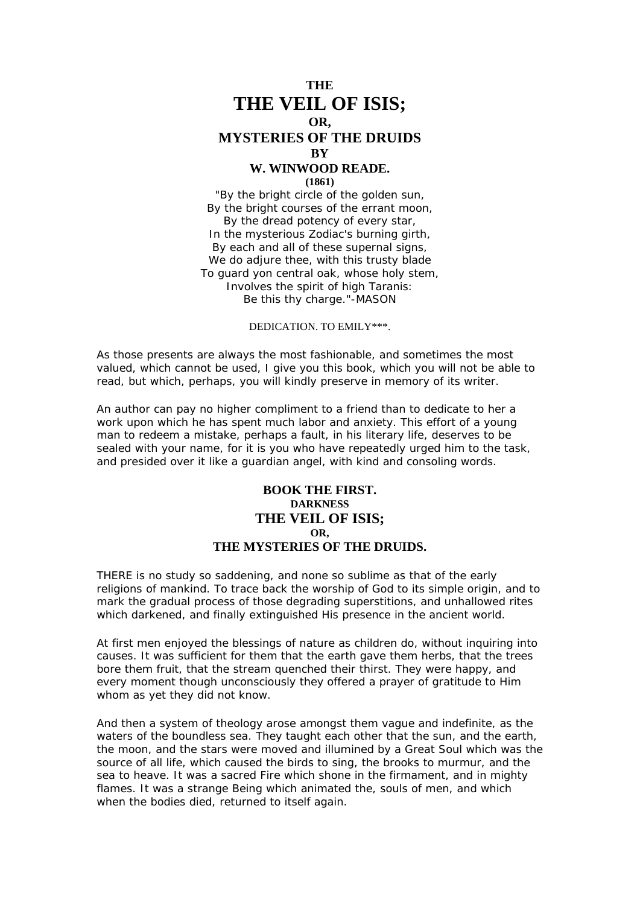# **THE THE VEIL OF ISIS; OR, MYSTERIES OF THE DRUIDS BY W. WINWOOD READE. (1861)**

"By the bright circle of the golden sun, By the bright courses of the errant moon, By the dread potency of every star, In the mysterious Zodiac's burning girth, By each and all of these supernal signs, We do adjure thee, with this trusty blade To guard yon central oak, whose holy stem, Involves the spirit of high Taranis: Be this thy charge."-MASON

#### DEDICATION TO EMILY\*\*\*

As those presents are always the most fashionable, and sometimes the most valued, which cannot be used, I give you this book, which you will not be able to read, but which, perhaps, you will kindly preserve in memory of its writer.

An author can pay no higher compliment to a friend than to dedicate to her a work upon which he has spent much labor and anxiety. This effort of a young man to redeem a mistake, perhaps a fault, in his literary life, deserves to be sealed with your name, for it is you who have repeatedly urged him to the task, and presided over it like a guardian angel, with kind and consoling words.

## **BOOK THE FIRST. DARKNESS THE VEIL OF ISIS; OR, THE MYSTERIES OF THE DRUIDS.**

THERE is no study so saddening, and none so sublime as that of the early religions of mankind. To trace back the worship of God to its simple origin, and to mark the gradual process of those degrading superstitions, and unhallowed rites which darkened, and finally extinguished His presence in the ancient world.

At first men enjoyed the blessings of nature as children do, without inquiring into causes. It was sufficient for them that the earth gave them herbs, that the trees bore them fruit, that the stream quenched their thirst. They were happy, and every moment though unconsciously they offered a prayer of gratitude to Him whom as yet they did not know.

And then a system of theology arose amongst them vague and indefinite, as the waters of the boundless sea. They taught each other that the sun, and the earth, the moon, and the stars were moved and illumined by a Great Soul which was the source of all life, which caused the birds to sing, the brooks to murmur, and the sea to heave. It was a sacred Fire which shone in the firmament, and in mighty flames. It was a strange Being which animated the, souls of men, and which when the bodies died, returned to itself again.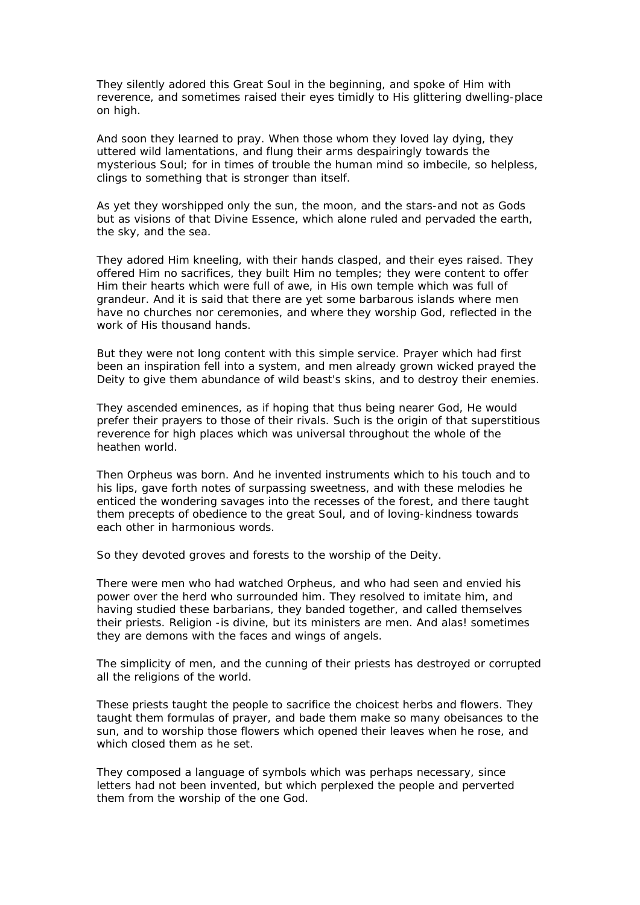They silently adored this Great Soul in the beginning, and spoke of Him with reverence, and sometimes raised their eyes timidly to His glittering dwelling-place on high.

And soon they learned to pray. When those whom they loved lay dying, they uttered wild lamentations, and flung their arms despairingly towards the mysterious Soul; for in times of trouble the human mind so imbecile, so helpless, clings to something that is stronger than itself.

As yet they worshipped only the sun, the moon, and the stars-and not as Gods but as visions of that Divine Essence, which alone ruled and pervaded the earth, the sky, and the sea.

They adored Him kneeling, with their hands clasped, and their eyes raised. They offered Him no sacrifices, they built Him no temples; they were content to offer Him their hearts which were full of awe, in His own temple which was full of grandeur. And it is said that there are yet some barbarous islands where men have no churches nor ceremonies, and where they worship God, reflected in the work of His thousand hands.

But they were not long content with this simple service. Prayer which had first been an inspiration fell into a system, and men already grown wicked prayed the Deity to give them abundance of wild beast's skins, and to destroy their enemies.

They ascended eminences, as if hoping that thus being nearer God, He would prefer their prayers to those of their rivals. Such is the origin of that superstitious reverence for high places which was universal throughout the whole of the heathen world.

Then Orpheus was born. And he invented instruments which to his touch and to his lips, gave forth notes of surpassing sweetness, and with these melodies he enticed the wondering savages into the recesses of the forest, and there taught them precepts of obedience to the great Soul, and of loving-kindness towards each other in harmonious words.

So they devoted groves and forests to the worship of the Deity.

There were men who had watched Orpheus, and who had seen and envied his power over the herd who surrounded him. They resolved to imitate him, and having studied these barbarians, they banded together, and called themselves their priests. Religion -is divine, but its ministers are men. And alas! sometimes they are demons with the faces and wings of angels.

The simplicity of men, and the cunning of their priests has destroyed or corrupted all the religions of the world.

These priests taught the people to sacrifice the choicest herbs and flowers. They taught them formulas of prayer, and bade them make so many obeisances to the sun, and to worship those flowers which opened their leaves when he rose, and which closed them as he set.

They composed a language of symbols which was perhaps necessary, since letters had not been invented, but which perplexed the people and perverted them from the worship of the one God.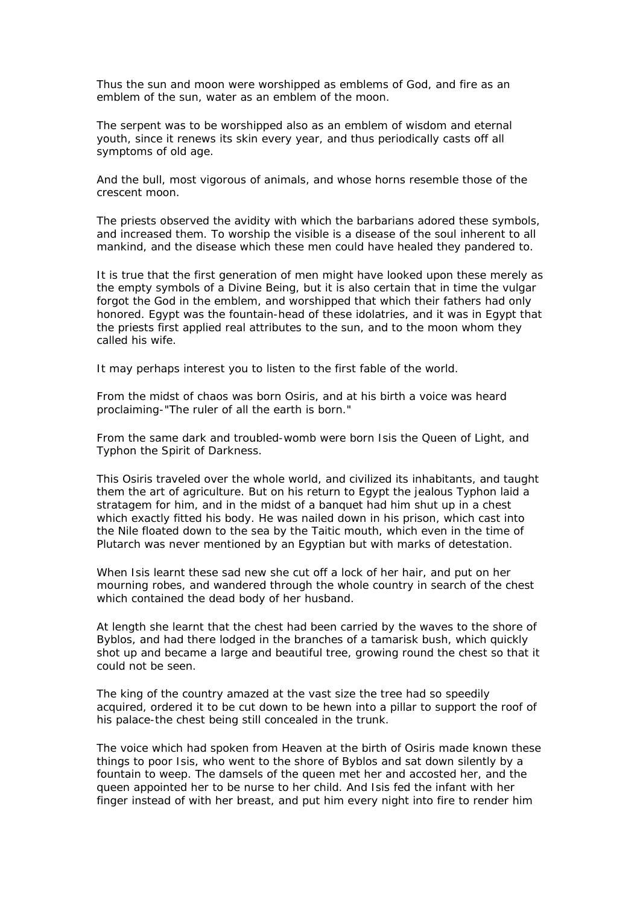Thus the sun and moon were worshipped as emblems of God, and fire as an emblem of the sun, water as an emblem of the moon.

The serpent was to be worshipped also as an emblem of wisdom and eternal youth, since it renews its skin every year, and thus periodically casts off all symptoms of old age.

And the bull, most vigorous of animals, and whose horns resemble those of the crescent moon.

The priests observed the avidity with which the barbarians adored these symbols, and increased them. To worship the visible is a disease of the soul inherent to all mankind, and the disease which these men could have healed they pandered to.

It is true that the first generation of men might have looked upon these merely as the empty symbols of a Divine Being, but it is also certain that in time the vulgar forgot the God in the emblem, and worshipped that which their fathers had only honored. Egypt was the fountain-head of these idolatries, and it was in Egypt that the priests first applied real attributes to the sun, and to the moon whom they called his wife.

It may perhaps interest you to listen to the first fable of the world.

From the midst of chaos was born Osiris, and at his birth a voice was heard proclaiming-"The ruler of all the earth is born."

From the same dark and troubled-womb were born Isis the Queen of Light, and Typhon the Spirit of Darkness.

This Osiris traveled over the whole world, and civilized its inhabitants, and taught them the art of agriculture. But on his return to Egypt the jealous Typhon laid a stratagem for him, and in the midst of a banquet had him shut up in a chest which exactly fitted his body. He was nailed down in his prison, which cast into the Nile floated down to the sea by the Taitic mouth, which even in the time of Plutarch was never mentioned by an Egyptian but with marks of detestation.

When Isis learnt these sad new she cut off a lock of her hair, and put on her mourning robes, and wandered through the whole country in search of the chest which contained the dead body of her husband.

At length she learnt that the chest had been carried by the waves to the shore of Byblos, and had there lodged in the branches of a tamarisk bush, which quickly shot up and became a large and beautiful tree, growing round the chest so that it could not be seen.

The king of the country amazed at the vast size the tree had so speedily acquired, ordered it to be cut down to be hewn into a pillar to support the roof of his palace-the chest being still concealed in the trunk.

The voice which had spoken from Heaven at the birth of Osiris made known these things to poor Isis, who went to the shore of Byblos and sat down silently by a fountain to weep. The damsels of the queen met her and accosted her, and the queen appointed her to be nurse to her child. And Isis fed the infant with her finger instead of with her breast, and put him every night into fire to render him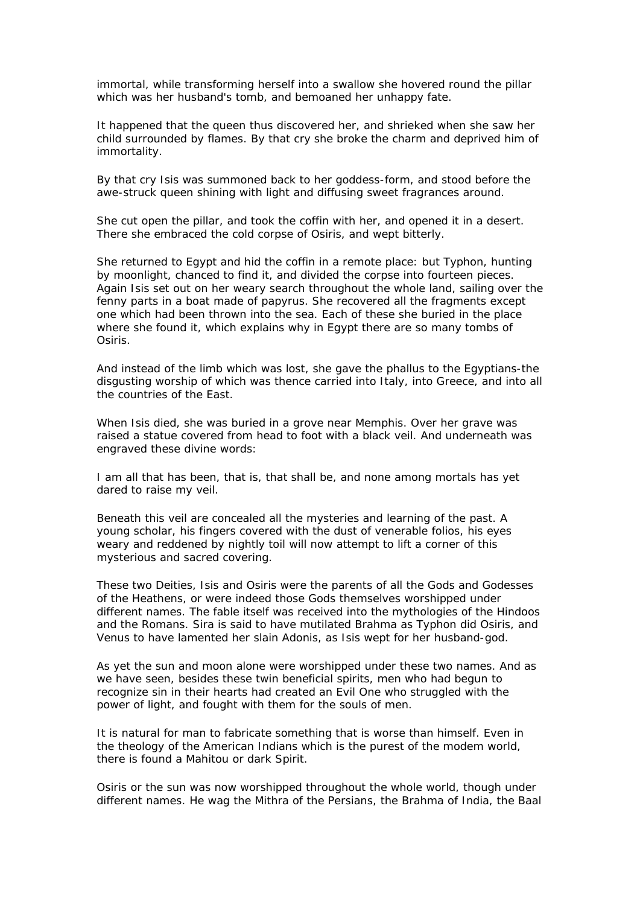immortal, while transforming herself into a swallow she hovered round the pillar which was her husband's tomb, and bemoaned her unhappy fate.

It happened that the queen thus discovered her, and shrieked when she saw her child surrounded by flames. By that cry she broke the charm and deprived him of immortality.

By that cry Isis was summoned back to her goddess-form, and stood before the awe-struck queen shining with light and diffusing sweet fragrances around.

She cut open the pillar, and took the coffin with her, and opened it in a desert. There she embraced the cold corpse of Osiris, and wept bitterly.

She returned to Egypt and hid the coffin in a remote place: but Typhon, hunting by moonlight, chanced to find it, and divided the corpse into fourteen pieces. Again Isis set out on her weary search throughout the whole land, sailing over the fenny parts in a boat made of papyrus. She recovered all the fragments except one which had been thrown into the sea. Each of these she buried in the place where she found it, which explains why in Egypt there are so many tombs of Osiris.

And instead of the limb which was lost, she gave the phallus to the Egyptians-the disgusting worship of which was thence carried into Italy, into Greece, and into all the countries of the East.

When Isis died, she was buried in a grove near Memphis. Over her grave was raised a statue covered from head to foot with a black veil. And underneath was engraved these divine words:

I am all that has been, that is, that shall be, and none among mortals has yet dared to raise my veil.

Beneath this veil are concealed all the mysteries and learning of the past. A young scholar, his fingers covered with the dust of venerable folios, his eyes weary and reddened by nightly toil will now attempt to lift a corner of this mysterious and sacred covering.

These two Deities, Isis and Osiris were the parents of all the Gods and Godesses of the Heathens, or were indeed those Gods themselves worshipped under different names. The fable itself was received into the mythologies of the Hindoos and the Romans. Sira is said to have mutilated Brahma as Typhon did Osiris, and Venus to have lamented her slain Adonis, as Isis wept for her husband-god.

As yet the sun and moon alone were worshipped under these two names. And as we have seen, besides these twin beneficial spirits, men who had begun to recognize sin in their hearts had created an Evil One who struggled with the power of light, and fought with them for the souls of men.

It is natural for man to fabricate something that is worse than himself. Even in the theology of the American Indians which is the purest of the modem world, there is found a Mahitou or dark Spirit.

Osiris or the sun was now worshipped throughout the whole world, though under different names. He wag the Mithra of the Persians, the Brahma of India, the Baal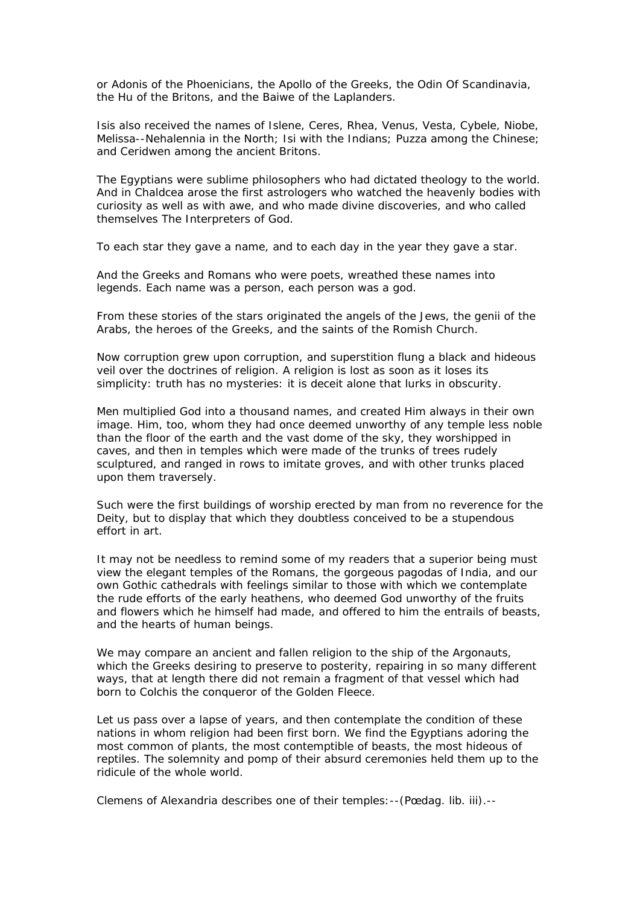or Adonis of the Phoenicians, the Apollo of the Greeks, the Odin Of Scandinavia, the Hu of the Britons, and the Baiwe of the Laplanders.

Isis also received the names of Islene, Ceres, Rhea, Venus, Vesta, Cybele, Niobe, Melissa--Nehalennia in the North; Isi with the Indians; Puzza among the Chinese; and Ceridwen among the ancient Britons.

The Egyptians were sublime philosophers who had dictated theology to the world. And in Chaldcea arose the first astrologers who watched the heavenly bodies with curiosity as well as with awe, and who made divine discoveries, and who called themselves The Interpreters of God.

To each star they gave a name, and to each day in the year they gave a star.

And the Greeks and Romans who were poets, wreathed these names into legends. Each name was a person, each person was a god.

From these stories of the stars originated the angels of the Jews, the genii of the Arabs, the heroes of the Greeks, and the saints of the Romish Church.

Now corruption grew upon corruption, and superstition flung a black and hideous veil over the doctrines of religion. A religion is lost as soon as it loses its simplicity: truth has no mysteries: it is deceit alone that lurks in obscurity.

Men multiplied God into a thousand names, and created Him always in their own image. Him, too, whom they had once deemed unworthy of any temple less noble than the floor of the earth and the vast dome of the sky, they worshipped in caves, and then in temples which were made of the trunks of trees rudely sculptured, and ranged in rows to imitate groves, and with other trunks placed upon them traversely.

Such were the first buildings of worship erected by man from no reverence for the Deity, but to display that which they doubtless conceived to be a stupendous effort in art.

It may not be needless to remind some of my readers that a superior being must view the elegant temples of the Romans, the gorgeous pagodas of India, and our own Gothic cathedrals with feelings similar to those with which we contemplate the rude efforts of the early heathens, who deemed God unworthy of the fruits and flowers which he himself had made, and offered to him the entrails of beasts, and the hearts of human beings.

We may compare an ancient and fallen religion to the ship of the Argonauts, which the Greeks desiring to preserve to posterity, repairing in so many different ways, that at length there did not remain a fragment of that vessel which had born to Colchis the conqueror of the Golden Fleece.

Let us pass over a lapse of years, and then contemplate the condition of these nations in whom religion had been first born. We find the Egyptians adoring the most common of plants, the most contemptible of beasts, the most hideous of reptiles. The solemnity and pomp of their absurd ceremonies held them up to the ridicule of the whole world.

Clemens of Alexandria describes one of their temples:--(Pœdag. lib. iii).--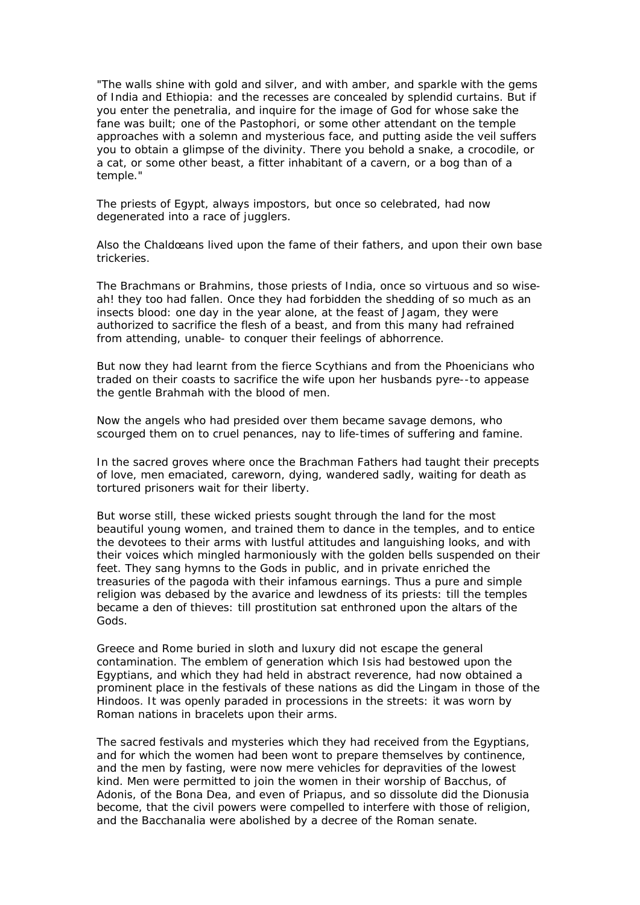"The walls shine with gold and silver, and with amber, and sparkle with the gems of India and Ethiopia: and the recesses are concealed by splendid curtains. But if you enter the penetralia, and inquire for the image of God for whose sake the fane was built; one of the Pastophori, or some other attendant on the temple approaches with a solemn and mysterious face, and putting aside the veil suffers you to obtain a glimpse of the divinity. There you behold a snake, a crocodile, or a cat, or some other beast, a fitter inhabitant of a cavern, or a bog than of a temple."

The priests of Egypt, always impostors, but once so celebrated, had now degenerated into a race of jugglers.

Also the Chaldœans lived upon the fame of their fathers, and upon their own base trickeries.

The Brachmans or Brahmins, those priests of India, once so virtuous and so wiseah! they too had fallen. Once they had forbidden the shedding of so much as an insects blood: one day in the year alone, at the feast of Jagam, they were authorized to sacrifice the flesh of a beast, and from this many had refrained from attending, unable- to conquer their feelings of abhorrence.

But now they had learnt from the fierce Scythians and from the Phoenicians who traded on their coasts to sacrifice the wife upon her husbands pyre--to appease the gentle Brahmah with the blood of men.

Now the angels who had presided over them became savage demons, who scourged them on to cruel penances, nay to life-times of suffering and famine.

In the sacred groves where once the Brachman Fathers had taught their precepts of love, men emaciated, careworn, dying, wandered sadly, waiting for death as tortured prisoners wait for their liberty.

But worse still, these wicked priests sought through the land for the most beautiful young women, and trained them to dance in the temples, and to entice the devotees to their arms with lustful attitudes and languishing looks, and with their voices which mingled harmoniously with the golden bells suspended on their feet. They sang hymns to the Gods in public, and in private enriched the treasuries of the pagoda with their infamous earnings. Thus a pure and simple religion was debased by the avarice and lewdness of its priests: till the temples became a den of thieves: till prostitution sat enthroned upon the altars of the Gods.

Greece and Rome buried in sloth and luxury did not escape the general contamination. The emblem of generation which Isis had bestowed upon the Egyptians, and which they had held in abstract reverence, had now obtained a prominent place in the festivals of these nations as did the Lingam in those of the Hindoos. It was openly paraded in processions in the streets: it was worn by Roman nations in bracelets upon their arms.

The sacred festivals and mysteries which they had received from the Egyptians, and for which the women had been wont to prepare themselves by continence, and the men by fasting, were now mere vehicles for depravities of the lowest kind. Men were permitted to join the women in their worship of Bacchus, of Adonis, of the Bona Dea, and even of Priapus, and so dissolute did the Dionusia become, that the civil powers were compelled to interfere with those of religion, and the Bacchanalia were abolished by a decree of the Roman senate.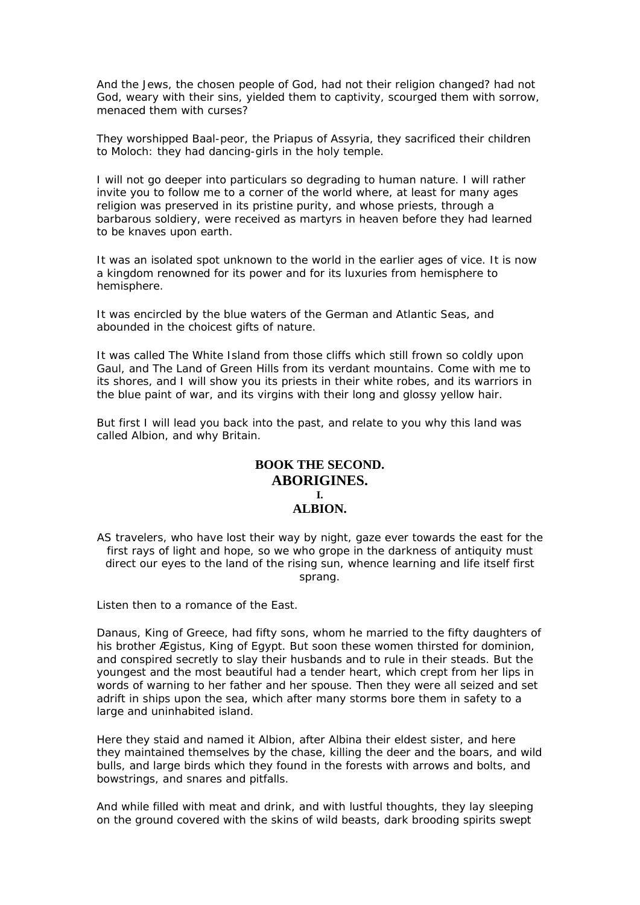And the Jews, the chosen people of God, had not their religion changed? had not God, weary with their sins, yielded them to captivity, scourged them with sorrow, menaced them with curses?

They worshipped Baal-peor, the Priapus of Assyria, they sacrificed their children to Moloch: they had dancing-girls in the holy temple.

I will not go deeper into particulars so degrading to human nature. I will rather invite you to follow me to a corner of the world where, at least for many ages religion was preserved in its pristine purity, and whose priests, through a barbarous soldiery, were received as martyrs in heaven before they had learned to be knaves upon earth.

It was an isolated spot unknown to the world in the earlier ages of vice. It is now a kingdom renowned for its power and for its luxuries from hemisphere to hemisphere.

It was encircled by the blue waters of the German and Atlantic Seas, and abounded in the choicest gifts of nature.

It was called The White Island from those cliffs which still frown so coldly upon Gaul, and The Land of Green Hills from its verdant mountains. Come with me to its shores, and I will show you its priests in their white robes, and its warriors in the blue paint of war, and its virgins with their long and glossy yellow hair.

But first I will lead you back into the past, and relate to you why this land was called Albion, and why Britain.

## **BOOK THE SECOND. ABORIGINES. I. ALBION.**

AS travelers, who have lost their way by night, gaze ever towards the east for the first rays of light and hope, so we who grope in the darkness of antiquity must direct our eyes to the land of the rising sun, whence learning and life itself first sprang.

Listen then to a romance of the East.

Danaus, King of Greece, had fifty sons, whom he married to the fifty daughters of his brother Ægistus, King of Egypt. But soon these women thirsted for dominion, and conspired secretly to slay their husbands and to rule in their steads. But the youngest and the most beautiful had a tender heart, which crept from her lips in words of warning to her father and her spouse. Then they were all seized and set adrift in ships upon the sea, which after many storms bore them in safety to a large and uninhabited island.

Here they staid and named it Albion, after Albina their eldest sister, and here they maintained themselves by the chase, killing the deer and the boars, and wild bulls, and large birds which they found in the forests with arrows and bolts, and bowstrings, and snares and pitfalls.

And while filled with meat and drink, and with lustful thoughts, they lay sleeping on the ground covered with the skins of wild beasts, dark brooding spirits swept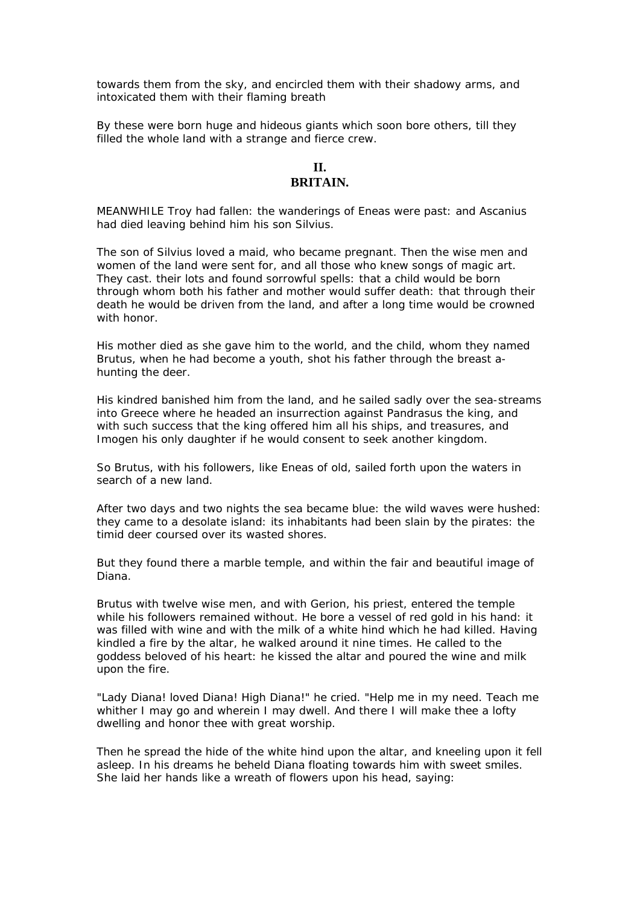towards them from the sky, and encircled them with their shadowy arms, and intoxicated them with their flaming breath

By these were born huge and hideous giants which soon bore others, till they filled the whole land with a strange and fierce crew.

#### **II. BRITAIN.**

MEANWHILE Troy had fallen: the wanderings of Eneas were past: and Ascanius had died leaving behind him his son Silvius.

The son of Silvius loved a maid, who became pregnant. Then the wise men and women of the land were sent for, and all those who knew songs of magic art. They cast. their lots and found sorrowful spells: that a child would be born through whom both his father and mother would suffer death: that through their death he would be driven from the land, and after a long time would be crowned with honor

His mother died as she gave him to the world, and the child, whom they named Brutus, when he had become a youth, shot his father through the breast ahunting the deer.

His kindred banished him from the land, and he sailed sadly over the sea-streams into Greece where he headed an insurrection against Pandrasus the king, and with such success that the king offered him all his ships, and treasures, and Imogen his only daughter if he would consent to seek another kingdom.

So Brutus, with his followers, like Eneas of old, sailed forth upon the waters in search of a new land.

After two days and two nights the sea became blue: the wild waves were hushed: they came to a desolate island: its inhabitants had been slain by the pirates: the timid deer coursed over its wasted shores.

But they found there a marble temple, and within the fair and beautiful image of Diana.

Brutus with twelve wise men, and with Gerion, his priest, entered the temple while his followers remained without. He bore a vessel of red gold in his hand: it was filled with wine and with the milk of a white hind which he had killed. Having kindled a fire by the altar, he walked around it nine times. He called to the goddess beloved of his heart: he kissed the altar and poured the wine and milk upon the fire.

"Lady Diana! loved Diana! High Diana!" he cried. "Help me in my need. Teach me whither I may go and wherein I may dwell. And there I will make thee a lofty dwelling and honor thee with great worship.

Then he spread the hide of the white hind upon the altar, and kneeling upon it fell asleep. In his dreams he beheld Diana floating towards him with sweet smiles. She laid her hands like a wreath of flowers upon his head, saying: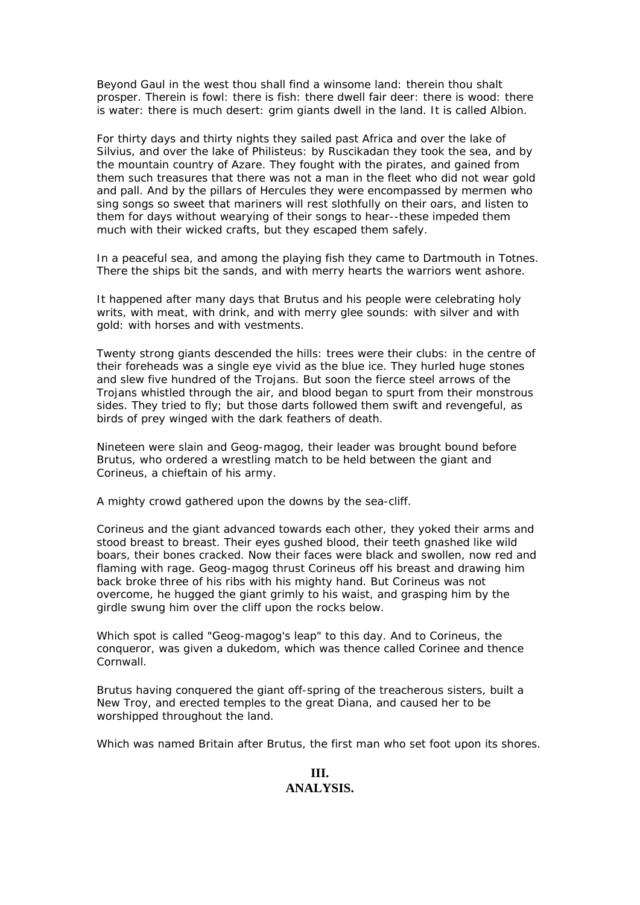Beyond Gaul in the west thou shall find a winsome land: therein thou shalt prosper. Therein is fowl: there is fish: there dwell fair deer: there is wood: there is water: there is much desert: grim giants dwell in the land. It is called Albion.

For thirty days and thirty nights they sailed past Africa and over the lake of Silvius, and over the lake of Philisteus: by Ruscikadan they took the sea, and by the mountain country of Azare. They fought with the pirates, and gained from them such treasures that there was not a man in the fleet who did not wear gold and pall. And by the pillars of Hercules they were encompassed by mermen who sing songs so sweet that mariners will rest slothfully on their oars, and listen to them for days without wearying of their songs to hear--these impeded them much with their wicked crafts, but they escaped them safely.

In a peaceful sea, and among the playing fish they came to Dartmouth in Totnes. There the ships bit the sands, and with merry hearts the warriors went ashore.

It happened after many days that Brutus and his people were celebrating holy writs, with meat, with drink, and with merry glee sounds: with silver and with gold: with horses and with vestments.

Twenty strong giants descended the hills: trees were their clubs: in the centre of their foreheads was a single eye vivid as the blue ice. They hurled huge stones and slew five hundred of the Trojans. But soon the fierce steel arrows of the Trojans whistled through the air, and blood began to spurt from their monstrous sides. They tried to fly; but those darts followed them swift and revengeful, as birds of prey winged with the dark feathers of death.

Nineteen were slain and Geog-magog, their leader was brought bound before Brutus, who ordered a wrestling match to be held between the giant and Corineus, a chieftain of his army.

A mighty crowd gathered upon the downs by the sea-cliff.

Corineus and the giant advanced towards each other, they yoked their arms and stood breast to breast. Their eyes gushed blood, their teeth gnashed like wild boars, their bones cracked. Now their faces were black and swollen, now red and flaming with rage. Geog-magog thrust Corineus off his breast and drawing him back broke three of his ribs with his mighty hand. But Corineus was not overcome, he hugged the giant grimly to his waist, and grasping him by the girdle swung him over the cliff upon the rocks below.

Which spot is called "Geog-magog's leap" to this day. And to Corineus, the conqueror, was given a dukedom, which was thence called Corinee and thence Cornwall.

Brutus having conquered the giant off-spring of the treacherous sisters, built a New Troy, and erected temples to the great Diana, and caused her to be worshipped throughout the land.

Which was named Britain after Brutus, the first man who set foot upon its shores.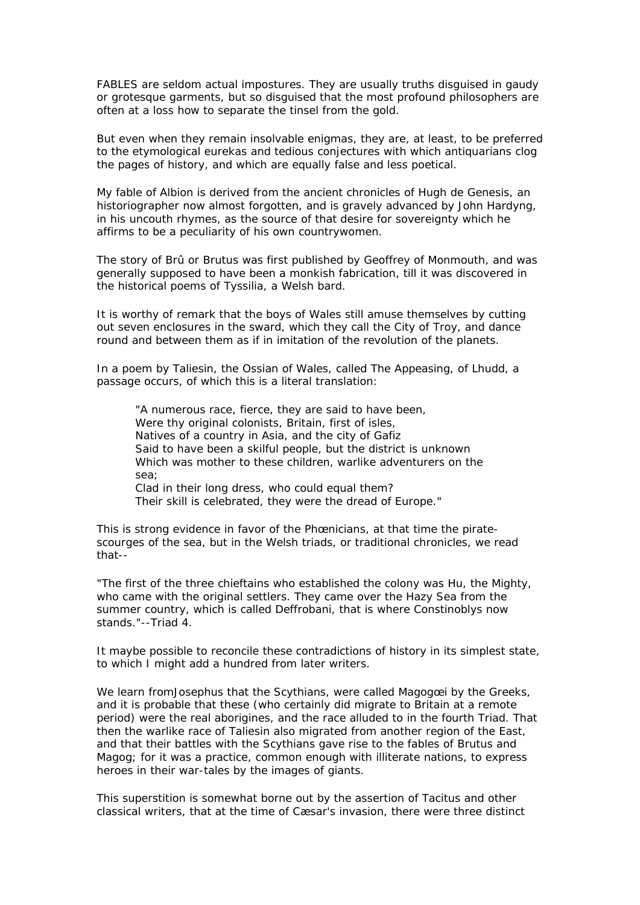FABLES are seldom actual impostures. They are usually truths disguised in gaudy or grotesque garments, but so disguised that the most profound philosophers are often at a loss how to separate the tinsel from the gold.

But even when they remain insolvable enigmas, they are, at least, to be preferred to the etymological eurekas and tedious conjectures with which antiquarians clog the pages of history, and which are equally false and less poetical.

My fable of Albion is derived from the ancient chronicles of Hugh de Genesis, an historiographer now almost forgotten, and is gravely advanced by John Hardyng, in his uncouth rhymes, as the source of that desire for sovereignty which he affirms to be a peculiarity of his own countrywomen.

The story of Brû or Brutus was first published by Geoffrey of Monmouth, and was generally supposed to have been a monkish fabrication, till it was discovered in the historical poems of Tyssilia, a Welsh bard.

It is worthy of remark that the boys of Wales still amuse themselves by cutting out seven enclosures in the sward, which they call the City of Troy, and dance round and between them as if in imitation of the revolution of the planets.

In a poem by Taliesin, the Ossian of Wales, called The Appeasing, of Lhudd, a passage occurs, of which this is a literal translation:

"A numerous race, fierce, they are said to have been, Were thy original colonists, Britain, first of isles, Natives of a country in Asia, and the city of Gafiz Said to have been a skilful people, but the district is unknown Which was mother to these children, warlike adventurers on the sea; Clad in their long dress, who could equal them?

Their skill is celebrated, they were the dread of Europe."

This is strong evidence in favor of the Phœnicians, at that time the piratescourges of the sea, but in the Welsh triads, or traditional chronicles, we read that--

"The first of the three chieftains who established the colony was Hu, the Mighty, who came with the original settlers. They came over the Hazy Sea from the summer country, which is called Deffrobani, that is where Constinoblys now stands."--Triad 4.

It maybe possible to reconcile these contradictions of history in its simplest state, to which I might add a hundred from later writers.

We learn fromJosephus that the Scythians, were called Magogœi by the Greeks, and it is probable that these (who certainly did migrate to Britain at a remote period) were the real aborigines, and the race alluded to in the fourth Triad. That then the warlike race of Taliesin also migrated from another region of the East, and that their battles with the Scythians gave rise to the fables of Brutus and Magog; for it was a practice, common enough with illiterate nations, to express heroes in their war-tales by the images of giants.

This superstition is somewhat borne out by the assertion of Tacitus and other classical writers, that at the time of Cæsar's invasion, there were three distinct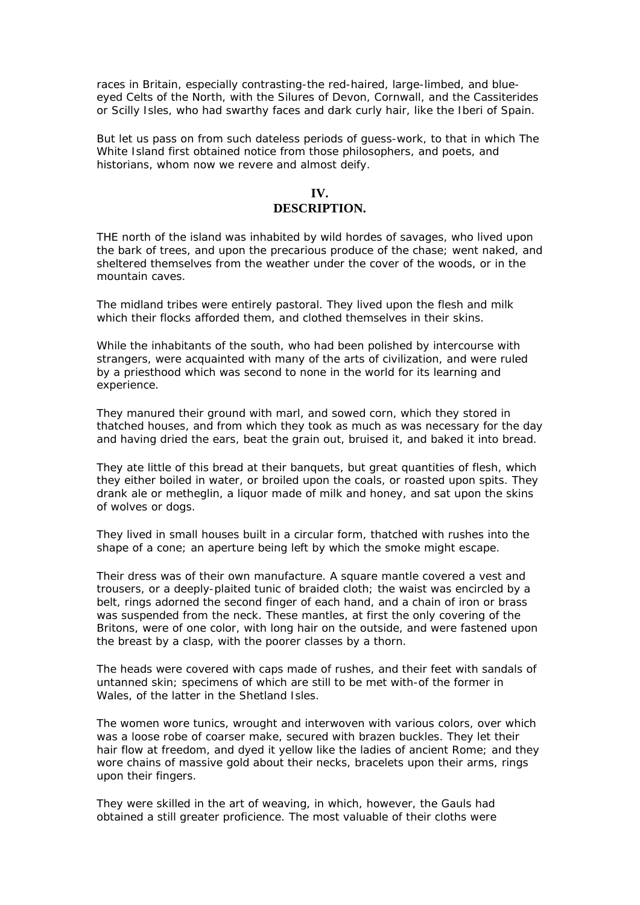races in Britain, especially contrasting-the red-haired, large-limbed, and blueeyed Celts of the North, with the Silures of Devon, Cornwall, and the Cassiterides or Scilly Isles, who had swarthy faces and dark curly hair, like the Iberi of Spain.

But let us pass on from such dateless periods of guess-work, to that in which The White Island first obtained notice from those philosophers, and poets, and historians, whom now we revere and almost deify.

### **IV. DESCRIPTION.**

THE north of the island was inhabited by wild hordes of savages, who lived upon the bark of trees, and upon the precarious produce of the chase; went naked, and sheltered themselves from the weather under the cover of the woods, or in the mountain caves.

The midland tribes were entirely pastoral. They lived upon the flesh and milk which their flocks afforded them, and clothed themselves in their skins.

While the inhabitants of the south, who had been polished by intercourse with strangers, were acquainted with many of the arts of civilization, and were ruled by a priesthood which was second to none in the world for its learning and experience.

They manured their ground with marl, and sowed corn, which they stored in thatched houses, and from which they took as much as was necessary for the day and having dried the ears, beat the grain out, bruised it, and baked it into bread.

They ate little of this bread at their banquets, but great quantities of flesh, which they either boiled in water, or broiled upon the coals, or roasted upon spits. They drank ale or metheglin, a liquor made of milk and honey, and sat upon the skins of wolves or dogs.

They lived in small houses built in a circular form, thatched with rushes into the shape of a cone; an aperture being left by which the smoke might escape.

Their dress was of their own manufacture. A square mantle covered a vest and trousers, or a deeply-plaited tunic of braided cloth; the waist was encircled by a belt, rings adorned the second finger of each hand, and a chain of iron or brass was suspended from the neck. These mantles, at first the only covering of the Britons, were of one color, with long hair on the outside, and were fastened upon the breast by a clasp, with the poorer classes by a thorn.

The heads were covered with caps made of rushes, and their feet with sandals of untanned skin; specimens of which are still to be met with-of the former in Wales, of the latter in the Shetland Isles.

The women wore tunics, wrought and interwoven with various colors, over which was a loose robe of coarser make, secured with brazen buckles. They let their hair flow at freedom, and dyed it yellow like the ladies of ancient Rome; and they wore chains of massive gold about their necks, bracelets upon their arms, rings upon their fingers.

They were skilled in the art of weaving, in which, however, the Gauls had obtained a still greater proficience. The most valuable of their cloths were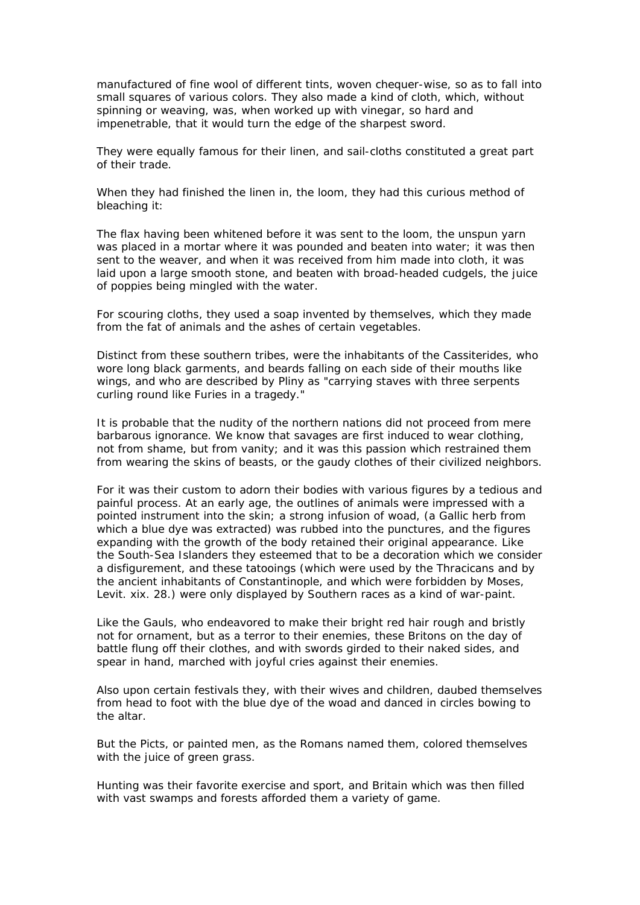manufactured of fine wool of different tints, woven chequer-wise, so as to fall into small squares of various colors. They also made a kind of cloth, which, without spinning or weaving, was, when worked up with vinegar, so hard and impenetrable, that it would turn the edge of the sharpest sword.

They were equally famous for their linen, and sail-cloths constituted a great part of their trade.

When they had finished the linen in, the loom, they had this curious method of bleaching it:

The flax having been whitened before it was sent to the loom, the unspun yarn was placed in a mortar where it was pounded and beaten into water; it was then sent to the weaver, and when it was received from him made into cloth, it was laid upon a large smooth stone, and beaten with broad-headed cudgels, the juice of poppies being mingled with the water.

For scouring cloths, they used a soap invented by themselves, which they made from the fat of animals and the ashes of certain vegetables.

Distinct from these southern tribes, were the inhabitants of the Cassiterides, who wore long black garments, and beards falling on each side of their mouths like wings, and who are described by Pliny as "carrying staves with three serpents curling round like Furies in a tragedy."

It is probable that the nudity of the northern nations did not proceed from mere barbarous ignorance. We know that savages are first induced to wear clothing, not from shame, but from vanity; and it was this passion which restrained them from wearing the skins of beasts, or the gaudy clothes of their civilized neighbors.

For it was their custom to adorn their bodies with various figures by a tedious and painful process. At an early age, the outlines of animals were impressed with a pointed instrument into the skin; a strong infusion of woad, (a Gallic herb from which a blue dye was extracted) was rubbed into the punctures, and the figures expanding with the growth of the body retained their original appearance. Like the South-Sea Islanders they esteemed that to be a decoration which we consider a disfigurement, and these tatooings (which were used by the Thracicans and by the ancient inhabitants of Constantinople, and which were forbidden by Moses, Levit. xix. 28.) were only displayed by Southern races as a kind of war-paint.

Like the Gauls, who endeavored to make their bright red hair rough and bristly not for ornament, but as a terror to their enemies, these Britons on the day of battle flung off their clothes, and with swords girded to their naked sides, and spear in hand, marched with joyful cries against their enemies.

Also upon certain festivals they, with their wives and children, daubed themselves from head to foot with the blue dye of the woad and danced in circles bowing to the altar.

But the Picts, or painted men, as the Romans named them, colored themselves with the juice of green grass.

Hunting was their favorite exercise and sport, and Britain which was then filled with vast swamps and forests afforded them a variety of game.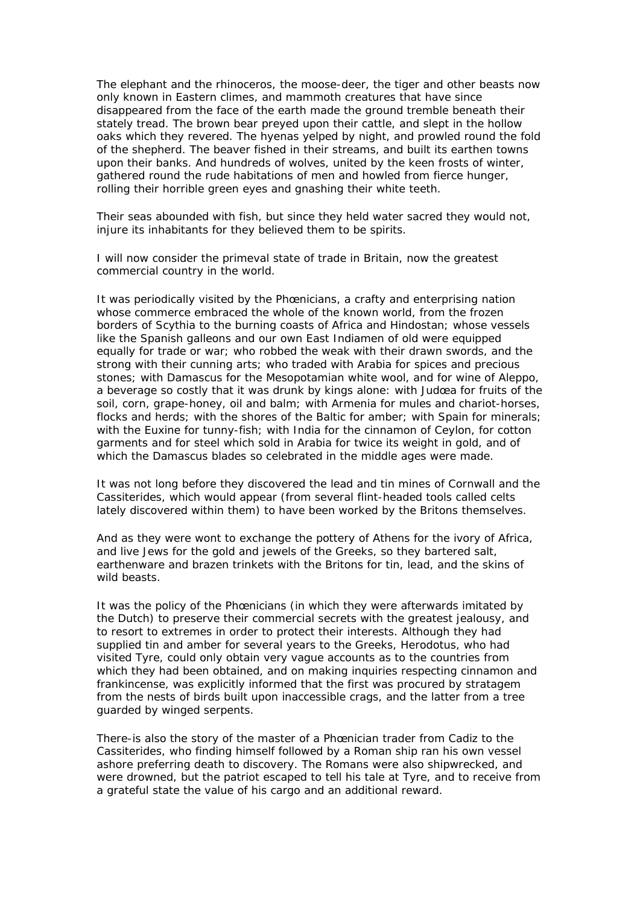The elephant and the rhinoceros, the moose-deer, the tiger and other beasts now only known in Eastern climes, and mammoth creatures that have since disappeared from the face of the earth made the ground tremble beneath their stately tread. The brown bear preyed upon their cattle, and slept in the hollow oaks which they revered. The hyenas yelped by night, and prowled round the fold of the shepherd. The beaver fished in their streams, and built its earthen towns upon their banks. And hundreds of wolves, united by the keen frosts of winter, gathered round the rude habitations of men and howled from fierce hunger, rolling their horrible green eyes and gnashing their white teeth.

Their seas abounded with fish, but since they held water sacred they would not, injure its inhabitants for they believed them to be spirits.

I will now consider the primeval state of trade in Britain, now the greatest commercial country in the world.

It was periodically visited by the Phœnicians, a crafty and enterprising nation whose commerce embraced the whole of the known world, from the frozen borders of Scythia to the burning coasts of Africa and Hindostan; whose vessels like the Spanish galleons and our own East Indiamen of old were equipped equally for trade or war; who robbed the weak with their drawn swords, and the strong with their cunning arts; who traded with Arabia for spices and precious stones; with Damascus for the Mesopotamian white wool, and for wine of Aleppo, a beverage so costly that it was drunk by kings alone: with Judœa for fruits of the soil, corn, grape-honey, oil and balm; with Armenia for mules and chariot-horses, flocks and herds; with the shores of the Baltic for amber; with Spain for minerals; with the Euxine for tunny-fish; with India for the cinnamon of Ceylon, for cotton garments and for steel which sold in Arabia for twice its weight in gold, and of which the Damascus blades so celebrated in the middle ages were made.

It was not long before they discovered the lead and tin mines of Cornwall and the Cassiterides, which would appear (from several flint-headed tools called celts lately discovered within them) to have been worked by the Britons themselves.

And as they were wont to exchange the pottery of Athens for the ivory of Africa, and live Jews for the gold and jewels of the Greeks, so they bartered salt, earthenware and brazen trinkets with the Britons for tin, lead, and the skins of wild beasts.

It was the policy of the Phœnicians (in which they were afterwards imitated by the Dutch) to preserve their commercial secrets with the greatest jealousy, and to resort to extremes in order to protect their interests. Although they had supplied tin and amber for several years to the Greeks, Herodotus, who had visited Tyre, could only obtain very vague accounts as to the countries from which they had been obtained, and on making inquiries respecting cinnamon and frankincense, was explicitly informed that the first was procured by stratagem from the nests of birds built upon inaccessible crags, and the latter from a tree guarded by winged serpents.

There-is also the story of the master of a Phœnician trader from Cadiz to the Cassiterides, who finding himself followed by a Roman ship ran his own vessel ashore preferring death to discovery. The Romans were also shipwrecked, and were drowned, but the patriot escaped to tell his tale at Tyre, and to receive from a grateful state the value of his cargo and an additional reward.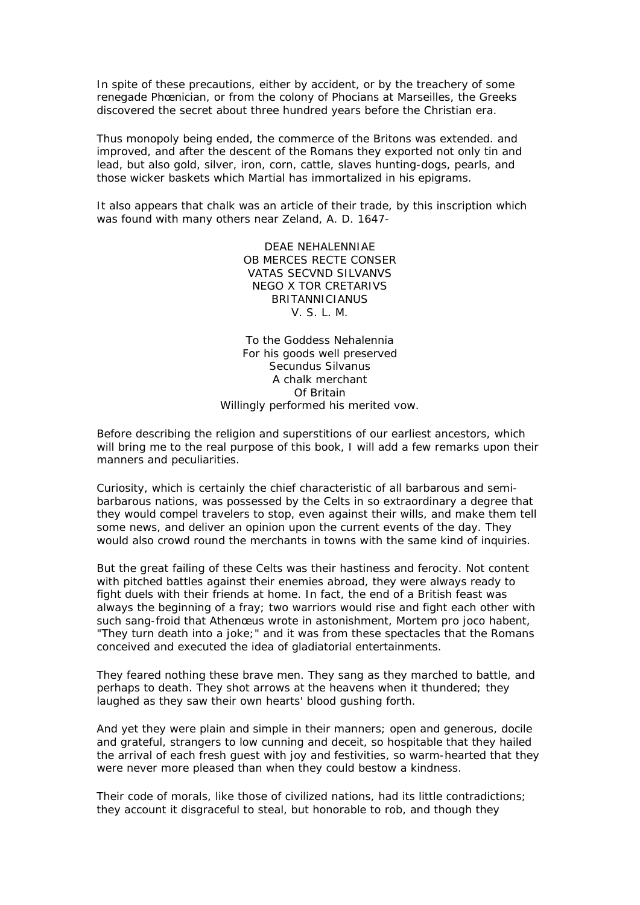In spite of these precautions, either by accident, or by the treachery of some renegade Phœnician, or from the colony of Phocians at Marseilles, the Greeks discovered the secret about three hundred years before the Christian era.

Thus monopoly being ended, the commerce of the Britons was extended. and improved, and after the descent of the Romans they exported not only tin and lead, but also gold, silver, iron, corn, cattle, slaves hunting-dogs, pearls, and those wicker baskets which Martial has immortalized in his epigrams.

It also appears that chalk was an article of their trade, by this inscription which was found with many others near Zeland, A. D. 1647-

> DEAE NEHALENNIAE OB MERCES RECTE CONSER VATAS SECVND SILVANVS NEGO X TOR CRETARIVS **BRITANNICIANUS** V. S. L. M.

To the Goddess Nehalennia For his goods well preserved Secundus Silvanus A chalk merchant Of Britain Willingly performed his merited vow.

Before describing the religion and superstitions of our earliest ancestors, which will bring me to the real purpose of this book, I will add a few remarks upon their manners and peculiarities.

Curiosity, which is certainly the chief characteristic of all barbarous and semibarbarous nations, was possessed by the Celts in so extraordinary a degree that they would compel travelers to stop, even against their wills, and make them tell some news, and deliver an opinion upon the current events of the day. They would also crowd round the merchants in towns with the same kind of inquiries.

But the great failing of these Celts was their hastiness and ferocity. Not content with pitched battles against their enemies abroad, they were always ready to fight duels with their friends at home. In fact, the end of a British feast was always the beginning of a fray; two warriors would rise and fight each other with such sang-froid that Athenœus wrote in astonishment, Mortem pro joco habent, "They turn death into a joke;" and it was from these spectacles that the Romans conceived and executed the idea of gladiatorial entertainments.

They feared nothing these brave men. They sang as they marched to battle, and perhaps to death. They shot arrows at the heavens when it thundered; they laughed as they saw their own hearts' blood gushing forth.

And yet they were plain and simple in their manners; open and generous, docile and grateful, strangers to low cunning and deceit, so hospitable that they hailed the arrival of each fresh guest with joy and festivities, so warm-hearted that they were never more pleased than when they could bestow a kindness.

Their code of morals, like those of civilized nations, had its little contradictions; they account it disgraceful to steal, but honorable to rob, and though they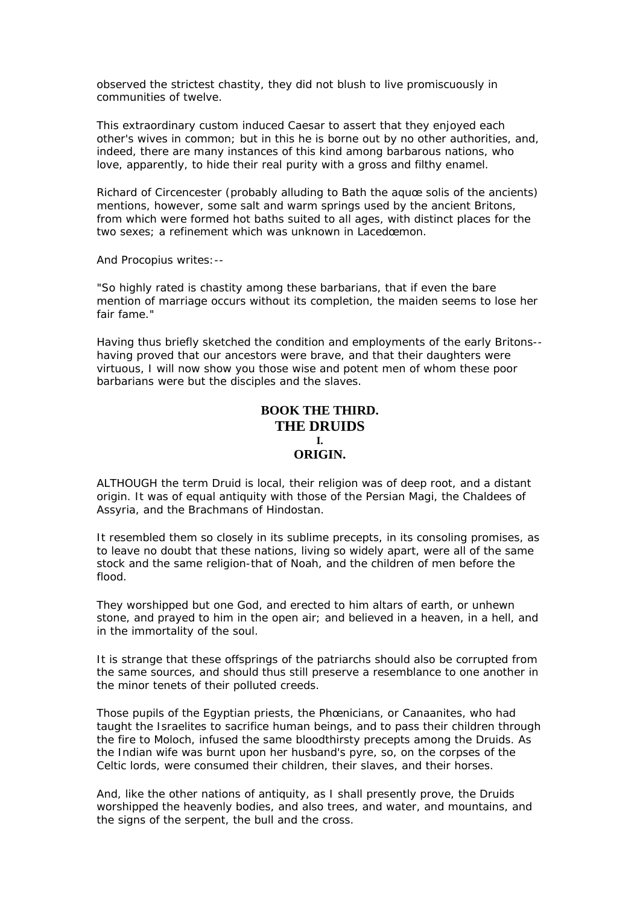observed the strictest chastity, they did not blush to live promiscuously in communities of twelve.

This extraordinary custom induced Caesar to assert that they enjoyed each other's wives in common; but in this he is borne out by no other authorities, and, indeed, there are many instances of this kind among barbarous nations, who love, apparently, to hide their real purity with a gross and filthy enamel.

Richard of Circencester (probably alluding to Bath the aquœ solis of the ancients) mentions, however, some salt and warm springs used by the ancient Britons, from which were formed hot baths suited to all ages, with distinct places for the two sexes; a refinement which was unknown in Lacedœmon.

And Procopius writes:--

"So highly rated is chastity among these barbarians, that if even the bare mention of marriage occurs without its completion, the maiden seems to lose her fair fame."

Having thus briefly sketched the condition and employments of the early Britons- having proved that our ancestors were brave, and that their daughters were virtuous, I will now show you those wise and potent men of whom these poor barbarians were but the disciples and the slaves.

## **BOOK THE THIRD. THE DRUIDS I. ORIGIN.**

ALTHOUGH the term Druid is local, their religion was of deep root, and a distant origin. It was of equal antiquity with those of the Persian Magi, the Chaldees of Assyria, and the Brachmans of Hindostan.

It resembled them so closely in its sublime precepts, in its consoling promises, as to leave no doubt that these nations, living so widely apart, were all of the same stock and the same religion-that of Noah, and the children of men before the flood.

They worshipped but one God, and erected to him altars of earth, or unhewn stone, and prayed to him in the open air; and believed in a heaven, in a hell, and in the immortality of the soul.

It is strange that these offsprings of the patriarchs should also be corrupted from the same sources, and should thus still preserve a resemblance to one another in the minor tenets of their polluted creeds.

Those pupils of the Egyptian priests, the Phœnicians, or Canaanites, who had taught the Israelites to sacrifice human beings, and to pass their children through the fire to Moloch, infused the same bloodthirsty precepts among the Druids. As the Indian wife was burnt upon her husband's pyre, so, on the corpses of the Celtic lords, were consumed their children, their slaves, and their horses.

And, like the other nations of antiquity, as I shall presently prove, the Druids worshipped the heavenly bodies, and also trees, and water, and mountains, and the signs of the serpent, the bull and the cross.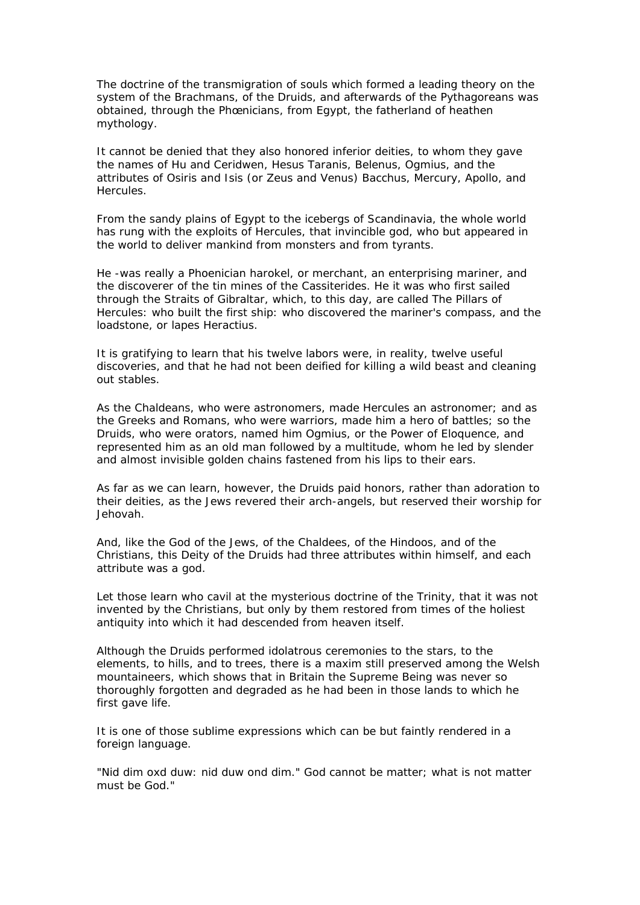The doctrine of the transmigration of souls which formed a leading theory on the system of the Brachmans, of the Druids, and afterwards of the Pythagoreans was obtained, through the Phœnicians, from Egypt, the fatherland of heathen mythology.

It cannot be denied that they also honored inferior deities, to whom they gave the names of Hu and Ceridwen, Hesus Taranis, Belenus, Ogmius, and the attributes of Osiris and Isis (or Zeus and Venus) Bacchus, Mercury, Apollo, and Hercules.

From the sandy plains of Egypt to the icebergs of Scandinavia, the whole world has rung with the exploits of Hercules, that invincible god, who but appeared in the world to deliver mankind from monsters and from tyrants.

He -was really a Phoenician harokel, or merchant, an enterprising mariner, and the discoverer of the tin mines of the Cassiterides. He it was who first sailed through the Straits of Gibraltar, which, to this day, are called The Pillars of Hercules: who built the first ship: who discovered the mariner's compass, and the loadstone, or lapes Heractius.

It is gratifying to learn that his twelve labors were, in reality, twelve useful discoveries, and that he had not been deified for killing a wild beast and cleaning out stables.

As the Chaldeans, who were astronomers, made Hercules an astronomer; and as the Greeks and Romans, who were warriors, made him a hero of battles; so the Druids, who were orators, named him Ogmius, or the Power of Eloquence, and represented him as an old man followed by a multitude, whom he led by slender and almost invisible golden chains fastened from his lips to their ears.

As far as we can learn, however, the Druids paid honors, rather than adoration to their deities, as the Jews revered their arch-angels, but reserved their worship for Jehovah.

And, like the God of the Jews, of the Chaldees, of the Hindoos, and of the Christians, this Deity of the Druids had three attributes within himself, and each attribute was a god.

Let those learn who cavil at the mysterious doctrine of the Trinity, that it was not invented by the Christians, but only by them restored from times of the holiest antiquity into which it had descended from heaven itself.

Although the Druids performed idolatrous ceremonies to the stars, to the elements, to hills, and to trees, there is a maxim still preserved among the Welsh mountaineers, which shows that in Britain the Supreme Being was never so thoroughly forgotten and degraded as he had been in those lands to which he first gave life.

It is one of those sublime expressions which can be but faintly rendered in a foreign language.

"Nid dim oxd duw: nid duw ond dim." God cannot be matter; what is not matter must be God."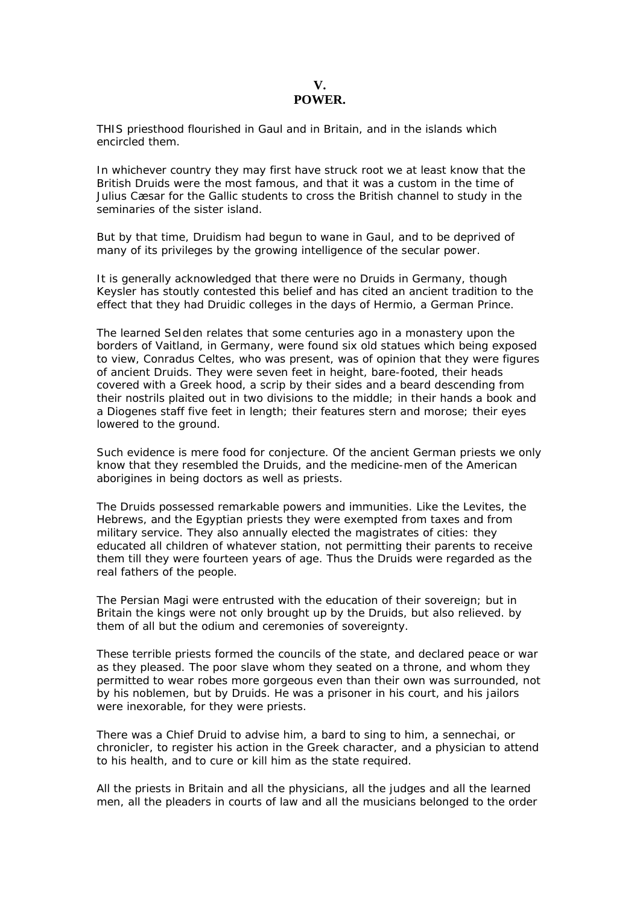### **V. POWER.**

THIS priesthood flourished in Gaul and in Britain, and in the islands which encircled them.

In whichever country they may first have struck root we at least know that the British Druids were the most famous, and that it was a custom in the time of Julius Cæsar for the Gallic students to cross the British channel to study in the seminaries of the sister island.

But by that time, Druidism had begun to wane in Gaul, and to be deprived of many of its privileges by the growing intelligence of the secular power.

It is generally acknowledged that there were no Druids in Germany, though Keysler has stoutly contested this belief and has cited an ancient tradition to the effect that they had Druidic colleges in the days of Hermio, a German Prince.

The learned SeIden relates that some centuries ago in a monastery upon the borders of Vaitland, in Germany, were found six old statues which being exposed to view, Conradus Celtes, who was present, was of opinion that they were figures of ancient Druids. They were seven feet in height, bare-footed, their heads covered with a Greek hood, a scrip by their sides and a beard descending from their nostrils plaited out in two divisions to the middle; in their hands a book and a Diogenes staff five feet in length; their features stern and morose; their eyes lowered to the ground.

Such evidence is mere food for conjecture. Of the ancient German priests we only know that they resembled the Druids, and the medicine-men of the American aborigines in being doctors as well as priests.

The Druids possessed remarkable powers and immunities. Like the Levites, the Hebrews, and the Egyptian priests they were exempted from taxes and from military service. They also annually elected the magistrates of cities: they educated all children of whatever station, not permitting their parents to receive them till they were fourteen years of age. Thus the Druids were regarded as the real fathers of the people.

The Persian Magi were entrusted with the education of their sovereign; but in Britain the kings were not only brought up by the Druids, but also relieved. by them of all but the odium and ceremonies of sovereignty.

These terrible priests formed the councils of the state, and declared peace or war as they pleased. The poor slave whom they seated on a throne, and whom they permitted to wear robes more gorgeous even than their own was surrounded, not by his noblemen, but by Druids. He was a prisoner in his court, and his jailors were inexorable, for they were priests.

There was a Chief Druid to advise him, a bard to sing to him, a sennechai, or chronicler, to register his action in the Greek character, and a physician to attend to his health, and to cure or kill him as the state required.

All the priests in Britain and all the physicians, all the judges and all the learned men, all the pleaders in courts of law and all the musicians belonged to the order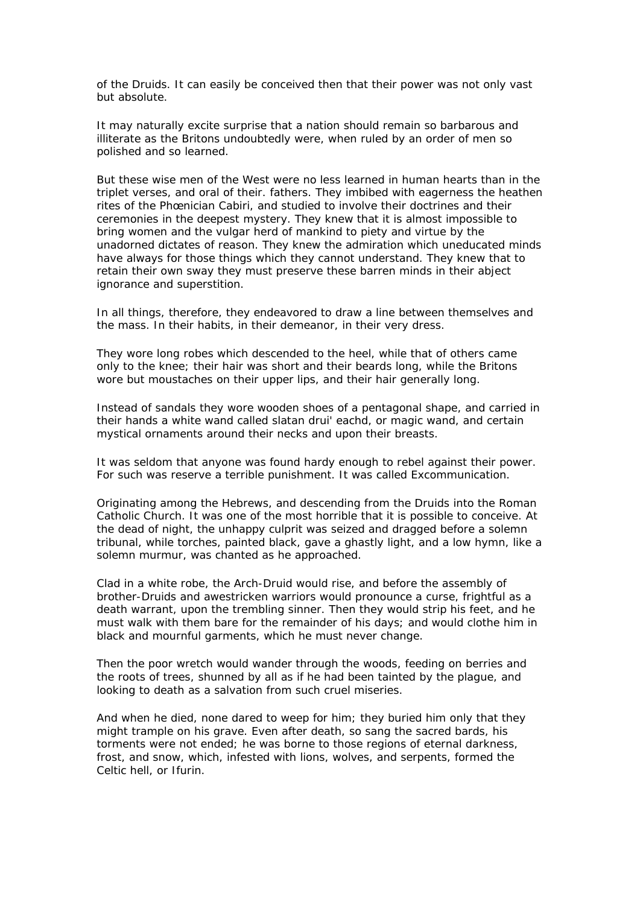of the Druids. It can easily be conceived then that their power was not only vast but absolute.

It may naturally excite surprise that a nation should remain so barbarous and illiterate as the Britons undoubtedly were, when ruled by an order of men so polished and so learned.

But these wise men of the West were no less learned in human hearts than in the triplet verses, and oral of their. fathers. They imbibed with eagerness the heathen rites of the Phœnician Cabiri, and studied to involve their doctrines and their ceremonies in the deepest mystery. They knew that it is almost impossible to bring women and the vulgar herd of mankind to piety and virtue by the unadorned dictates of reason. They knew the admiration which uneducated minds have always for those things which they cannot understand. They knew that to retain their own sway they must preserve these barren minds in their abject ignorance and superstition.

In all things, therefore, they endeavored to draw a line between themselves and the mass. In their habits, in their demeanor, in their very dress.

They wore long robes which descended to the heel, while that of others came only to the knee; their hair was short and their beards long, while the Britons wore but moustaches on their upper lips, and their hair generally long.

Instead of sandals they wore wooden shoes of a pentagonal shape, and carried in their hands a white wand called slatan drui' eachd, or magic wand, and certain mystical ornaments around their necks and upon their breasts.

It was seldom that anyone was found hardy enough to rebel against their power. For such was reserve a terrible punishment. It was called Excommunication.

Originating among the Hebrews, and descending from the Druids into the Roman Catholic Church. It was one of the most horrible that it is possible to conceive. At the dead of night, the unhappy culprit was seized and dragged before a solemn tribunal, while torches, painted black, gave a ghastly light, and a low hymn, like a solemn murmur, was chanted as he approached.

Clad in a white robe, the Arch-Druid would rise, and before the assembly of brother-Druids and awestricken warriors would pronounce a curse, frightful as a death warrant, upon the trembling sinner. Then they would strip his feet, and he must walk with them bare for the remainder of his days; and would clothe him in black and mournful garments, which he must never change.

Then the poor wretch would wander through the woods, feeding on berries and the roots of trees, shunned by all as if he had been tainted by the plague, and looking to death as a salvation from such cruel miseries.

And when he died, none dared to weep for him; they buried him only that they might trample on his grave. Even after death, so sang the sacred bards, his torments were not ended; he was borne to those regions of eternal darkness, frost, and snow, which, infested with lions, wolves, and serpents, formed the Celtic hell, or Ifurin.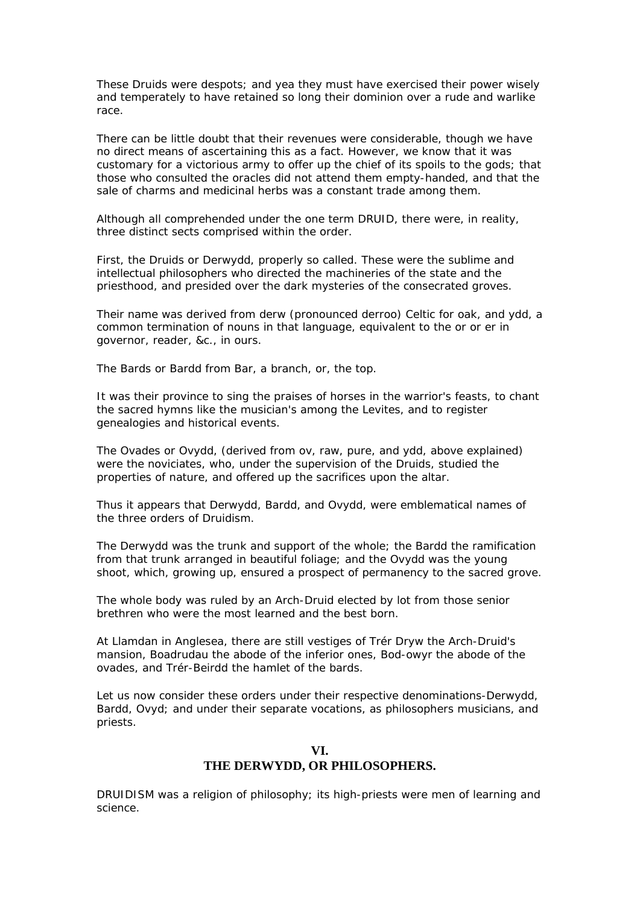These Druids were despots; and yea they must have exercised their power wisely and temperately to have retained so long their dominion over a rude and warlike race.

There can be little doubt that their revenues were considerable, though we have no direct means of ascertaining this as a fact. However, we know that it was customary for a victorious army to offer up the chief of its spoils to the gods; that those who consulted the oracles did not attend them empty-handed, and that the sale of charms and medicinal herbs was a constant trade among them.

Although all comprehended under the one term DRUID, there were, in reality, three distinct sects comprised within the order.

First, the Druids or Derwydd, properly so called. These were the sublime and intellectual philosophers who directed the machineries of the state and the priesthood, and presided over the dark mysteries of the consecrated groves.

Their name was derived from derw (pronounced derroo) Celtic for oak, and ydd, a common termination of nouns in that language, equivalent to the or or er in governor, reader, &c., in ours.

The Bards or Bardd from Bar, a branch, or, the top.

It was their province to sing the praises of horses in the warrior's feasts, to chant the sacred hymns like the musician's among the Levites, and to register genealogies and historical events.

The Ovades or Ovydd, (derived from ov, raw, pure, and ydd, above explained) were the noviciates, who, under the supervision of the Druids, studied the properties of nature, and offered up the sacrifices upon the altar.

Thus it appears that Derwydd, Bardd, and Ovydd, were emblematical names of the three orders of Druidism.

The Derwydd was the trunk and support of the whole; the Bardd the ramification from that trunk arranged in beautiful foliage; and the Ovydd was the young shoot, which, growing up, ensured a prospect of permanency to the sacred grove.

The whole body was ruled by an Arch-Druid elected by lot from those senior brethren who were the most learned and the best born.

At Llamdan in Anglesea, there are still vestiges of Trér Dryw the Arch-Druid's mansion, Boadrudau the abode of the inferior ones, Bod-owyr the abode of the ovades, and Trér-Beirdd the hamlet of the bards.

Let us now consider these orders under their respective denominations-Derwydd, Bardd, Ovyd; and under their separate vocations, as philosophers musicians, and priests.

## **VI. THE DERWYDD, OR PHILOSOPHERS.**

DRUIDISM was a religion of philosophy; its high-priests were men of learning and science.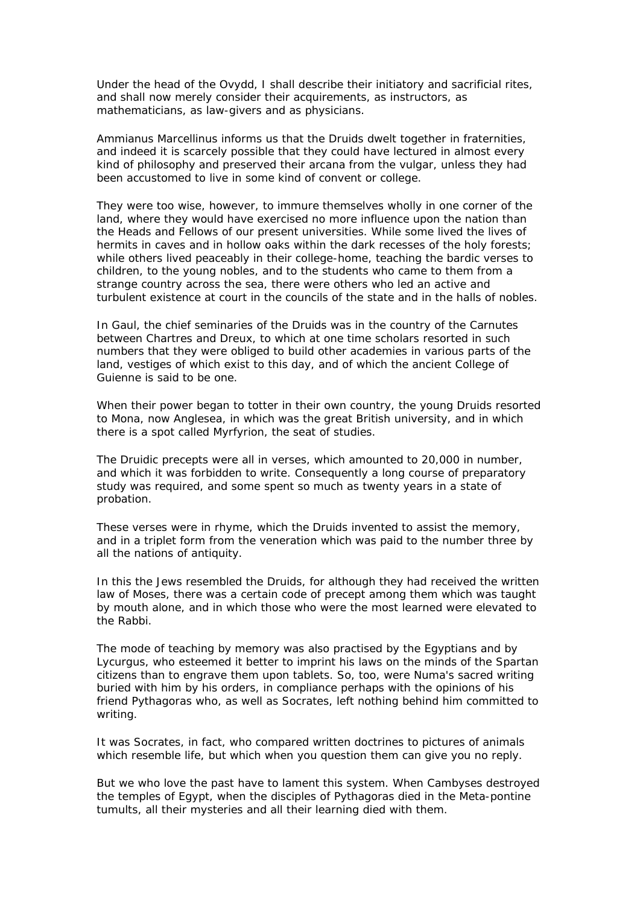Under the head of the Ovydd, I shall describe their initiatory and sacrificial rites, and shall now merely consider their acquirements, as instructors, as mathematicians, as law-givers and as physicians.

Ammianus Marcellinus informs us that the Druids dwelt together in fraternities, and indeed it is scarcely possible that they could have lectured in almost every kind of philosophy and preserved their arcana from the vulgar, unless they had been accustomed to live in some kind of convent or college.

They were too wise, however, to immure themselves wholly in one corner of the land, where they would have exercised no more influence upon the nation than the Heads and Fellows of our present universities. While some lived the lives of hermits in caves and in hollow oaks within the dark recesses of the holy forests; while others lived peaceably in their college-home, teaching the bardic verses to children, to the young nobles, and to the students who came to them from a strange country across the sea, there were others who led an active and turbulent existence at court in the councils of the state and in the halls of nobles.

In Gaul, the chief seminaries of the Druids was in the country of the Carnutes between Chartres and Dreux, to which at one time scholars resorted in such numbers that they were obliged to build other academies in various parts of the land, vestiges of which exist to this day, and of which the ancient College of Guienne is said to be one.

When their power began to totter in their own country, the young Druids resorted to Mona, now Anglesea, in which was the great British university, and in which there is a spot called Myrfyrion, the seat of studies.

The Druidic precepts were all in verses, which amounted to 20,000 in number, and which it was forbidden to write. Consequently a long course of preparatory study was required, and some spent so much as twenty years in a state of probation.

These verses were in rhyme, which the Druids invented to assist the memory, and in a triplet form from the veneration which was paid to the number three by all the nations of antiquity.

In this the Jews resembled the Druids, for although they had received the written law of Moses, there was a certain code of precept among them which was taught by mouth alone, and in which those who were the most learned were elevated to the Rabbi.

The mode of teaching by memory was also practised by the Egyptians and by Lycurgus, who esteemed it better to imprint his laws on the minds of the Spartan citizens than to engrave them upon tablets. So, too, were Numa's sacred writing buried with him by his orders, in compliance perhaps with the opinions of his friend Pythagoras who, as well as Socrates, left nothing behind him committed to writing.

It was Socrates, in fact, who compared written doctrines to pictures of animals which resemble life, but which when you question them can give you no reply.

But we who love the past have to lament this system. When Cambyses destroyed the temples of Egypt, when the disciples of Pythagoras died in the Meta-pontine tumults, all their mysteries and all their learning died with them.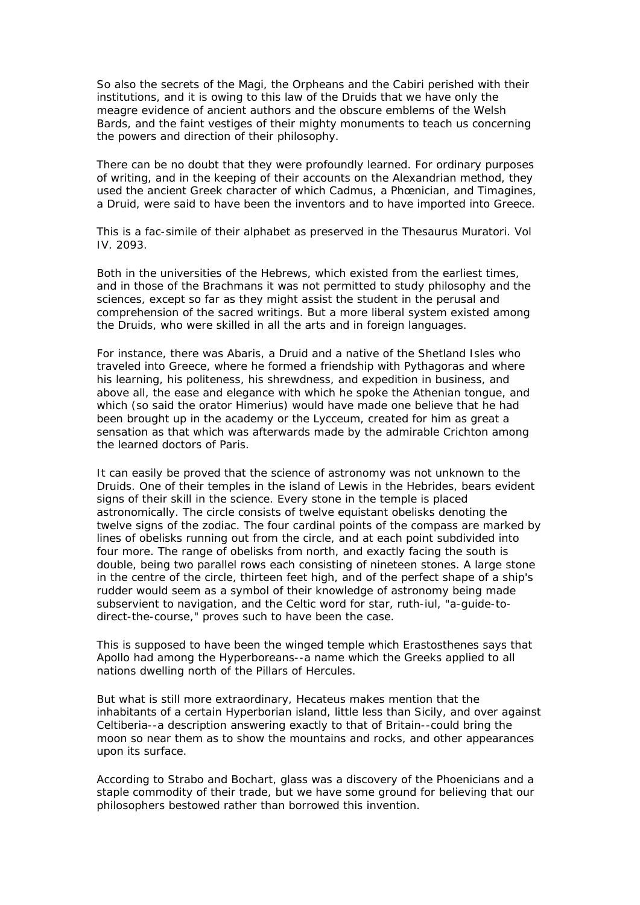So also the secrets of the Magi, the Orpheans and the Cabiri perished with their institutions, and it is owing to this law of the Druids that we have only the meagre evidence of ancient authors and the obscure emblems of the Welsh Bards, and the faint vestiges of their mighty monuments to teach us concerning the powers and direction of their philosophy.

There can be no doubt that they were profoundly learned. For ordinary purposes of writing, and in the keeping of their accounts on the Alexandrian method, they used the ancient Greek character of which Cadmus, a Phœnician, and Timagines, a Druid, were said to have been the inventors and to have imported into Greece.

This is a fac-simile of their alphabet as preserved in the Thesaurus Muratori. Vol IV. 2093.

Both in the universities of the Hebrews, which existed from the earliest times, and in those of the Brachmans it was not permitted to study philosophy and the sciences, except so far as they might assist the student in the perusal and comprehension of the sacred writings. But a more liberal system existed among the Druids, who were skilled in all the arts and in foreign languages.

For instance, there was Abaris, a Druid and a native of the Shetland Isles who traveled into Greece, where he formed a friendship with Pythagoras and where his learning, his politeness, his shrewdness, and expedition in business, and above all, the ease and elegance with which he spoke the Athenian tongue, and which (so said the orator Himerius) would have made one believe that he had been brought up in the academy or the Lycceum, created for him as great a sensation as that which was afterwards made by the admirable Crichton among the learned doctors of Paris.

It can easily be proved that the science of astronomy was not unknown to the Druids. One of their temples in the island of Lewis in the Hebrides, bears evident signs of their skill in the science. Every stone in the temple is placed astronomically. The circle consists of twelve equistant obelisks denoting the twelve signs of the zodiac. The four cardinal points of the compass are marked by lines of obelisks running out from the circle, and at each point subdivided into four more. The range of obelisks from north, and exactly facing the south is double, being two parallel rows each consisting of nineteen stones. A large stone in the centre of the circle, thirteen feet high, and of the perfect shape of a ship's rudder would seem as a symbol of their knowledge of astronomy being made subservient to navigation, and the Celtic word for star, ruth-iul, "a-guide-todirect-the-course," proves such to have been the case.

This is supposed to have been the winged temple which Erastosthenes says that Apollo had among the Hyperboreans--a name which the Greeks applied to all nations dwelling north of the Pillars of Hercules.

But what is still more extraordinary, Hecateus makes mention that the inhabitants of a certain Hyperborian island, little less than Sicily, and over against Celtiberia--a description answering exactly to that of Britain--could bring the moon so near them as to show the mountains and rocks, and other appearances upon its surface.

According to Strabo and Bochart, glass was a discovery of the Phoenicians and a staple commodity of their trade, but we have some ground for believing that our philosophers bestowed rather than borrowed this invention.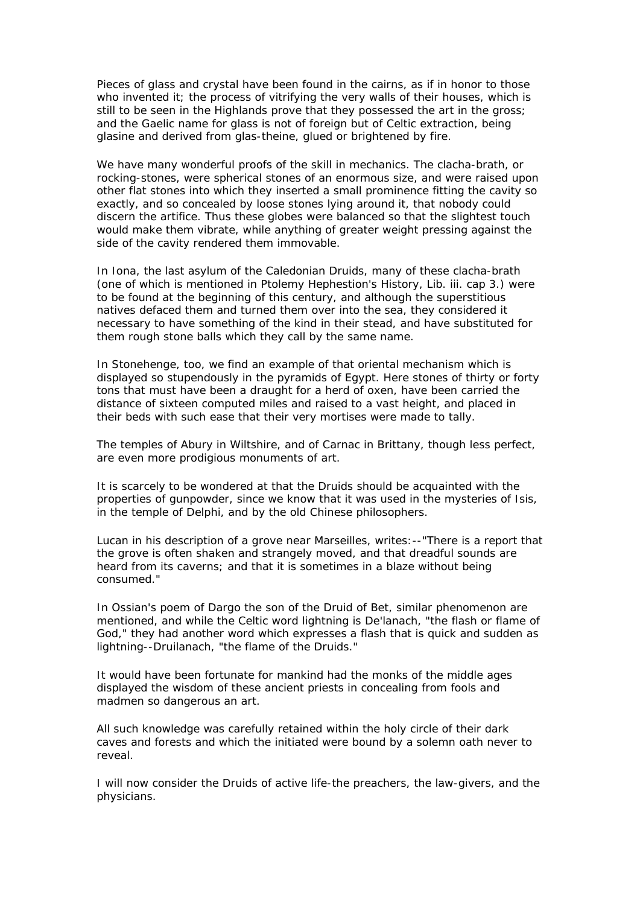Pieces of glass and crystal have been found in the cairns, as if in honor to those who invented it; the process of vitrifying the very walls of their houses, which is still to be seen in the Highlands prove that they possessed the art in the gross; and the Gaelic name for glass is not of foreign but of Celtic extraction, being glasine and derived from glas-theine, glued or brightened by fire.

We have many wonderful proofs of the skill in mechanics. The clacha-brath, or rocking-stones, were spherical stones of an enormous size, and were raised upon other flat stones into which they inserted a small prominence fitting the cavity so exactly, and so concealed by loose stones lying around it, that nobody could discern the artifice. Thus these globes were balanced so that the slightest touch would make them vibrate, while anything of greater weight pressing against the side of the cavity rendered them immovable.

In Iona, the last asylum of the Caledonian Druids, many of these clacha-brath (one of which is mentioned in Ptolemy Hephestion's History, Lib. iii. cap 3.) were to be found at the beginning of this century, and although the superstitious natives defaced them and turned them over into the sea, they considered it necessary to have something of the kind in their stead, and have substituted for them rough stone balls which they call by the same name.

In Stonehenge, too, we find an example of that oriental mechanism which is displayed so stupendously in the pyramids of Egypt. Here stones of thirty or forty tons that must have been a draught for a herd of oxen, have been carried the distance of sixteen computed miles and raised to a vast height, and placed in their beds with such ease that their very mortises were made to tally.

The temples of Abury in Wiltshire, and of Carnac in Brittany, though less perfect, are even more prodigious monuments of art.

It is scarcely to be wondered at that the Druids should be acquainted with the properties of gunpowder, since we know that it was used in the mysteries of Isis, in the temple of Delphi, and by the old Chinese philosophers.

Lucan in his description of a grove near Marseilles, writes:--"There is a report that the grove is often shaken and strangely moved, and that dreadful sounds are heard from its caverns; and that it is sometimes in a blaze without being consumed."

In Ossian's poem of Dargo the son of the Druid of Bet, similar phenomenon are mentioned, and while the Celtic word lightning is De'lanach, "the flash or flame of God," they had another word which expresses a flash that is quick and sudden as lightning--Druilanach, "the flame of the Druids."

It would have been fortunate for mankind had the monks of the middle ages displayed the wisdom of these ancient priests in concealing from fools and madmen so dangerous an art.

All such knowledge was carefully retained within the holy circle of their dark caves and forests and which the initiated were bound by a solemn oath never to reveal.

I will now consider the Druids of active life-the preachers, the law-givers, and the physicians.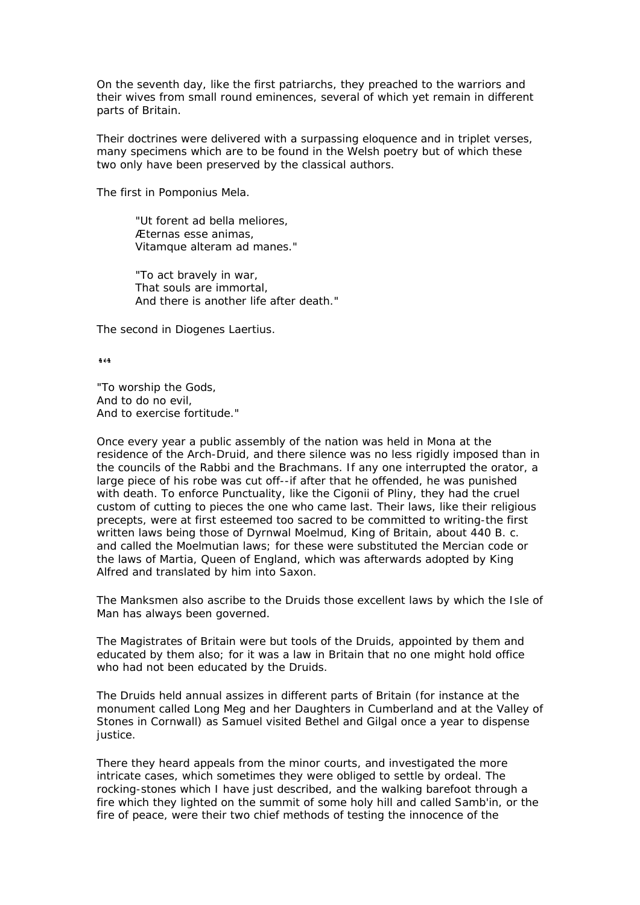On the seventh day, like the first patriarchs, they preached to the warriors and their wives from small round eminences, several of which yet remain in different parts of Britain.

Their doctrines were delivered with a surpassing eloquence and in triplet verses, many specimens which are to be found in the Welsh poetry but of which these two only have been preserved by the classical authors.

The first in Pomponius Mela.

"Ut forent ad bella meliores, Æternas esse animas, Vitamque alteram ad manes."

"To act bravely in war, That souls are immortal, And there is another life after death."

The second in Diogenes Laertius.

 $404$ 

"To worship the Gods, And to do no evil, And to exercise fortitude."

Once every year a public assembly of the nation was held in Mona at the residence of the Arch-Druid, and there silence was no less rigidly imposed than in the councils of the Rabbi and the Brachmans. If any one interrupted the orator, a large piece of his robe was cut off--if after that he offended, he was punished with death. To enforce Punctuality, like the Cigonii of Pliny, they had the cruel custom of cutting to pieces the one who came last. Their laws, like their religious precepts, were at first esteemed too sacred to be committed to writing-the first written laws being those of Dyrnwal Moelmud, King of Britain, about 440 B. c. and called the Moelmutian laws; for these were substituted the Mercian code or the laws of Martia, Queen of England, which was afterwards adopted by King Alfred and translated by him into Saxon.

The Manksmen also ascribe to the Druids those excellent laws by which the Isle of Man has always been governed.

The Magistrates of Britain were but tools of the Druids, appointed by them and educated by them also; for it was a law in Britain that no one might hold office who had not been educated by the Druids.

The Druids held annual assizes in different parts of Britain (for instance at the monument called Long Meg and her Daughters in Cumberland and at the Valley of Stones in Cornwall) as Samuel visited Bethel and Gilgal once a year to dispense justice.

There they heard appeals from the minor courts, and investigated the more intricate cases, which sometimes they were obliged to settle by ordeal. The rocking-stones which I have just described, and the walking barefoot through a fire which they lighted on the summit of some holy hill and called Samb'in, or the fire of peace, were their two chief methods of testing the innocence of the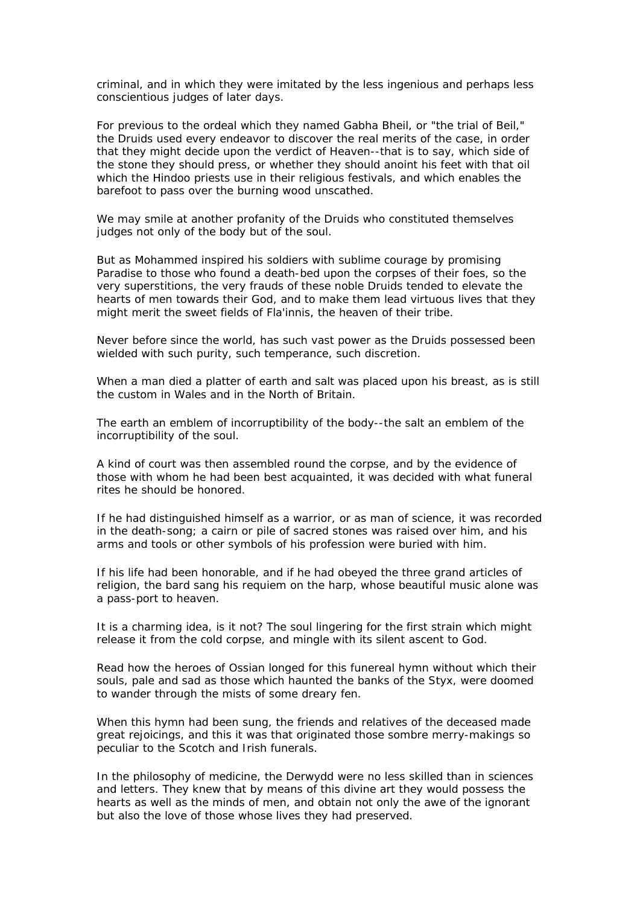criminal, and in which they were imitated by the less ingenious and perhaps less conscientious judges of later days.

For previous to the ordeal which they named Gabha Bheil, or "the trial of Beil," the Druids used every endeavor to discover the real merits of the case, in order that they might decide upon the verdict of Heaven--that is to say, which side of the stone they should press, or whether they should anoint his feet with that oil which the Hindoo priests use in their religious festivals, and which enables the barefoot to pass over the burning wood unscathed.

We may smile at another profanity of the Druids who constituted themselves judges not only of the body but of the soul.

But as Mohammed inspired his soldiers with sublime courage by promising Paradise to those who found a death-bed upon the corpses of their foes, so the very superstitions, the very frauds of these noble Druids tended to elevate the hearts of men towards their God, and to make them lead virtuous lives that they might merit the sweet fields of Fla'innis, the heaven of their tribe.

Never before since the world, has such vast power as the Druids possessed been wielded with such purity, such temperance, such discretion.

When a man died a platter of earth and salt was placed upon his breast, as is still the custom in Wales and in the North of Britain.

The earth an emblem of incorruptibility of the body--the salt an emblem of the incorruptibility of the soul.

A kind of court was then assembled round the corpse, and by the evidence of those with whom he had been best acquainted, it was decided with what funeral rites he should be honored.

If he had distinguished himself as a warrior, or as man of science, it was recorded in the death-song; a cairn or pile of sacred stones was raised over him, and his arms and tools or other symbols of his profession were buried with him.

If his life had been honorable, and if he had obeyed the three grand articles of religion, the bard sang his requiem on the harp, whose beautiful music alone was a pass-port to heaven.

It is a charming idea, is it not? The soul lingering for the first strain which might release it from the cold corpse, and mingle with its silent ascent to God.

Read how the heroes of Ossian longed for this funereal hymn without which their souls, pale and sad as those which haunted the banks of the Styx, were doomed to wander through the mists of some dreary fen.

When this hymn had been sung, the friends and relatives of the deceased made great rejoicings, and this it was that originated those sombre merry-makings so peculiar to the Scotch and Irish funerals.

In the philosophy of medicine, the Derwydd were no less skilled than in sciences and letters. They knew that by means of this divine art they would possess the hearts as well as the minds of men, and obtain not only the awe of the ignorant but also the love of those whose lives they had preserved.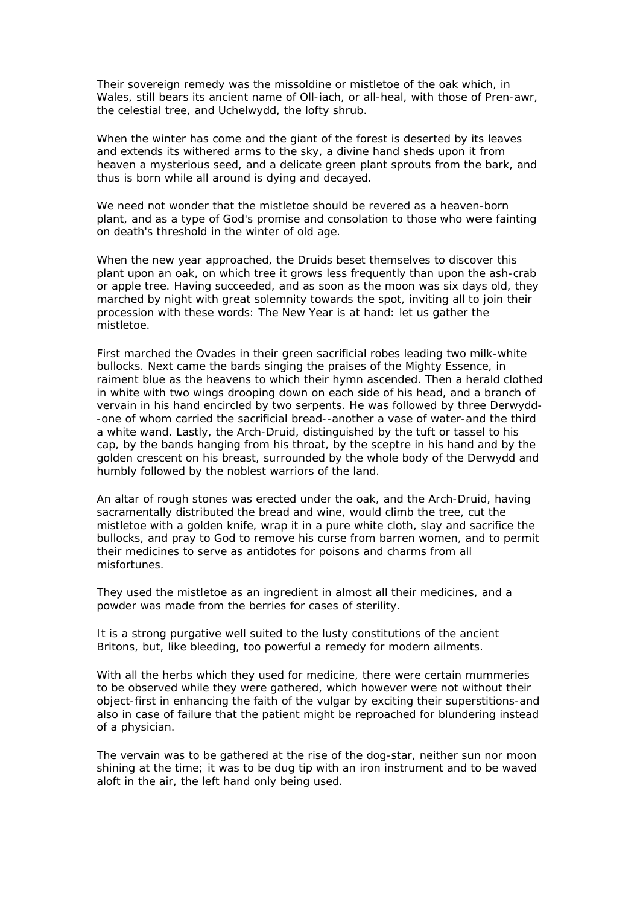Their sovereign remedy was the missoldine or mistletoe of the oak which, in Wales, still bears its ancient name of Oll-iach, or all-heal, with those of Pren-awr, the celestial tree, and Uchelwydd, the lofty shrub.

When the winter has come and the giant of the forest is deserted by its leaves and extends its withered arms to the sky, a divine hand sheds upon it from heaven a mysterious seed, and a delicate green plant sprouts from the bark, and thus is born while all around is dying and decayed.

We need not wonder that the mistletoe should be revered as a heaven-born plant, and as a type of God's promise and consolation to those who were fainting on death's threshold in the winter of old age.

When the new year approached, the Druids beset themselves to discover this plant upon an oak, on which tree it grows less frequently than upon the ash-crab or apple tree. Having succeeded, and as soon as the moon was six days old, they marched by night with great solemnity towards the spot, inviting all to join their procession with these words: The New Year is at hand: let us gather the mistletoe.

First marched the Ovades in their green sacrificial robes leading two milk-white bullocks. Next came the bards singing the praises of the Mighty Essence, in raiment blue as the heavens to which their hymn ascended. Then a herald clothed in white with two wings drooping down on each side of his head, and a branch of vervain in his hand encircled by two serpents. He was followed by three Derwydd- -one of whom carried the sacrificial bread--another a vase of water-and the third a white wand. Lastly, the Arch-Druid, distinguished by the tuft or tassel to his cap, by the bands hanging from his throat, by the sceptre in his hand and by the golden crescent on his breast, surrounded by the whole body of the Derwydd and humbly followed by the noblest warriors of the land.

An altar of rough stones was erected under the oak, and the Arch-Druid, having sacramentally distributed the bread and wine, would climb the tree, cut the mistletoe with a golden knife, wrap it in a pure white cloth, slay and sacrifice the bullocks, and pray to God to remove his curse from barren women, and to permit their medicines to serve as antidotes for poisons and charms from all misfortunes.

They used the mistletoe as an ingredient in almost all their medicines, and a powder was made from the berries for cases of sterility.

It is a strong purgative well suited to the lusty constitutions of the ancient Britons, but, like bleeding, too powerful a remedy for modern ailments.

With all the herbs which they used for medicine, there were certain mummeries to be observed while they were gathered, which however were not without their object-first in enhancing the faith of the vulgar by exciting their superstitions-and also in case of failure that the patient might be reproached for blundering instead of a physician.

The vervain was to be gathered at the rise of the dog-star, neither sun nor moon shining at the time; it was to be dug tip with an iron instrument and to be waved aloft in the air, the left hand only being used.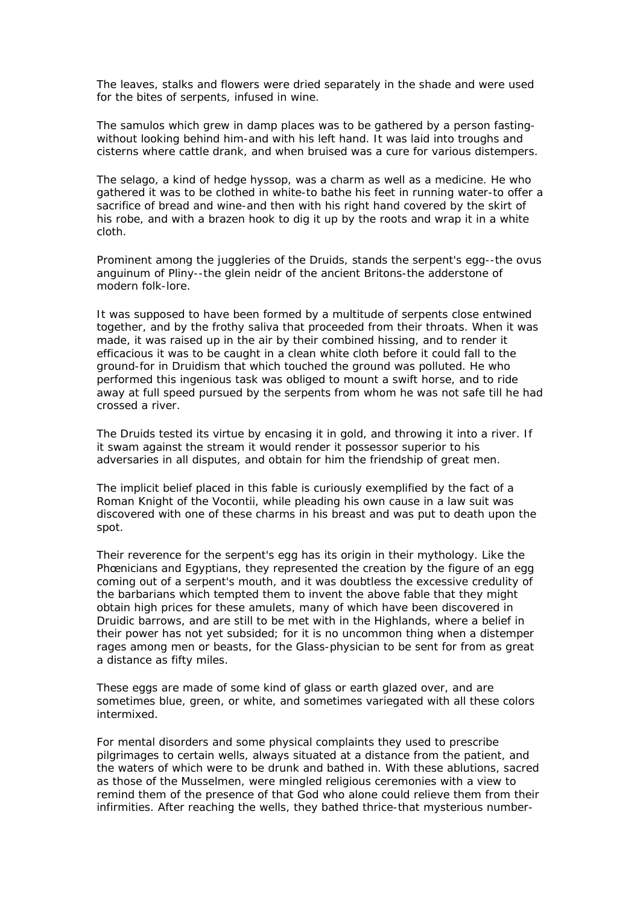The leaves, stalks and flowers were dried separately in the shade and were used for the bites of serpents, infused in wine.

The samulos which grew in damp places was to be gathered by a person fastingwithout looking behind him-and with his left hand. It was laid into troughs and cisterns where cattle drank, and when bruised was a cure for various distempers.

The selago, a kind of hedge hyssop, was a charm as well as a medicine. He who gathered it was to be clothed in white-to bathe his feet in running water-to offer a sacrifice of bread and wine-and then with his right hand covered by the skirt of his robe, and with a brazen hook to dig it up by the roots and wrap it in a white cloth.

Prominent among the juggleries of the Druids, stands the serpent's egg--the ovus anguinum of Pliny--the glein neidr of the ancient Britons-the adderstone of modern folk-lore.

It was supposed to have been formed by a multitude of serpents close entwined together, and by the frothy saliva that proceeded from their throats. When it was made, it was raised up in the air by their combined hissing, and to render it efficacious it was to be caught in a clean white cloth before it could fall to the ground-for in Druidism that which touched the ground was polluted. He who performed this ingenious task was obliged to mount a swift horse, and to ride away at full speed pursued by the serpents from whom he was not safe till he had crossed a river.

The Druids tested its virtue by encasing it in gold, and throwing it into a river. If it swam against the stream it would render it possessor superior to his adversaries in all disputes, and obtain for him the friendship of great men.

The implicit belief placed in this fable is curiously exemplified by the fact of a Roman Knight of the Vocontii, while pleading his own cause in a law suit was discovered with one of these charms in his breast and was put to death upon the spot.

Their reverence for the serpent's egg has its origin in their mythology. Like the Phœnicians and Egyptians, they represented the creation by the figure of an egg coming out of a serpent's mouth, and it was doubtless the excessive credulity of the barbarians which tempted them to invent the above fable that they might obtain high prices for these amulets, many of which have been discovered in Druidic barrows, and are still to be met with in the Highlands, where a belief in their power has not yet subsided; for it is no uncommon thing when a distemper rages among men or beasts, for the Glass-physician to be sent for from as great a distance as fifty miles.

These eggs are made of some kind of glass or earth glazed over, and are sometimes blue, green, or white, and sometimes variegated with all these colors intermixed.

For mental disorders and some physical complaints they used to prescribe pilgrimages to certain wells, always situated at a distance from the patient, and the waters of which were to be drunk and bathed in. With these ablutions, sacred as those of the Musselmen, were mingled religious ceremonies with a view to remind them of the presence of that God who alone could relieve them from their infirmities. After reaching the wells, they bathed thrice-that mysterious number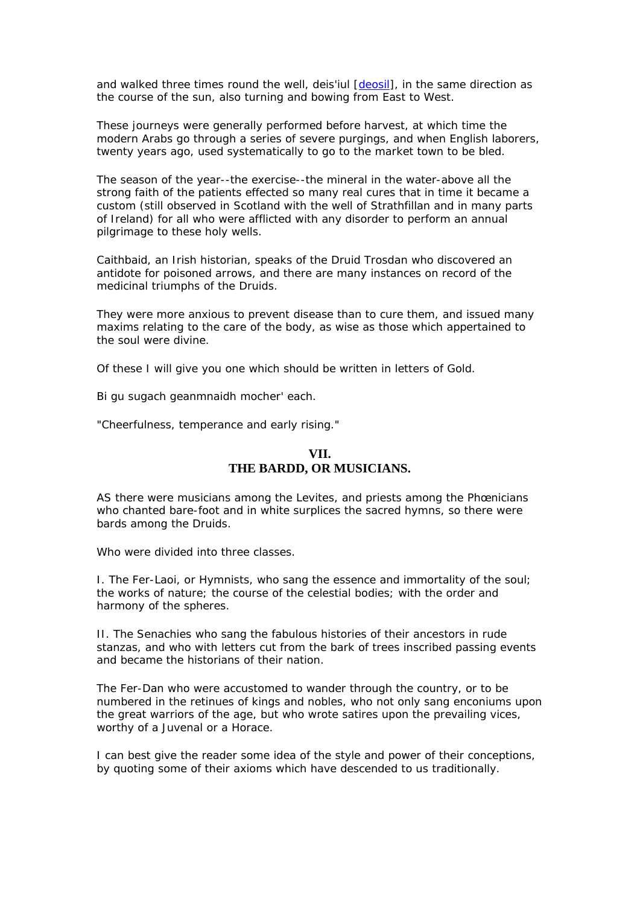and walked three times round the well, deis'iul [[deosil\]](http://altreligion.about.com/library/glossary/bldefdeosil.htm), in the same direction as the course of the sun, also turning and bowing from East to West.

These journeys were generally performed before harvest, at which time the modern Arabs go through a series of severe purgings, and when English laborers, twenty years ago, used systematically to go to the market town to be bled.

The season of the year--the exercise--the mineral in the water-above all the strong faith of the patients effected so many real cures that in time it became a custom (still observed in Scotland with the well of Strathfillan and in many parts of Ireland) for all who were afflicted with any disorder to perform an annual pilgrimage to these holy wells.

Caithbaid, an Irish historian, speaks of the Druid Trosdan who discovered an antidote for poisoned arrows, and there are many instances on record of the medicinal triumphs of the Druids.

They were more anxious to prevent disease than to cure them, and issued many maxims relating to the care of the body, as wise as those which appertained to the soul were divine.

Of these I will give you one which should be written in letters of Gold.

Bi gu sugach geanmnaidh mocher' each.

"Cheerfulness, temperance and early rising."

## **VII. THE BARDD, OR MUSICIANS.**

AS there were musicians among the Levites, and priests among the Phœnicians who chanted bare-foot and in white surplices the sacred hymns, so there were bards among the Druids.

Who were divided into three classes.

I. The Fer-Laoi, or Hymnists, who sang the essence and immortality of the soul; the works of nature; the course of the celestial bodies; with the order and harmony of the spheres.

II. The Senachies who sang the fabulous histories of their ancestors in rude stanzas, and who with letters cut from the bark of trees inscribed passing events and became the historians of their nation.

The Fer-Dan who were accustomed to wander through the country, or to be numbered in the retinues of kings and nobles, who not only sang enconiums upon the great warriors of the age, but who wrote satires upon the prevailing vices, worthy of a Juvenal or a Horace.

I can best give the reader some idea of the style and power of their conceptions, by quoting some of their axioms which have descended to us traditionally.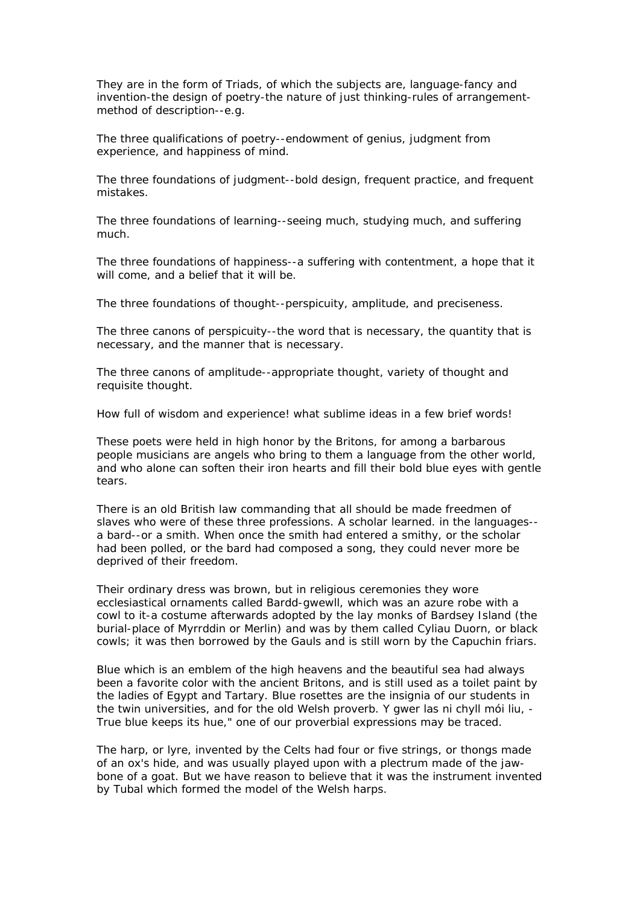They are in the form of Triads, of which the subjects are, language-fancy and invention-the design of poetry-the nature of just thinking-rules of arrangementmethod of description--e.g.

The three qualifications of poetry--endowment of genius, judgment from experience, and happiness of mind.

The three foundations of judgment--bold design, frequent practice, and frequent mistakes.

The three foundations of learning--seeing much, studying much, and suffering much.

The three foundations of happiness--a suffering with contentment, a hope that it will come, and a belief that it will be.

The three foundations of thought--perspicuity, amplitude, and preciseness.

The three canons of perspicuity--the word that is necessary, the quantity that is necessary, and the manner that is necessary.

The three canons of amplitude--appropriate thought, variety of thought and requisite thought.

How full of wisdom and experience! what sublime ideas in a few brief words!

These poets were held in high honor by the Britons, for among a barbarous people musicians are angels who bring to them a language from the other world, and who alone can soften their iron hearts and fill their bold blue eyes with gentle tears.

There is an old British law commanding that all should be made freedmen of slaves who were of these three professions. A scholar learned. in the languages- a bard--or a smith. When once the smith had entered a smithy, or the scholar had been polled, or the bard had composed a song, they could never more be deprived of their freedom.

Their ordinary dress was brown, but in religious ceremonies they wore ecclesiastical ornaments called Bardd-gwewll, which was an azure robe with a cowl to it-a costume afterwards adopted by the lay monks of Bardsey Island (the burial-place of Myrrddin or Merlin) and was by them called Cyliau Duorn, or black cowls; it was then borrowed by the Gauls and is still worn by the Capuchin friars.

Blue which is an emblem of the high heavens and the beautiful sea had always been a favorite color with the ancient Britons, and is still used as a toilet paint by the ladies of Egypt and Tartary. Blue rosettes are the insignia of our students in the twin universities, and for the old Welsh proverb. Y gwer las ni chyll mói liu, - True blue keeps its hue," one of our proverbial expressions may be traced.

The harp, or lyre, invented by the Celts had four or five strings, or thongs made of an ox's hide, and was usually played upon with a plectrum made of the jawbone of a goat. But we have reason to believe that it was the instrument invented by Tubal which formed the model of the Welsh harps.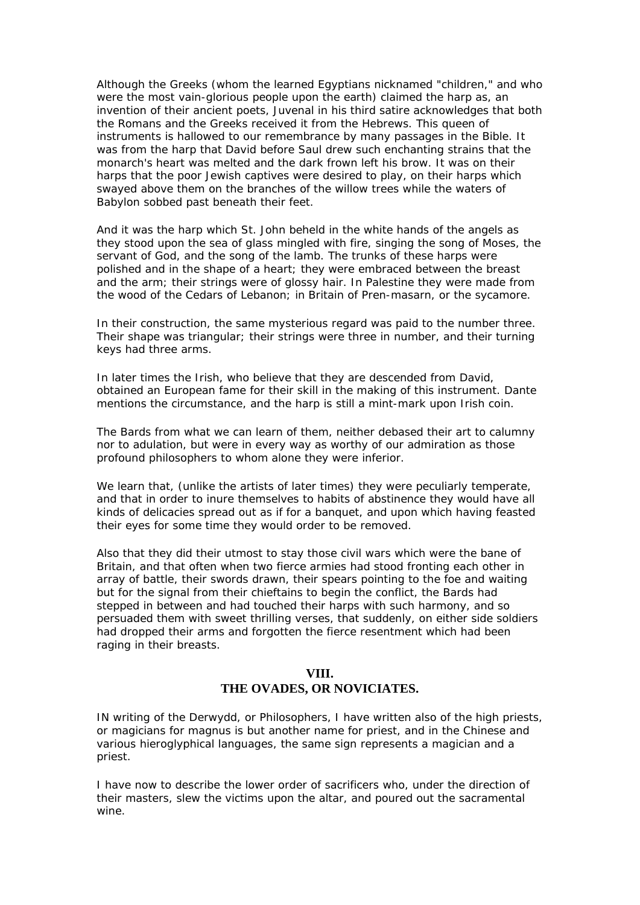Although the Greeks (whom the learned Egyptians nicknamed "children," and who were the most vain-glorious people upon the earth) claimed the harp as, an invention of their ancient poets, Juvenal in his third satire acknowledges that both the Romans and the Greeks received it from the Hebrews. This queen of instruments is hallowed to our remembrance by many passages in the Bible. It was from the harp that David before Saul drew such enchanting strains that the monarch's heart was melted and the dark frown left his brow. It was on their harps that the poor Jewish captives were desired to play, on their harps which swayed above them on the branches of the willow trees while the waters of Babylon sobbed past beneath their feet.

And it was the harp which St. John beheld in the white hands of the angels as they stood upon the sea of glass mingled with fire, singing the song of Moses, the servant of God, and the song of the lamb. The trunks of these harps were polished and in the shape of a heart; they were embraced between the breast and the arm; their strings were of glossy hair. In Palestine they were made from the wood of the Cedars of Lebanon; in Britain of Pren-masarn, or the sycamore.

In their construction, the same mysterious regard was paid to the number three. Their shape was triangular; their strings were three in number, and their turning keys had three arms.

In later times the Irish, who believe that they are descended from David, obtained an European fame for their skill in the making of this instrument. Dante mentions the circumstance, and the harp is still a mint-mark upon Irish coin.

The Bards from what we can learn of them, neither debased their art to calumny nor to adulation, but were in every way as worthy of our admiration as those profound philosophers to whom alone they were inferior.

We learn that, (unlike the artists of later times) they were peculiarly temperate, and that in order to inure themselves to habits of abstinence they would have all kinds of delicacies spread out as if for a banquet, and upon which having feasted their eyes for some time they would order to be removed.

Also that they did their utmost to stay those civil wars which were the bane of Britain, and that often when two fierce armies had stood fronting each other in array of battle, their swords drawn, their spears pointing to the foe and waiting but for the signal from their chieftains to begin the conflict, the Bards had stepped in between and had touched their harps with such harmony, and so persuaded them with sweet thrilling verses, that suddenly, on either side soldiers had dropped their arms and forgotten the fierce resentment which had been raging in their breasts.

### **VIII. THE OVADES, OR NOVICIATES.**

IN writing of the Derwydd, or Philosophers, I have written also of the high priests, or magicians for magnus is but another name for priest, and in the Chinese and various hieroglyphical languages, the same sign represents a magician and a priest.

I have now to describe the lower order of sacrificers who, under the direction of their masters, slew the victims upon the altar, and poured out the sacramental wine.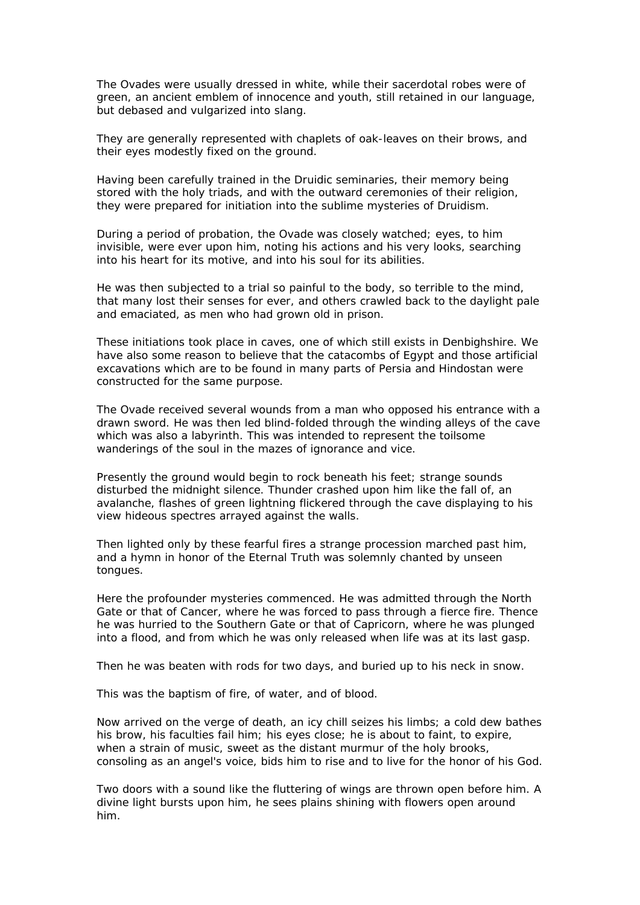The Ovades were usually dressed in white, while their sacerdotal robes were of green, an ancient emblem of innocence and youth, still retained in our language, but debased and vulgarized into slang.

They are generally represented with chaplets of oak-leaves on their brows, and their eyes modestly fixed on the ground.

Having been carefully trained in the Druidic seminaries, their memory being stored with the holy triads, and with the outward ceremonies of their religion, they were prepared for initiation into the sublime mysteries of Druidism.

During a period of probation, the Ovade was closely watched; eyes, to him invisible, were ever upon him, noting his actions and his very looks, searching into his heart for its motive, and into his soul for its abilities.

He was then subjected to a trial so painful to the body, so terrible to the mind, that many lost their senses for ever, and others crawled back to the daylight pale and emaciated, as men who had grown old in prison.

These initiations took place in caves, one of which still exists in Denbighshire. We have also some reason to believe that the catacombs of Egypt and those artificial excavations which are to be found in many parts of Persia and Hindostan were constructed for the same purpose.

The Ovade received several wounds from a man who opposed his entrance with a drawn sword. He was then led blind-folded through the winding alleys of the cave which was also a labyrinth. This was intended to represent the toilsome wanderings of the soul in the mazes of ignorance and vice.

Presently the ground would begin to rock beneath his feet; strange sounds disturbed the midnight silence. Thunder crashed upon him like the fall of, an avalanche, flashes of green lightning flickered through the cave displaying to his view hideous spectres arrayed against the walls.

Then lighted only by these fearful fires a strange procession marched past him, and a hymn in honor of the Eternal Truth was solemnly chanted by unseen tongues.

Here the profounder mysteries commenced. He was admitted through the North Gate or that of Cancer, where he was forced to pass through a fierce fire. Thence he was hurried to the Southern Gate or that of Capricorn, where he was plunged into a flood, and from which he was only released when life was at its last gasp.

Then he was beaten with rods for two days, and buried up to his neck in snow.

This was the baptism of fire, of water, and of blood.

Now arrived on the verge of death, an icy chill seizes his limbs; a cold dew bathes his brow, his faculties fail him; his eyes close; he is about to faint, to expire, when a strain of music, sweet as the distant murmur of the holy brooks, consoling as an angel's voice, bids him to rise and to live for the honor of his God.

Two doors with a sound like the fluttering of wings are thrown open before him. A divine light bursts upon him, he sees plains shining with flowers open around him.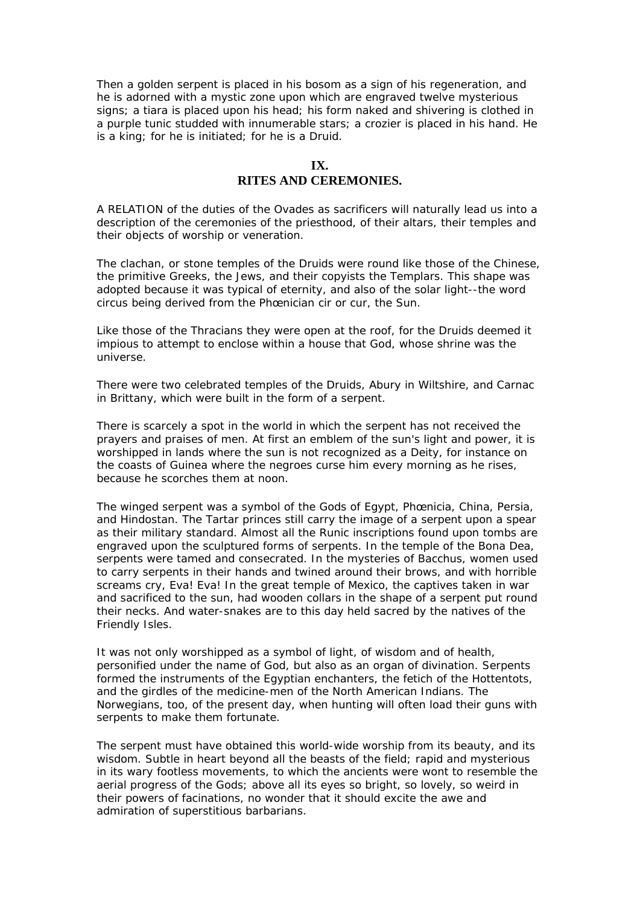Then a golden serpent is placed in his bosom as a sign of his regeneration, and he is adorned with a mystic zone upon which are engraved twelve mysterious signs; a tiara is placed upon his head; his form naked and shivering is clothed in a purple tunic studded with innumerable stars; a crozier is placed in his hand. He is a king; for he is initiated; for he is a Druid.

## **RITES AND CEREMONIES.**

A RELATION of the duties of the Ovades as sacrificers will naturally lead us into a description of the ceremonies of the priesthood, of their altars, their temples and their objects of worship or veneration.

The clachan, or stone temples of the Druids were round like those of the Chinese, the primitive Greeks, the Jews, and their copyists the Templars. This shape was adopted because it was typical of eternity, and also of the solar light--the word circus being derived from the Phœnician cir or cur, the Sun.

Like those of the Thracians they were open at the roof, for the Druids deemed it impious to attempt to enclose within a house that God, whose shrine was the universe.

There were two celebrated temples of the Druids, Abury in Wiltshire, and Carnac in Brittany, which were built in the form of a serpent.

There is scarcely a spot in the world in which the serpent has not received the prayers and praises of men. At first an emblem of the sun's light and power, it is worshipped in lands where the sun is not recognized as a Deity, for instance on the coasts of Guinea where the negroes curse him every morning as he rises, because he scorches them at noon.

The winged serpent was a symbol of the Gods of Egypt, Phœnicia, China, Persia, and Hindostan. The Tartar princes still carry the image of a serpent upon a spear as their military standard. Almost all the Runic inscriptions found upon tombs are engraved upon the sculptured forms of serpents. In the temple of the Bona Dea, serpents were tamed and consecrated. In the mysteries of Bacchus, women used to carry serpents in their hands and twined around their brows, and with horrible screams cry, Eva! Eva! In the great temple of Mexico, the captives taken in war and sacrificed to the sun, had wooden collars in the shape of a serpent put round their necks. And water-snakes are to this day held sacred by the natives of the Friendly Isles.

It was not only worshipped as a symbol of light, of wisdom and of health, personified under the name of God, but also as an organ of divination. Serpents formed the instruments of the Egyptian enchanters, the fetich of the Hottentots, and the girdles of the medicine-men of the North American Indians. The Norwegians, too, of the present day, when hunting will often load their guns with serpents to make them fortunate.

The serpent must have obtained this world-wide worship from its beauty, and its wisdom. Subtle in heart beyond all the beasts of the field; rapid and mysterious in its wary footless movements, to which the ancients were wont to resemble the aerial progress of the Gods; above all its eyes so bright, so lovely, so weird in their powers of facinations, no wonder that it should excite the awe and admiration of superstitious barbarians.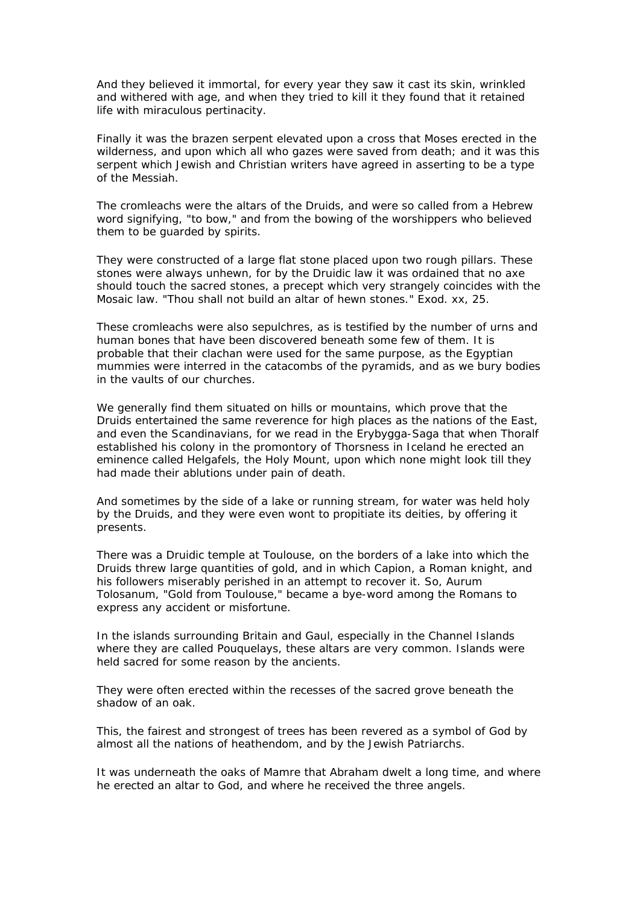And they believed it immortal, for every year they saw it cast its skin, wrinkled and withered with age, and when they tried to kill it they found that it retained life with miraculous pertinacity.

Finally it was the brazen serpent elevated upon a cross that Moses erected in the wilderness, and upon which all who gazes were saved from death; and it was this serpent which Jewish and Christian writers have agreed in asserting to be a type of the Messiah.

The cromleachs were the altars of the Druids, and were so called from a Hebrew word signifying, "to bow," and from the bowing of the worshippers who believed them to be guarded by spirits.

They were constructed of a large flat stone placed upon two rough pillars. These stones were always unhewn, for by the Druidic law it was ordained that no axe should touch the sacred stones, a precept which very strangely coincides with the Mosaic law. "Thou shall not build an altar of hewn stones." Exod. xx, 25.

These cromleachs were also sepulchres, as is testified by the number of urns and human bones that have been discovered beneath some few of them. It is probable that their clachan were used for the same purpose, as the Egyptian mummies were interred in the catacombs of the pyramids, and as we bury bodies in the vaults of our churches.

We generally find them situated on hills or mountains, which prove that the Druids entertained the same reverence for high places as the nations of the East, and even the Scandinavians, for we read in the Erybygga-Saga that when Thoralf established his colony in the promontory of Thorsness in Iceland he erected an eminence called Helgafels, the Holy Mount, upon which none might look till they had made their ablutions under pain of death.

And sometimes by the side of a lake or running stream, for water was held holy by the Druids, and they were even wont to propitiate its deities, by offering it presents.

There was a Druidic temple at Toulouse, on the borders of a lake into which the Druids threw large quantities of gold, and in which Capion, a Roman knight, and his followers miserably perished in an attempt to recover it. So, Aurum Tolosanum, "Gold from Toulouse," became a bye-word among the Romans to express any accident or misfortune.

In the islands surrounding Britain and Gaul, especially in the Channel Islands where they are called Pouquelays, these altars are very common. Islands were held sacred for some reason by the ancients.

They were often erected within the recesses of the sacred grove beneath the shadow of an oak.

This, the fairest and strongest of trees has been revered as a symbol of God by almost all the nations of heathendom, and by the Jewish Patriarchs.

It was underneath the oaks of Mamre that Abraham dwelt a long time, and where he erected an altar to God, and where he received the three angels.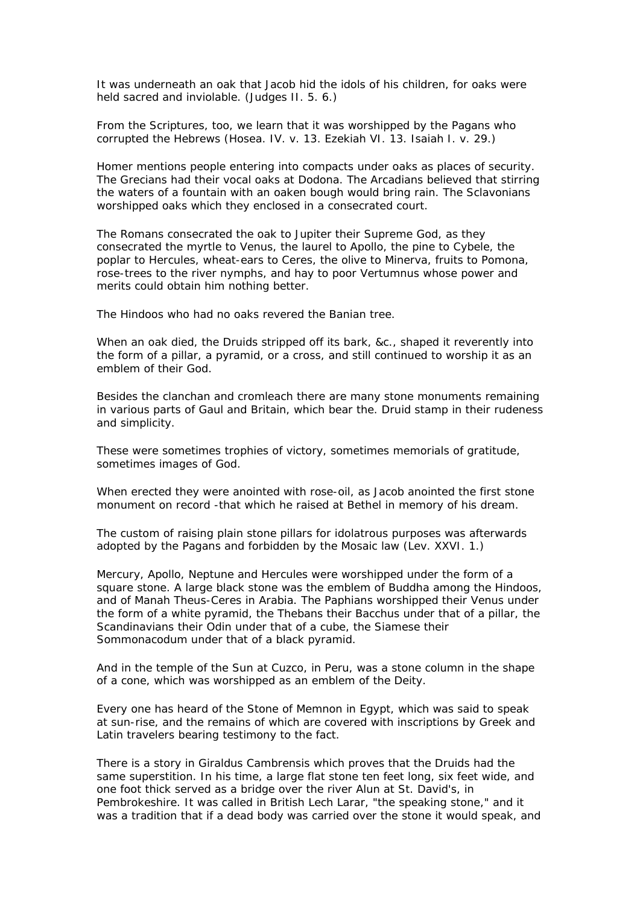It was underneath an oak that Jacob hid the idols of his children, for oaks were held sacred and inviolable. (Judges II. 5. 6.)

From the Scriptures, too, we learn that it was worshipped by the Pagans who corrupted the Hebrews (Hosea. IV. v. 13. Ezekiah VI. 13. Isaiah I. v. 29.)

Homer mentions people entering into compacts under oaks as places of security. The Grecians had their vocal oaks at Dodona. The Arcadians believed that stirring the waters of a fountain with an oaken bough would bring rain. The Sclavonians worshipped oaks which they enclosed in a consecrated court.

The Romans consecrated the oak to Jupiter their Supreme God, as they consecrated the myrtle to Venus, the laurel to Apollo, the pine to Cybele, the poplar to Hercules, wheat-ears to Ceres, the olive to Minerva, fruits to Pomona, rose-trees to the river nymphs, and hay to poor Vertumnus whose power and merits could obtain him nothing better.

The Hindoos who had no oaks revered the Banian tree.

When an oak died, the Druids stripped off its bark, &c., shaped it reverently into the form of a pillar, a pyramid, or a cross, and still continued to worship it as an emblem of their God.

Besides the clanchan and cromleach there are many stone monuments remaining in various parts of Gaul and Britain, which bear the. Druid stamp in their rudeness and simplicity.

These were sometimes trophies of victory, sometimes memorials of gratitude, sometimes images of God.

When erected they were anointed with rose-oil, as Jacob anointed the first stone monument on record -that which he raised at Bethel in memory of his dream.

The custom of raising plain stone pillars for idolatrous purposes was afterwards adopted by the Pagans and forbidden by the Mosaic law (Lev. XXVI. 1.)

Mercury, Apollo, Neptune and Hercules were worshipped under the form of a square stone. A large black stone was the emblem of Buddha among the Hindoos, and of Manah Theus-Ceres in Arabia. The Paphians worshipped their Venus under the form of a white pyramid, the Thebans their Bacchus under that of a pillar, the Scandinavians their Odin under that of a cube, the Siamese their Sommonacodum under that of a black pyramid.

And in the temple of the Sun at Cuzco, in Peru, was a stone column in the shape of a cone, which was worshipped as an emblem of the Deity.

Every one has heard of the Stone of Memnon in Egypt, which was said to speak at sun-rise, and the remains of which are covered with inscriptions by Greek and Latin travelers bearing testimony to the fact.

There is a story in Giraldus Cambrensis which proves that the Druids had the same superstition. In his time, a large flat stone ten feet long, six feet wide, and one foot thick served as a bridge over the river Alun at St. David's, in Pembrokeshire. It was called in British Lech Larar, "the speaking stone," and it was a tradition that if a dead body was carried over the stone it would speak, and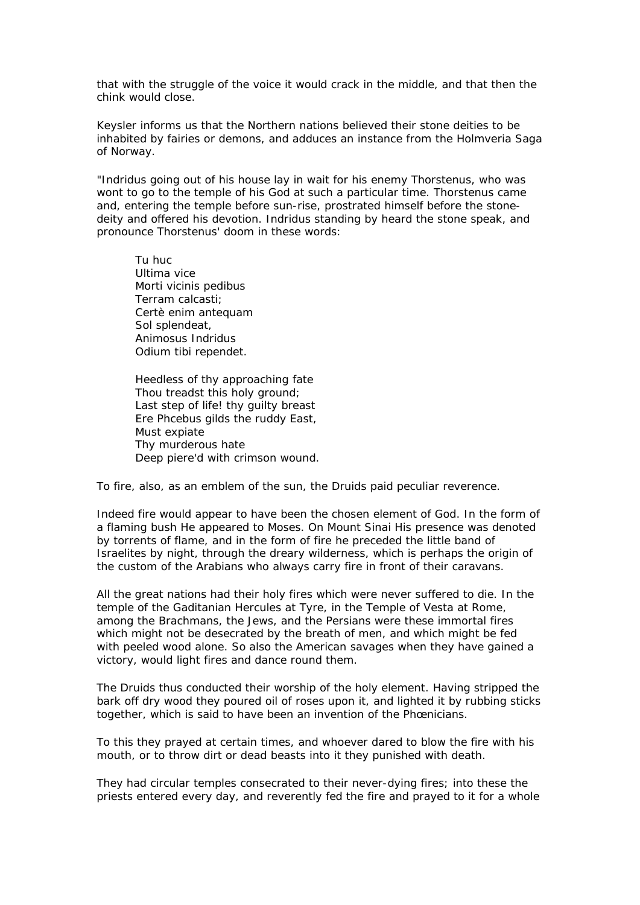that with the struggle of the voice it would crack in the middle, and that then the chink would close.

Keysler informs us that the Northern nations believed their stone deities to be inhabited by fairies or demons, and adduces an instance from the Holmveria Saga of Norway.

"Indridus going out of his house lay in wait for his enemy Thorstenus, who was wont to go to the temple of his God at such a particular time. Thorstenus came and, entering the temple before sun-rise, prostrated himself before the stonedeity and offered his devotion. Indridus standing by heard the stone speak, and pronounce Thorstenus' doom in these words:

Tu huc Ultima vice Morti vicinis pedibus Terram calcasti; Certè enim antequam Sol splendeat, Animosus Indridus Odium tibi rependet.

Heedless of thy approaching fate Thou treadst this holy ground; Last step of life! thy guilty breast Ere Phcebus gilds the ruddy East, Must expiate Thy murderous hate Deep piere'd with crimson wound.

To fire, also, as an emblem of the sun, the Druids paid peculiar reverence.

Indeed fire would appear to have been the chosen element of God. In the form of a flaming bush He appeared to Moses. On Mount Sinai His presence was denoted by torrents of flame, and in the form of fire he preceded the little band of Israelites by night, through the dreary wilderness, which is perhaps the origin of the custom of the Arabians who always carry fire in front of their caravans.

All the great nations had their holy fires which were never suffered to die. In the temple of the Gaditanian Hercules at Tyre, in the Temple of Vesta at Rome, among the Brachmans, the Jews, and the Persians were these immortal fires which might not be desecrated by the breath of men, and which might be fed with peeled wood alone. So also the American savages when they have gained a victory, would light fires and dance round them.

The Druids thus conducted their worship of the holy element. Having stripped the bark off dry wood they poured oil of roses upon it, and lighted it by rubbing sticks together, which is said to have been an invention of the Phœnicians.

To this they prayed at certain times, and whoever dared to blow the fire with his mouth, or to throw dirt or dead beasts into it they punished with death.

They had circular temples consecrated to their never-dying fires; into these the priests entered every day, and reverently fed the fire and prayed to it for a whole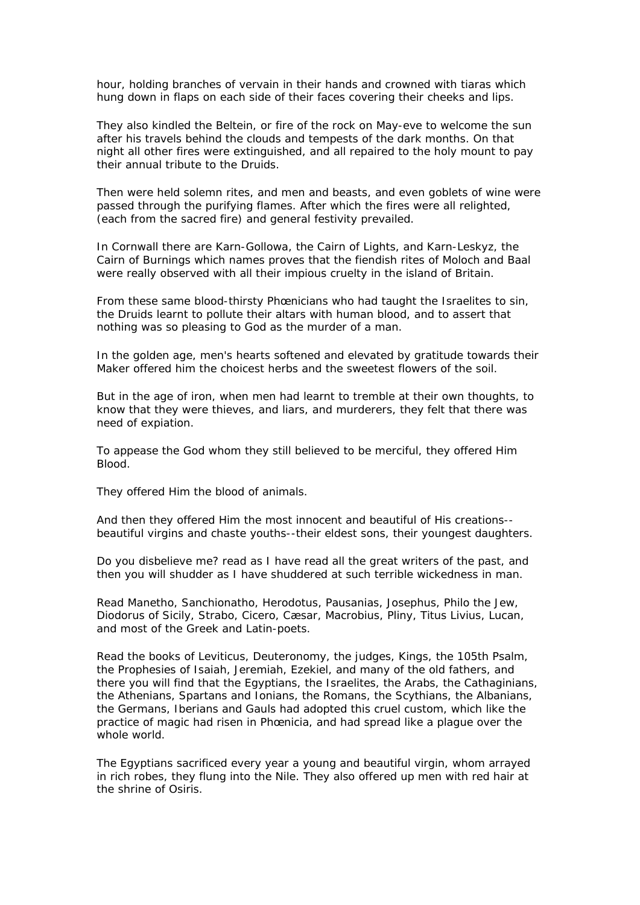hour, holding branches of vervain in their hands and crowned with tiaras which hung down in flaps on each side of their faces covering their cheeks and lips.

They also kindled the Beltein, or fire of the rock on May-eve to welcome the sun after his travels behind the clouds and tempests of the dark months. On that night all other fires were extinguished, and all repaired to the holy mount to pay their annual tribute to the Druids.

Then were held solemn rites, and men and beasts, and even goblets of wine were passed through the purifying flames. After which the fires were all relighted, (each from the sacred fire) and general festivity prevailed.

In Cornwall there are Karn-Gollowa, the Cairn of Lights, and Karn-Leskyz, the Cairn of Burnings which names proves that the fiendish rites of Moloch and Baal were really observed with all their impious cruelty in the island of Britain.

From these same blood-thirsty Phœnicians who had taught the Israelites to sin, the Druids learnt to pollute their altars with human blood, and to assert that nothing was so pleasing to God as the murder of a man.

In the golden age, men's hearts softened and elevated by gratitude towards their Maker offered him the choicest herbs and the sweetest flowers of the soil.

But in the age of iron, when men had learnt to tremble at their own thoughts, to know that they were thieves, and liars, and murderers, they felt that there was need of expiation.

To appease the God whom they still believed to be merciful, they offered Him Blood.

They offered Him the blood of animals.

And then they offered Him the most innocent and beautiful of His creations- beautiful virgins and chaste youths--their eldest sons, their youngest daughters.

Do you disbelieve me? read as I have read all the great writers of the past, and then you will shudder as I have shuddered at such terrible wickedness in man.

Read Manetho, Sanchionatho, Herodotus, Pausanias, Josephus, Philo the Jew, Diodorus of Sicily, Strabo, Cicero, Cæsar, Macrobius, Pliny, Titus Livius, Lucan, and most of the Greek and Latin-poets.

Read the books of Leviticus, Deuteronomy, the judges, Kings, the 105th Psalm, the Prophesies of Isaiah, Jeremiah, Ezekiel, and many of the old fathers, and there you will find that the Egyptians, the Israelites, the Arabs, the Cathaginians, the Athenians, Spartans and Ionians, the Romans, the Scythians, the Albanians, the Germans, Iberians and Gauls had adopted this cruel custom, which like the practice of magic had risen in Phœnicia, and had spread like a plague over the whole world.

The Egyptians sacrificed every year a young and beautiful virgin, whom arrayed in rich robes, they flung into the Nile. They also offered up men with red hair at the shrine of Osiris.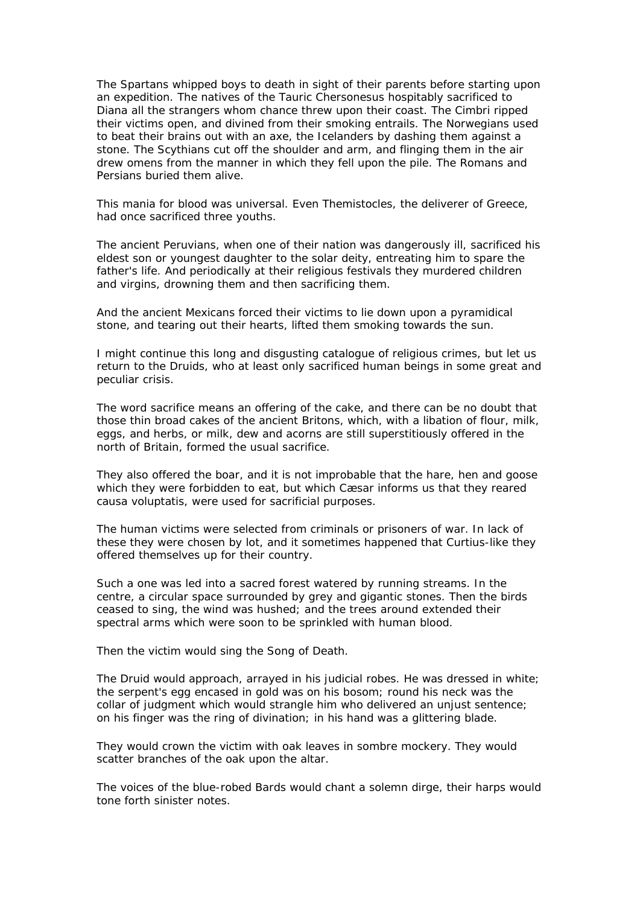The Spartans whipped boys to death in sight of their parents before starting upon an expedition. The natives of the Tauric Chersonesus hospitably sacrificed to Diana all the strangers whom chance threw upon their coast. The Cimbri ripped their victims open, and divined from their smoking entrails. The Norwegians used to beat their brains out with an axe, the Icelanders by dashing them against a stone. The Scythians cut off the shoulder and arm, and flinging them in the air drew omens from the manner in which they fell upon the pile. The Romans and Persians buried them alive.

This mania for blood was universal. Even Themistocles, the deliverer of Greece, had once sacrificed three youths.

The ancient Peruvians, when one of their nation was dangerously ill, sacrificed his eldest son or youngest daughter to the solar deity, entreating him to spare the father's life. And periodically at their religious festivals they murdered children and virgins, drowning them and then sacrificing them.

And the ancient Mexicans forced their victims to lie down upon a pyramidical stone, and tearing out their hearts, lifted them smoking towards the sun.

I might continue this long and disgusting catalogue of religious crimes, but let us return to the Druids, who at least only sacrificed human beings in some great and peculiar crisis.

The word sacrifice means an offering of the cake, and there can be no doubt that those thin broad cakes of the ancient Britons, which, with a libation of flour, milk, eggs, and herbs, or milk, dew and acorns are still superstitiously offered in the north of Britain, formed the usual sacrifice.

They also offered the boar, and it is not improbable that the hare, hen and goose which they were forbidden to eat, but which Cæsar informs us that they reared causa voluptatis, were used for sacrificial purposes.

The human victims were selected from criminals or prisoners of war. In lack of these they were chosen by lot, and it sometimes happened that Curtius-like they offered themselves up for their country.

Such a one was led into a sacred forest watered by running streams. In the centre, a circular space surrounded by grey and gigantic stones. Then the birds ceased to sing, the wind was hushed; and the trees around extended their spectral arms which were soon to be sprinkled with human blood.

Then the victim would sing the Song of Death.

The Druid would approach, arrayed in his judicial robes. He was dressed in white; the serpent's egg encased in gold was on his bosom; round his neck was the collar of judgment which would strangle him who delivered an unjust sentence; on his finger was the ring of divination; in his hand was a glittering blade.

They would crown the victim with oak leaves in sombre mockery. They would scatter branches of the oak upon the altar.

The voices of the blue-robed Bards would chant a solemn dirge, their harps would tone forth sinister notes.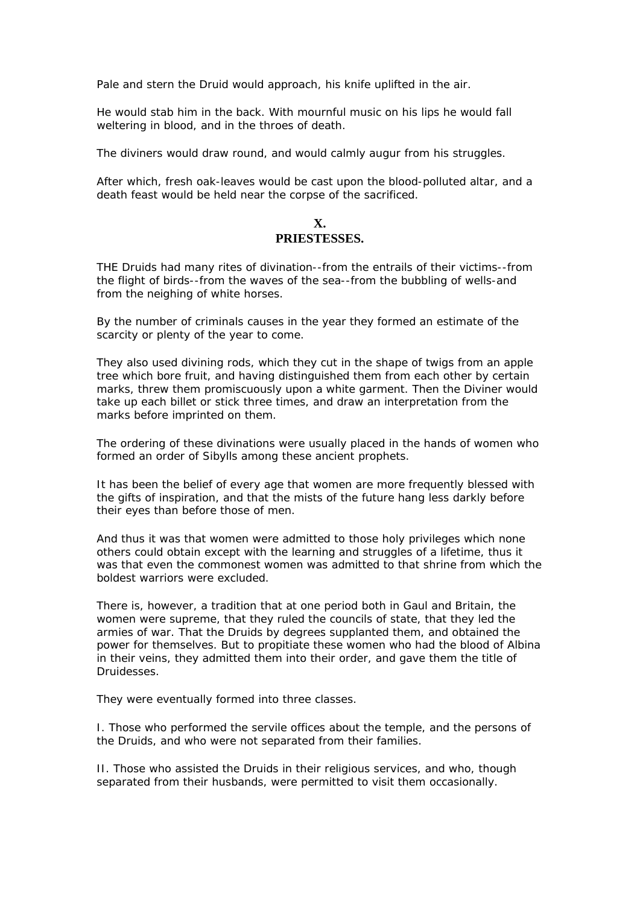Pale and stern the Druid would approach, his knife uplifted in the air.

He would stab him in the back. With mournful music on his lips he would fall weltering in blood, and in the throes of death.

The diviners would draw round, and would calmly augur from his struggles.

After which, fresh oak-leaves would be cast upon the blood-polluted altar, and a death feast would be held near the corpse of the sacrificed.

### **X. PRIESTESSES.**

THE Druids had many rites of divination--from the entrails of their victims--from the flight of birds--from the waves of the sea--from the bubbling of wells-and from the neighing of white horses.

By the number of criminals causes in the year they formed an estimate of the scarcity or plenty of the year to come.

They also used divining rods, which they cut in the shape of twigs from an apple tree which bore fruit, and having distinguished them from each other by certain marks, threw them promiscuously upon a white garment. Then the Diviner would take up each billet or stick three times, and draw an interpretation from the marks before imprinted on them.

The ordering of these divinations were usually placed in the hands of women who formed an order of Sibylls among these ancient prophets.

It has been the belief of every age that women are more frequently blessed with the gifts of inspiration, and that the mists of the future hang less darkly before their eyes than before those of men.

And thus it was that women were admitted to those holy privileges which none others could obtain except with the learning and struggles of a lifetime, thus it was that even the commonest women was admitted to that shrine from which the boldest warriors were excluded.

There is, however, a tradition that at one period both in Gaul and Britain, the women were supreme, that they ruled the councils of state, that they led the armies of war. That the Druids by degrees supplanted them, and obtained the power for themselves. But to propitiate these women who had the blood of Albina in their veins, they admitted them into their order, and gave them the title of Druidesses.

They were eventually formed into three classes.

I. Those who performed the servile offices about the temple, and the persons of the Druids, and who were not separated from their families.

II. Those who assisted the Druids in their religious services, and who, though separated from their husbands, were permitted to visit them occasionally.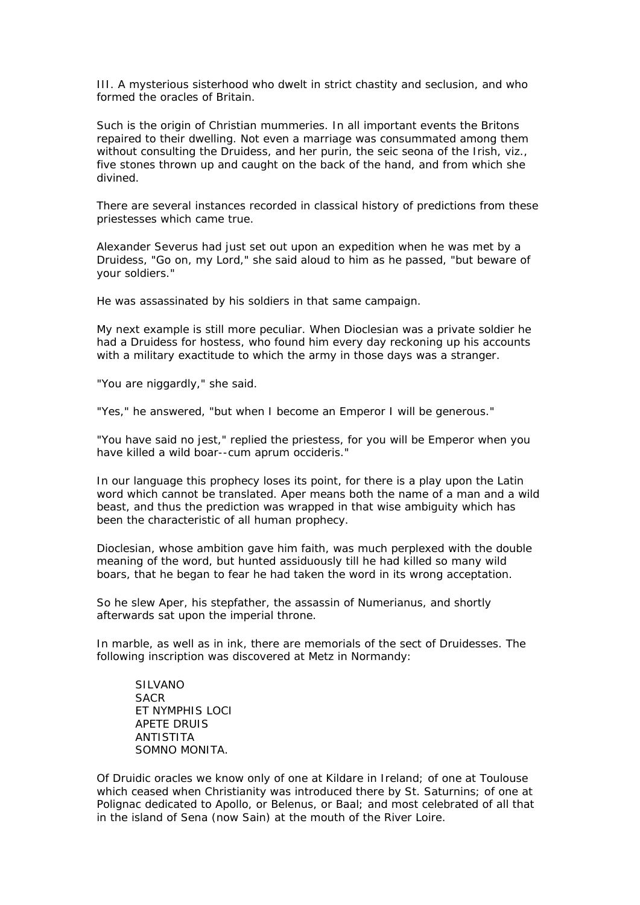III. A mysterious sisterhood who dwelt in strict chastity and seclusion, and who formed the oracles of Britain.

Such is the origin of Christian mummeries. In all important events the Britons repaired to their dwelling. Not even a marriage was consummated among them without consulting the Druidess, and her purin, the seic seona of the Irish, viz., five stones thrown up and caught on the back of the hand, and from which she divined.

There are several instances recorded in classical history of predictions from these priestesses which came true.

Alexander Severus had just set out upon an expedition when he was met by a Druidess, "Go on, my Lord," she said aloud to him as he passed, "but beware of your soldiers."

He was assassinated by his soldiers in that same campaign.

My next example is still more peculiar. When Dioclesian was a private soldier he had a Druidess for hostess, who found him every day reckoning up his accounts with a military exactitude to which the army in those days was a stranger.

"You are niggardly," she said.

"Yes," he answered, "but when I become an Emperor I will be generous."

"You have said no jest," replied the priestess, for you will be Emperor when you have killed a wild boar--cum aprum occideris."

In our language this prophecy loses its point, for there is a play upon the Latin word which cannot be translated. Aper means both the name of a man and a wild beast, and thus the prediction was wrapped in that wise ambiguity which has been the characteristic of all human prophecy.

Dioclesian, whose ambition gave him faith, was much perplexed with the double meaning of the word, but hunted assiduously till he had killed so many wild boars, that he began to fear he had taken the word in its wrong acceptation.

So he slew Aper, his stepfather, the assassin of Numerianus, and shortly afterwards sat upon the imperial throne.

In marble, as well as in ink, there are memorials of the sect of Druidesses. The following inscription was discovered at Metz in Normandy:

SILVANO **SACR** ET NYMPHIS LOCI APETE DRUIS ANTISTITA SOMNO MONITA.

Of Druidic oracles we know only of one at Kildare in Ireland; of one at Toulouse which ceased when Christianity was introduced there by St. Saturnins; of one at Polignac dedicated to Apollo, or Belenus, or Baal; and most celebrated of all that in the island of Sena (now Sain) at the mouth of the River Loire.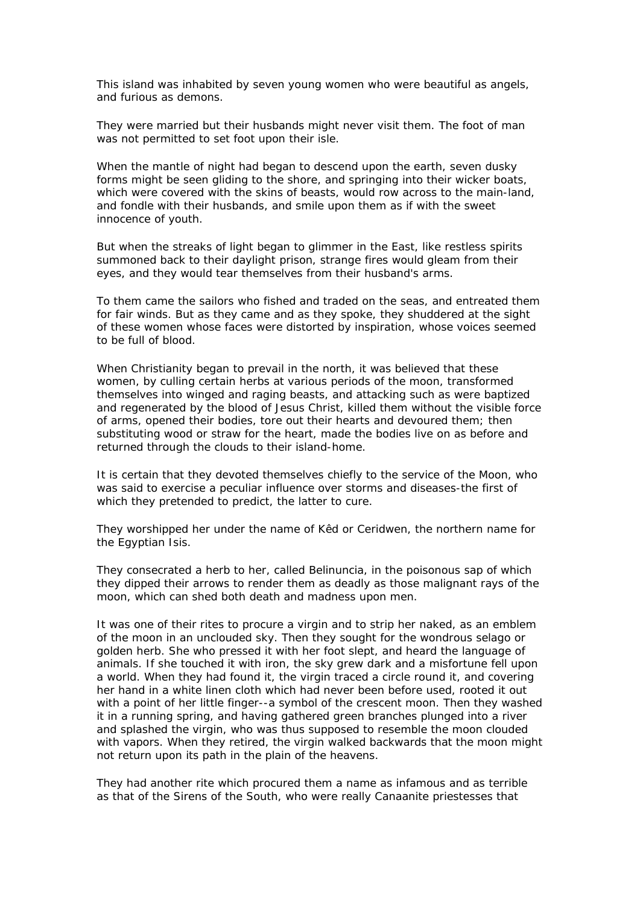This island was inhabited by seven young women who were beautiful as angels, and furious as demons.

They were married but their husbands might never visit them. The foot of man was not permitted to set foot upon their isle.

When the mantle of night had began to descend upon the earth, seven dusky forms might be seen gliding to the shore, and springing into their wicker boats, which were covered with the skins of beasts, would row across to the main-land, and fondle with their husbands, and smile upon them as if with the sweet innocence of youth.

But when the streaks of light began to glimmer in the East, like restless spirits summoned back to their daylight prison, strange fires would gleam from their eyes, and they would tear themselves from their husband's arms.

To them came the sailors who fished and traded on the seas, and entreated them for fair winds. But as they came and as they spoke, they shuddered at the sight of these women whose faces were distorted by inspiration, whose voices seemed to be full of blood.

When Christianity began to prevail in the north, it was believed that these women, by culling certain herbs at various periods of the moon, transformed themselves into winged and raging beasts, and attacking such as were baptized and regenerated by the blood of Jesus Christ, killed them without the visible force of arms, opened their bodies, tore out their hearts and devoured them; then substituting wood or straw for the heart, made the bodies live on as before and returned through the clouds to their island-home.

It is certain that they devoted themselves chiefly to the service of the Moon, who was said to exercise a peculiar influence over storms and diseases-the first of which they pretended to predict, the latter to cure.

They worshipped her under the name of Kêd or Ceridwen, the northern name for the Egyptian Isis.

They consecrated a herb to her, called Belinuncia, in the poisonous sap of which they dipped their arrows to render them as deadly as those malignant rays of the moon, which can shed both death and madness upon men.

It was one of their rites to procure a virgin and to strip her naked, as an emblem of the moon in an unclouded sky. Then they sought for the wondrous selago or golden herb. She who pressed it with her foot slept, and heard the language of animals. If she touched it with iron, the sky grew dark and a misfortune fell upon a world. When they had found it, the virgin traced a circle round it, and covering her hand in a white linen cloth which had never been before used, rooted it out with a point of her little finger--a symbol of the crescent moon. Then they washed it in a running spring, and having gathered green branches plunged into a river and splashed the virgin, who was thus supposed to resemble the moon clouded with vapors. When they retired, the virgin walked backwards that the moon might not return upon its path in the plain of the heavens.

They had another rite which procured them a name as infamous and as terrible as that of the Sirens of the South, who were really Canaanite priestesses that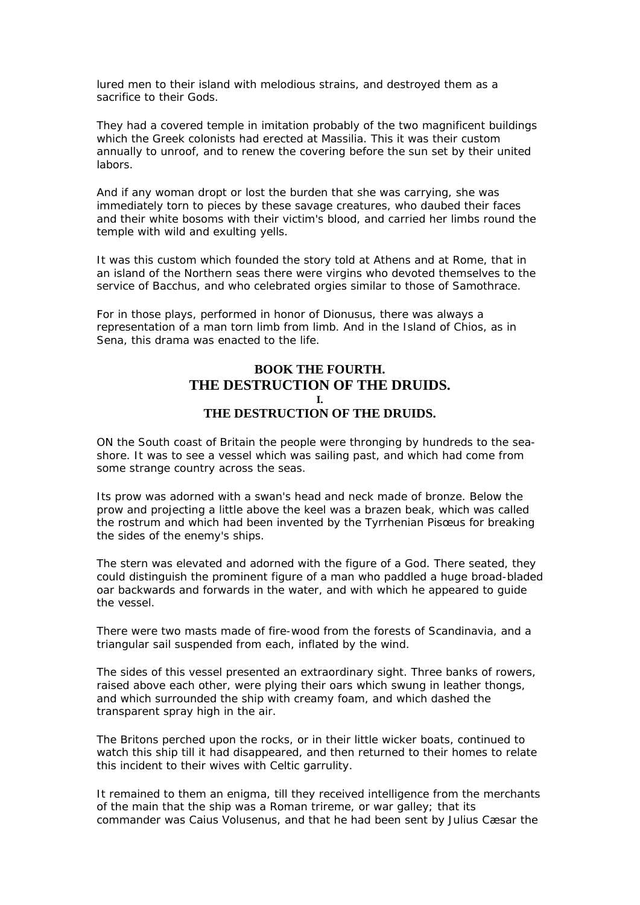lured men to their island with melodious strains, and destroyed them as a sacrifice to their Gods.

They had a covered temple in imitation probably of the two magnificent buildings which the Greek colonists had erected at Massilia. This it was their custom annually to unroof, and to renew the covering before the sun set by their united labors.

And if any woman dropt or lost the burden that she was carrying, she was immediately torn to pieces by these savage creatures, who daubed their faces and their white bosoms with their victim's blood, and carried her limbs round the temple with wild and exulting yells.

It was this custom which founded the story told at Athens and at Rome, that in an island of the Northern seas there were virgins who devoted themselves to the service of Bacchus, and who celebrated orgies similar to those of Samothrace.

For in those plays, performed in honor of Dionusus, there was always a representation of a man torn limb from limb. And in the Island of Chios, as in Sena, this drama was enacted to the life.

# **BOOK THE FOURTH. THE DESTRUCTION OF THE DRUIDS. I. THE DESTRUCTION OF THE DRUIDS.**

ON the South coast of Britain the people were thronging by hundreds to the seashore. It was to see a vessel which was sailing past, and which had come from some strange country across the seas.

Its prow was adorned with a swan's head and neck made of bronze. Below the prow and projecting a little above the keel was a brazen beak, which was called the rostrum and which had been invented by the Tyrrhenian Pisœus for breaking the sides of the enemy's ships.

The stern was elevated and adorned with the figure of a God. There seated, they could distinguish the prominent figure of a man who paddled a huge broad-bladed oar backwards and forwards in the water, and with which he appeared to guide the vessel.

There were two masts made of fire-wood from the forests of Scandinavia, and a triangular sail suspended from each, inflated by the wind.

The sides of this vessel presented an extraordinary sight. Three banks of rowers, raised above each other, were plying their oars which swung in leather thongs, and which surrounded the ship with creamy foam, and which dashed the transparent spray high in the air.

The Britons perched upon the rocks, or in their little wicker boats, continued to watch this ship till it had disappeared, and then returned to their homes to relate this incident to their wives with Celtic garrulity.

It remained to them an enigma, till they received intelligence from the merchants of the main that the ship was a Roman trireme, or war galley; that its commander was Caius Volusenus, and that he had been sent by Julius Cæsar the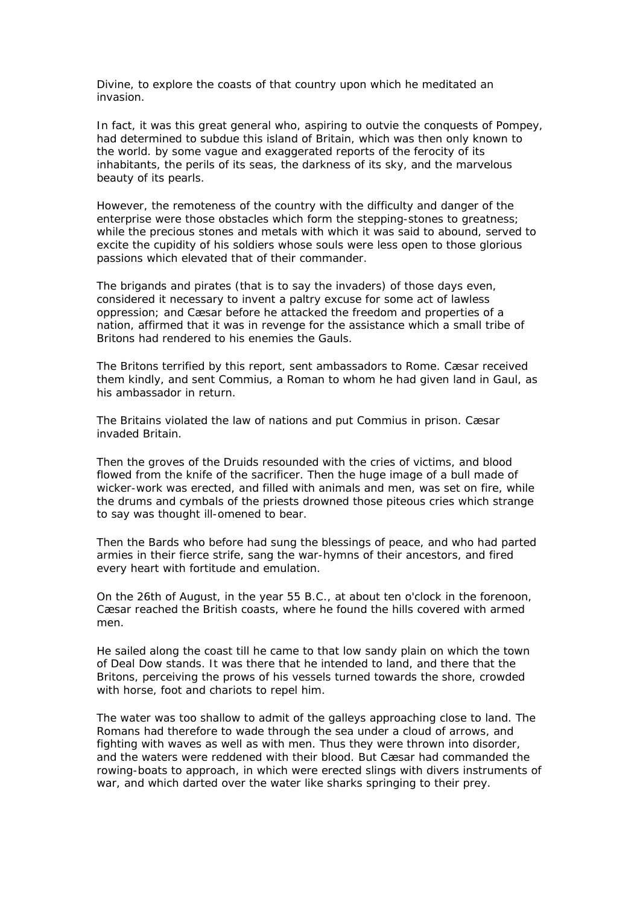Divine, to explore the coasts of that country upon which he meditated an invasion.

In fact, it was this great general who, aspiring to outvie the conquests of Pompey, had determined to subdue this island of Britain, which was then only known to the world. by some vague and exaggerated reports of the ferocity of its inhabitants, the perils of its seas, the darkness of its sky, and the marvelous beauty of its pearls.

However, the remoteness of the country with the difficulty and danger of the enterprise were those obstacles which form the stepping-stones to greatness; while the precious stones and metals with which it was said to abound, served to excite the cupidity of his soldiers whose souls were less open to those glorious passions which elevated that of their commander.

The brigands and pirates (that is to say the invaders) of those days even, considered it necessary to invent a paltry excuse for some act of lawless oppression; and Cæsar before he attacked the freedom and properties of a nation, affirmed that it was in revenge for the assistance which a small tribe of Britons had rendered to his enemies the Gauls.

The Britons terrified by this report, sent ambassadors to Rome. Cæsar received them kindly, and sent Commius, a Roman to whom he had given land in Gaul, as his ambassador in return.

The Britains violated the law of nations and put Commius in prison. Cæsar invaded Britain.

Then the groves of the Druids resounded with the cries of victims, and blood flowed from the knife of the sacrificer. Then the huge image of a bull made of wicker-work was erected, and filled with animals and men, was set on fire, while the drums and cymbals of the priests drowned those piteous cries which strange to say was thought ill-omened to bear.

Then the Bards who before had sung the blessings of peace, and who had parted armies in their fierce strife, sang the war-hymns of their ancestors, and fired every heart with fortitude and emulation.

On the 26th of August, in the year 55 B.C., at about ten o'clock in the forenoon, Cæsar reached the British coasts, where he found the hills covered with armed men.

He sailed along the coast till he came to that low sandy plain on which the town of Deal Dow stands. It was there that he intended to land, and there that the Britons, perceiving the prows of his vessels turned towards the shore, crowded with horse, foot and chariots to repel him.

The water was too shallow to admit of the galleys approaching close to land. The Romans had therefore to wade through the sea under a cloud of arrows, and fighting with waves as well as with men. Thus they were thrown into disorder, and the waters were reddened with their blood. But Cæsar had commanded the rowing-boats to approach, in which were erected slings with divers instruments of war, and which darted over the water like sharks springing to their prey.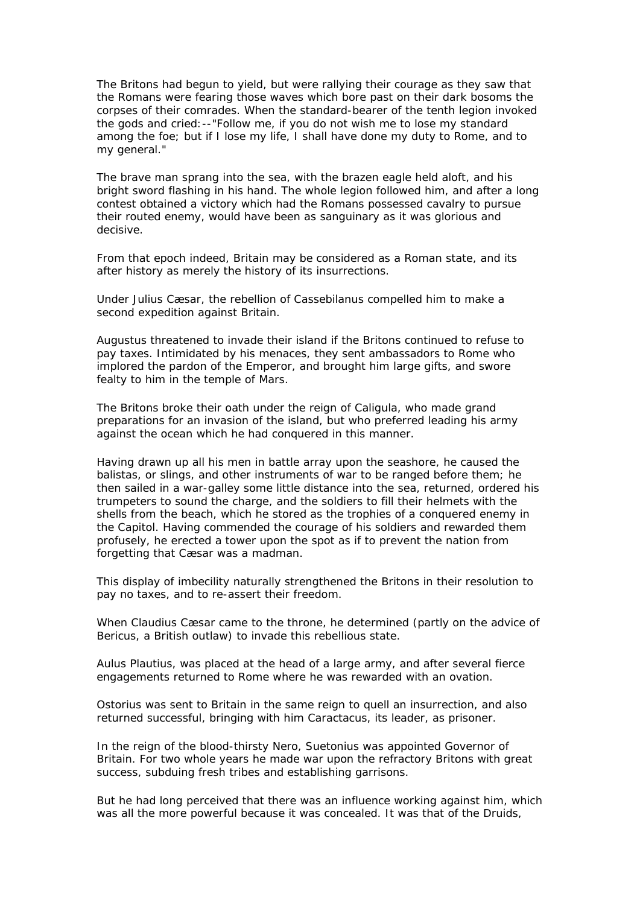The Britons had begun to yield, but were rallying their courage as they saw that the Romans were fearing those waves which bore past on their dark bosoms the corpses of their comrades. When the standard-bearer of the tenth legion invoked the gods and cried:--"Follow me, if you do not wish me to lose my standard among the foe; but if I lose my life, I shall have done my duty to Rome, and to my general."

The brave man sprang into the sea, with the brazen eagle held aloft, and his bright sword flashing in his hand. The whole legion followed him, and after a long contest obtained a victory which had the Romans possessed cavalry to pursue their routed enemy, would have been as sanguinary as it was glorious and decisive.

From that epoch indeed, Britain may be considered as a Roman state, and its after history as merely the history of its insurrections.

Under Julius Cæsar, the rebellion of Cassebilanus compelled him to make a second expedition against Britain.

Augustus threatened to invade their island if the Britons continued to refuse to pay taxes. Intimidated by his menaces, they sent ambassadors to Rome who implored the pardon of the Emperor, and brought him large gifts, and swore fealty to him in the temple of Mars.

The Britons broke their oath under the reign of Caligula, who made grand preparations for an invasion of the island, but who preferred leading his army against the ocean which he had conquered in this manner.

Having drawn up all his men in battle array upon the seashore, he caused the balistas, or slings, and other instruments of war to be ranged before them; he then sailed in a war-galley some little distance into the sea, returned, ordered his trumpeters to sound the charge, and the soldiers to fill their helmets with the shells from the beach, which he stored as the trophies of a conquered enemy in the Capitol. Having commended the courage of his soldiers and rewarded them profusely, he erected a tower upon the spot as if to prevent the nation from forgetting that Cæsar was a madman.

This display of imbecility naturally strengthened the Britons in their resolution to pay no taxes, and to re-assert their freedom.

When Claudius Cæsar came to the throne, he determined (partly on the advice of Bericus, a British outlaw) to invade this rebellious state.

Aulus Plautius, was placed at the head of a large army, and after several fierce engagements returned to Rome where he was rewarded with an ovation.

Ostorius was sent to Britain in the same reign to quell an insurrection, and also returned successful, bringing with him Caractacus, its leader, as prisoner.

In the reign of the blood-thirsty Nero, Suetonius was appointed Governor of Britain. For two whole years he made war upon the refractory Britons with great success, subduing fresh tribes and establishing garrisons.

But he had long perceived that there was an influence working against him, which was all the more powerful because it was concealed. It was that of the Druids,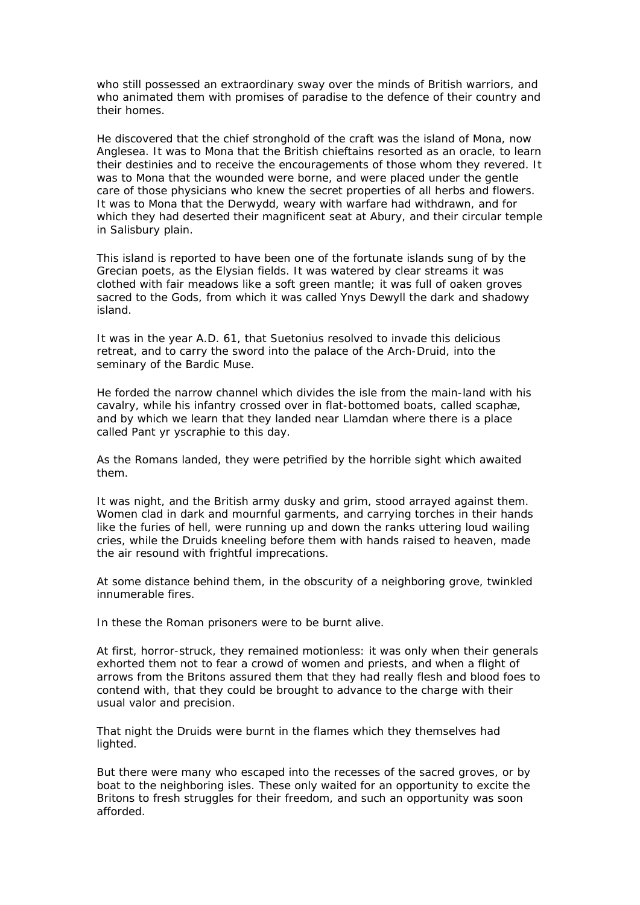who still possessed an extraordinary sway over the minds of British warriors, and who animated them with promises of paradise to the defence of their country and their homes.

He discovered that the chief stronghold of the craft was the island of Mona, now Anglesea. It was to Mona that the British chieftains resorted as an oracle, to learn their destinies and to receive the encouragements of those whom they revered. It was to Mona that the wounded were borne, and were placed under the gentle care of those physicians who knew the secret properties of all herbs and flowers. It was to Mona that the Derwydd, weary with warfare had withdrawn, and for which they had deserted their magnificent seat at Abury, and their circular temple in Salisbury plain.

This island is reported to have been one of the fortunate islands sung of by the Grecian poets, as the Elysian fields. It was watered by clear streams it was clothed with fair meadows like a soft green mantle; it was full of oaken groves sacred to the Gods, from which it was called Ynys Dewyll the dark and shadowy island.

It was in the year A.D. 61, that Suetonius resolved to invade this delicious retreat, and to carry the sword into the palace of the Arch-Druid, into the seminary of the Bardic Muse.

He forded the narrow channel which divides the isle from the main-land with his cavalry, while his infantry crossed over in flat-bottomed boats, called scaphæ, and by which we learn that they landed near Llamdan where there is a place called Pant yr yscraphie to this day.

As the Romans landed, they were petrified by the horrible sight which awaited them.

It was night, and the British army dusky and grim, stood arrayed against them. Women clad in dark and mournful garments, and carrying torches in their hands like the furies of hell, were running up and down the ranks uttering loud wailing cries, while the Druids kneeling before them with hands raised to heaven, made the air resound with frightful imprecations.

At some distance behind them, in the obscurity of a neighboring grove, twinkled innumerable fires.

In these the Roman prisoners were to be burnt alive.

At first, horror-struck, they remained motionless: it was only when their generals exhorted them not to fear a crowd of women and priests, and when a flight of arrows from the Britons assured them that they had really flesh and blood foes to contend with, that they could be brought to advance to the charge with their usual valor and precision.

That night the Druids were burnt in the flames which they themselves had lighted.

But there were many who escaped into the recesses of the sacred groves, or by boat to the neighboring isles. These only waited for an opportunity to excite the Britons to fresh struggles for their freedom, and such an opportunity was soon afforded.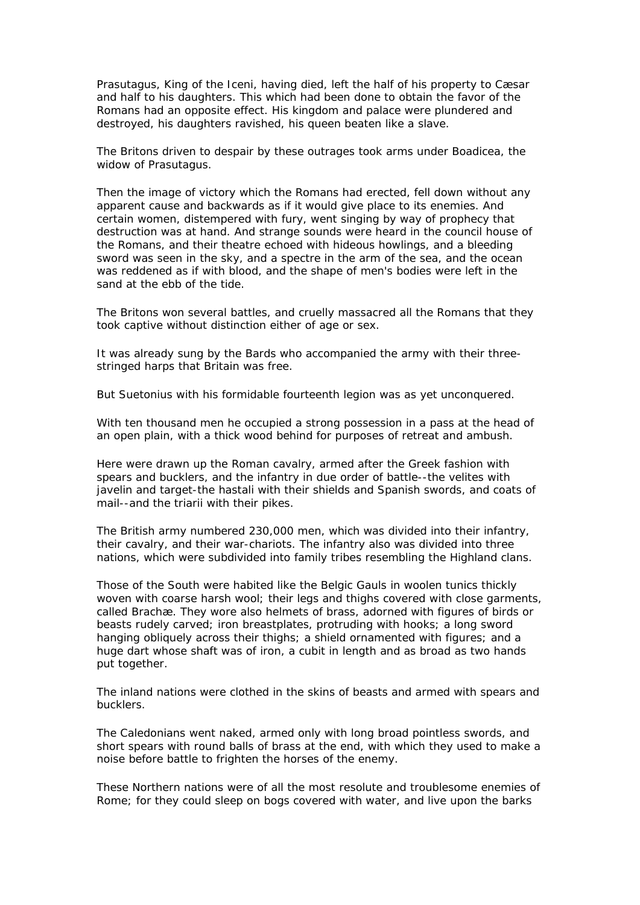Prasutagus, King of the Iceni, having died, left the half of his property to Cæsar and half to his daughters. This which had been done to obtain the favor of the Romans had an opposite effect. His kingdom and palace were plundered and destroyed, his daughters ravished, his queen beaten like a slave.

The Britons driven to despair by these outrages took arms under Boadicea, the widow of Prasutagus.

Then the image of victory which the Romans had erected, fell down without any apparent cause and backwards as if it would give place to its enemies. And certain women, distempered with fury, went singing by way of prophecy that destruction was at hand. And strange sounds were heard in the council house of the Romans, and their theatre echoed with hideous howlings, and a bleeding sword was seen in the sky, and a spectre in the arm of the sea, and the ocean was reddened as if with blood, and the shape of men's bodies were left in the sand at the ebb of the tide.

The Britons won several battles, and cruelly massacred all the Romans that they took captive without distinction either of age or sex.

It was already sung by the Bards who accompanied the army with their threestringed harps that Britain was free.

But Suetonius with his formidable fourteenth legion was as yet unconquered.

With ten thousand men he occupied a strong possession in a pass at the head of an open plain, with a thick wood behind for purposes of retreat and ambush.

Here were drawn up the Roman cavalry, armed after the Greek fashion with spears and bucklers, and the infantry in due order of battle--the velites with javelin and target-the hastali with their shields and Spanish swords, and coats of mail--and the triarii with their pikes.

The British army numbered 230,000 men, which was divided into their infantry, their cavalry, and their war-chariots. The infantry also was divided into three nations, which were subdivided into family tribes resembling the Highland clans.

Those of the South were habited like the Belgic Gauls in woolen tunics thickly woven with coarse harsh wool; their legs and thighs covered with close garments, called Brachæ. They wore also helmets of brass, adorned with figures of birds or beasts rudely carved; iron breastplates, protruding with hooks; a long sword hanging obliquely across their thighs; a shield ornamented with figures; and a huge dart whose shaft was of iron, a cubit in length and as broad as two hands put together.

The inland nations were clothed in the skins of beasts and armed with spears and bucklers.

The Caledonians went naked, armed only with long broad pointless swords, and short spears with round balls of brass at the end, with which they used to make a noise before battle to frighten the horses of the enemy.

These Northern nations were of all the most resolute and troublesome enemies of Rome; for they could sleep on bogs covered with water, and live upon the barks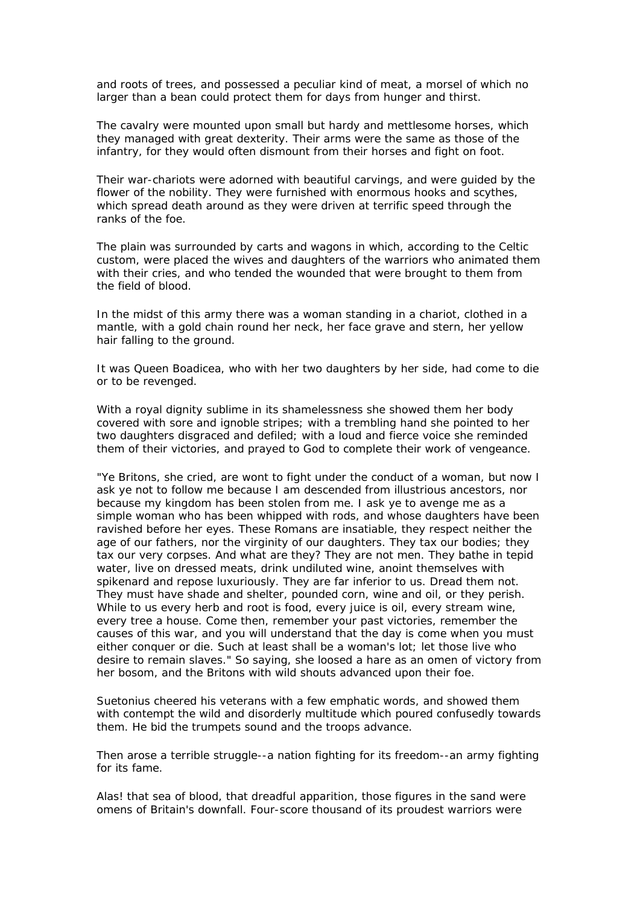and roots of trees, and possessed a peculiar kind of meat, a morsel of which no larger than a bean could protect them for days from hunger and thirst.

The cavalry were mounted upon small but hardy and mettlesome horses, which they managed with great dexterity. Their arms were the same as those of the infantry, for they would often dismount from their horses and fight on foot.

Their war-chariots were adorned with beautiful carvings, and were guided by the flower of the nobility. They were furnished with enormous hooks and scythes, which spread death around as they were driven at terrific speed through the ranks of the foe.

The plain was surrounded by carts and wagons in which, according to the Celtic custom, were placed the wives and daughters of the warriors who animated them with their cries, and who tended the wounded that were brought to them from the field of blood.

In the midst of this army there was a woman standing in a chariot, clothed in a mantle, with a gold chain round her neck, her face grave and stern, her yellow hair falling to the ground.

It was Queen Boadicea, who with her two daughters by her side, had come to die or to be revenged.

With a royal dignity sublime in its shamelessness she showed them her body covered with sore and ignoble stripes; with a trembling hand she pointed to her two daughters disgraced and defiled; with a loud and fierce voice she reminded them of their victories, and prayed to God to complete their work of vengeance.

"Ye Britons, she cried, are wont to fight under the conduct of a woman, but now I ask ye not to follow me because I am descended from illustrious ancestors, nor because my kingdom has been stolen from me. I ask ye to avenge me as a simple woman who has been whipped with rods, and whose daughters have been ravished before her eyes. These Romans are insatiable, they respect neither the age of our fathers, nor the virginity of our daughters. They tax our bodies; they tax our very corpses. And what are they? They are not men. They bathe in tepid water, live on dressed meats, drink undiluted wine, anoint themselves with spikenard and repose luxuriously. They are far inferior to us. Dread them not. They must have shade and shelter, pounded corn, wine and oil, or they perish. While to us every herb and root is food, every juice is oil, every stream wine, every tree a house. Come then, remember your past victories, remember the causes of this war, and you will understand that the day is come when you must either conquer or die. Such at least shall be a woman's lot; let those live who desire to remain slaves." So saying, she loosed a hare as an omen of victory from her bosom, and the Britons with wild shouts advanced upon their foe.

Suetonius cheered his veterans with a few emphatic words, and showed them with contempt the wild and disorderly multitude which poured confusedly towards them. He bid the trumpets sound and the troops advance.

Then arose a terrible struggle--a nation fighting for its freedom--an army fighting for its fame.

Alas! that sea of blood, that dreadful apparition, those figures in the sand were omens of Britain's downfall. Four-score thousand of its proudest warriors were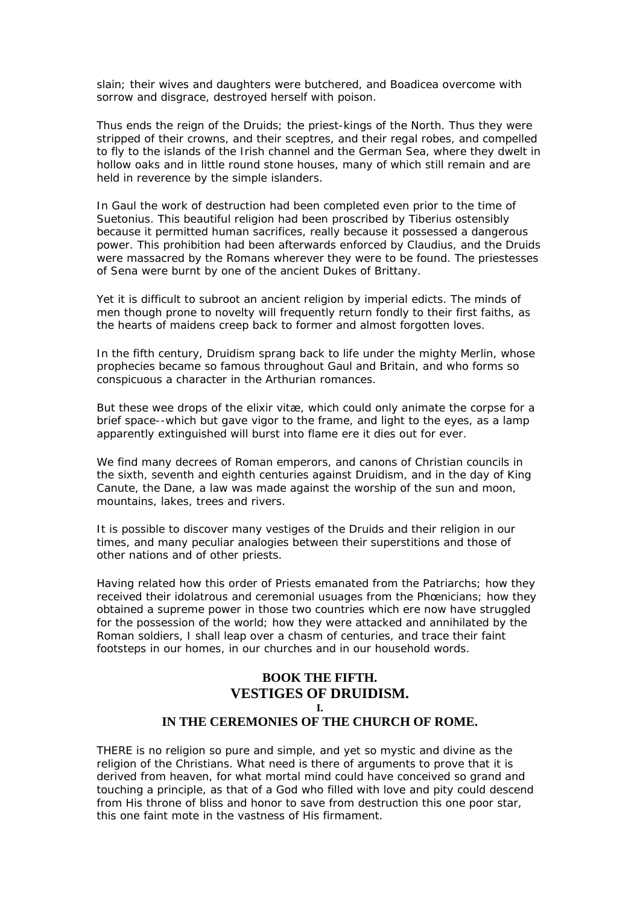slain; their wives and daughters were butchered, and Boadicea overcome with sorrow and disgrace, destroyed herself with poison.

Thus ends the reign of the Druids; the priest-kings of the North. Thus they were stripped of their crowns, and their sceptres, and their regal robes, and compelled to fly to the islands of the Irish channel and the German Sea, where they dwelt in hollow oaks and in little round stone houses, many of which still remain and are held in reverence by the simple islanders.

In Gaul the work of destruction had been completed even prior to the time of Suetonius. This beautiful religion had been proscribed by Tiberius ostensibly because it permitted human sacrifices, really because it possessed a dangerous power. This prohibition had been afterwards enforced by Claudius, and the Druids were massacred by the Romans wherever they were to be found. The priestesses of Sena were burnt by one of the ancient Dukes of Brittany.

Yet it is difficult to subroot an ancient religion by imperial edicts. The minds of men though prone to novelty will frequently return fondly to their first faiths, as the hearts of maidens creep back to former and almost forgotten loves.

In the fifth century, Druidism sprang back to life under the mighty Merlin, whose prophecies became so famous throughout Gaul and Britain, and who forms so conspicuous a character in the Arthurian romances.

But these wee drops of the elixir vitæ, which could only animate the corpse for a brief space--which but gave vigor to the frame, and light to the eyes, as a lamp apparently extinguished will burst into flame ere it dies out for ever.

We find many decrees of Roman emperors, and canons of Christian councils in the sixth, seventh and eighth centuries against Druidism, and in the day of King Canute, the Dane, a law was made against the worship of the sun and moon, mountains, lakes, trees and rivers.

It is possible to discover many vestiges of the Druids and their religion in our times, and many peculiar analogies between their superstitions and those of other nations and of other priests.

Having related how this order of Priests emanated from the Patriarchs; how they received their idolatrous and ceremonial usuages from the Phœnicians; how they obtained a supreme power in those two countries which ere now have struggled for the possession of the world; how they were attacked and annihilated by the Roman soldiers, I shall leap over a chasm of centuries, and trace their faint footsteps in our homes, in our churches and in our household words.

# **BOOK THE FIFTH. VESTIGES OF DRUIDISM. I. IN THE CEREMONIES OF THE CHURCH OF ROME.**

THERE is no religion so pure and simple, and yet so mystic and divine as the religion of the Christians. What need is there of arguments to prove that it is derived from heaven, for what mortal mind could have conceived so grand and touching a principle, as that of a God who filled with love and pity could descend from His throne of bliss and honor to save from destruction this one poor star, this one faint mote in the vastness of His firmament.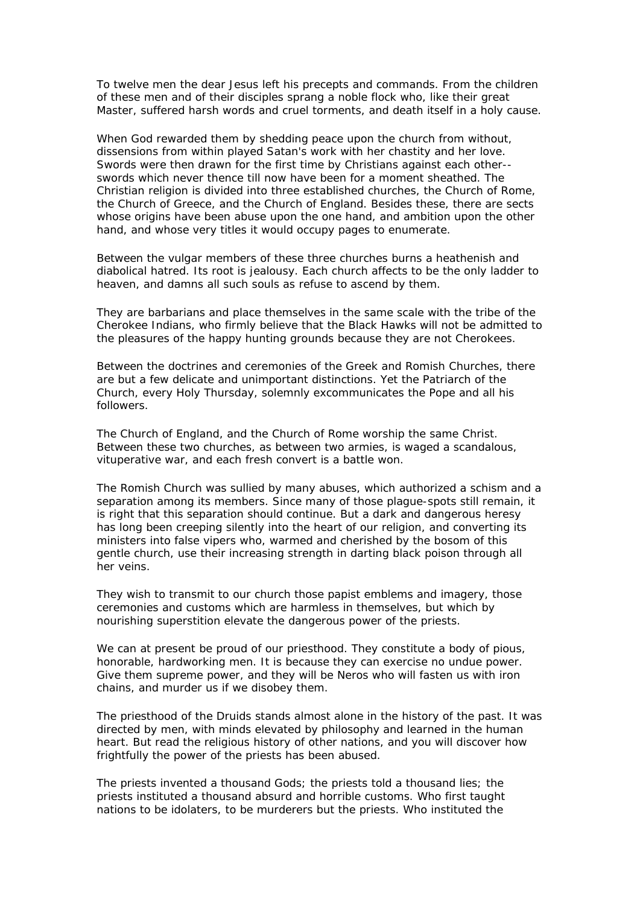To twelve men the dear Jesus left his precepts and commands. From the children of these men and of their disciples sprang a noble flock who, like their great Master, suffered harsh words and cruel torments, and death itself in a holy cause.

When God rewarded them by shedding peace upon the church from without, dissensions from within played Satan's work with her chastity and her love. Swords were then drawn for the first time by Christians against each other- swords which never thence till now have been for a moment sheathed. The Christian religion is divided into three established churches, the Church of Rome, the Church of Greece, and the Church of England. Besides these, there are sects whose origins have been abuse upon the one hand, and ambition upon the other hand, and whose very titles it would occupy pages to enumerate.

Between the vulgar members of these three churches burns a heathenish and diabolical hatred. Its root is jealousy. Each church affects to be the only ladder to heaven, and damns all such souls as refuse to ascend by them.

They are barbarians and place themselves in the same scale with the tribe of the Cherokee Indians, who firmly believe that the Black Hawks will not be admitted to the pleasures of the happy hunting grounds because they are not Cherokees.

Between the doctrines and ceremonies of the Greek and Romish Churches, there are but a few delicate and unimportant distinctions. Yet the Patriarch of the Church, every Holy Thursday, solemnly excommunicates the Pope and all his followers.

The Church of England, and the Church of Rome worship the same Christ. Between these two churches, as between two armies, is waged a scandalous, vituperative war, and each fresh convert is a battle won.

The Romish Church was sullied by many abuses, which authorized a schism and a separation among its members. Since many of those plague-spots still remain, it is right that this separation should continue. But a dark and dangerous heresy has long been creeping silently into the heart of our religion, and converting its ministers into false vipers who, warmed and cherished by the bosom of this gentle church, use their increasing strength in darting black poison through all her veins.

They wish to transmit to our church those papist emblems and imagery, those ceremonies and customs which are harmless in themselves, but which by nourishing superstition elevate the dangerous power of the priests.

We can at present be proud of our priesthood. They constitute a body of pious, honorable, hardworking men. It is because they can exercise no undue power. Give them supreme power, and they will be Neros who will fasten us with iron chains, and murder us if we disobey them.

The priesthood of the Druids stands almost alone in the history of the past. It was directed by men, with minds elevated by philosophy and learned in the human heart. But read the religious history of other nations, and you will discover how frightfully the power of the priests has been abused.

The priests invented a thousand Gods; the priests told a thousand lies; the priests instituted a thousand absurd and horrible customs. Who first taught nations to be idolaters, to be murderers but the priests. Who instituted the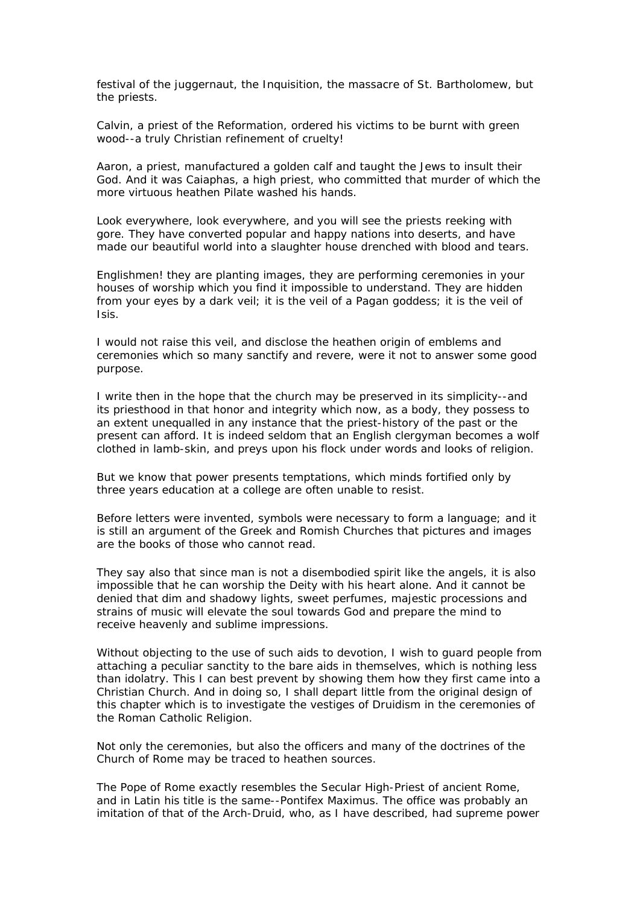festival of the juggernaut, the Inquisition, the massacre of St. Bartholomew, but the priests.

Calvin, a priest of the Reformation, ordered his victims to be burnt with green wood--a truly Christian refinement of cruelty!

Aaron, a priest, manufactured a golden calf and taught the Jews to insult their God. And it was Caiaphas, a high priest, who committed that murder of which the more virtuous heathen Pilate washed his hands.

Look everywhere, look everywhere, and you will see the priests reeking with gore. They have converted popular and happy nations into deserts, and have made our beautiful world into a slaughter house drenched with blood and tears.

Englishmen! they are planting images, they are performing ceremonies in your houses of worship which you find it impossible to understand. They are hidden from your eyes by a dark veil; it is the veil of a Pagan goddess; it is the veil of Isis.

I would not raise this veil, and disclose the heathen origin of emblems and ceremonies which so many sanctify and revere, were it not to answer some good purpose.

I write then in the hope that the church may be preserved in its simplicity--and its priesthood in that honor and integrity which now, as a body, they possess to an extent unequalled in any instance that the priest-history of the past or the present can afford. It is indeed seldom that an English clergyman becomes a wolf clothed in lamb-skin, and preys upon his flock under words and looks of religion.

But we know that power presents temptations, which minds fortified only by three years education at a college are often unable to resist.

Before letters were invented, symbols were necessary to form a language; and it is still an argument of the Greek and Romish Churches that pictures and images are the books of those who cannot read.

They say also that since man is not a disembodied spirit like the angels, it is also impossible that he can worship the Deity with his heart alone. And it cannot be denied that dim and shadowy lights, sweet perfumes, majestic processions and strains of music will elevate the soul towards God and prepare the mind to receive heavenly and sublime impressions.

Without objecting to the use of such aids to devotion, I wish to guard people from attaching a peculiar sanctity to the bare aids in themselves, which is nothing less than idolatry. This I can best prevent by showing them how they first came into a Christian Church. And in doing so, I shall depart little from the original design of this chapter which is to investigate the vestiges of Druidism in the ceremonies of the Roman Catholic Religion.

Not only the ceremonies, but also the officers and many of the doctrines of the Church of Rome may be traced to heathen sources.

The Pope of Rome exactly resembles the Secular High-Priest of ancient Rome, and in Latin his title is the same--Pontifex Maximus. The office was probably an imitation of that of the Arch-Druid, who, as I have described, had supreme power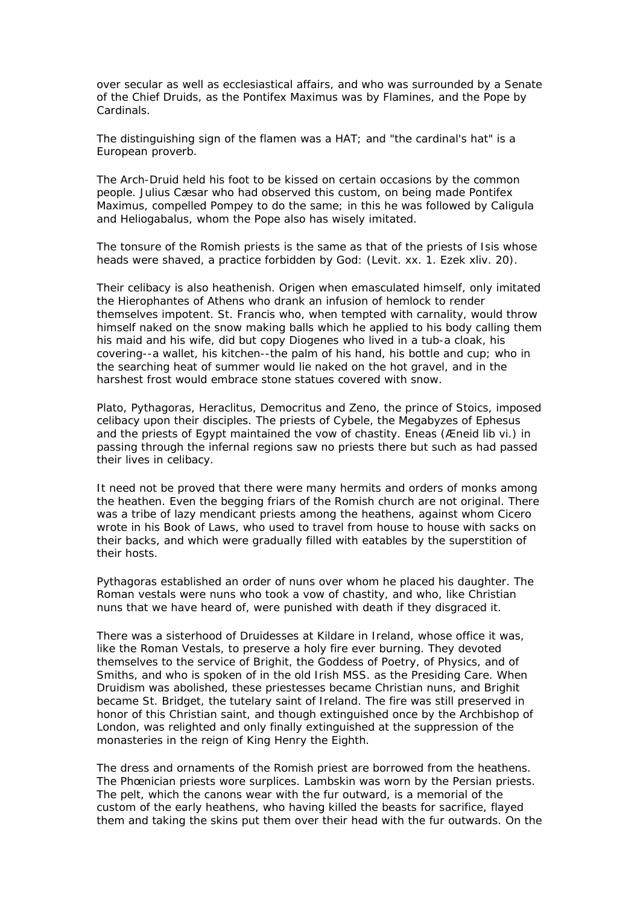over secular as well as ecclesiastical affairs, and who was surrounded by a Senate of the Chief Druids, as the Pontifex Maximus was by Flamines, and the Pope by Cardinals.

The distinguishing sign of the flamen was a HAT; and "the cardinal's hat" is a European proverb.

The Arch-Druid held his foot to be kissed on certain occasions by the common people. Julius Cæsar who had observed this custom, on being made Pontifex Maximus, compelled Pompey to do the same; in this he was followed by Caligula and Heliogabalus, whom the Pope also has wisely imitated.

The tonsure of the Romish priests is the same as that of the priests of Isis whose heads were shaved, a practice forbidden by God: (Levit. xx. 1. Ezek xliv. 20).

Their celibacy is also heathenish. Origen when emasculated himself, only imitated the Hierophantes of Athens who drank an infusion of hemlock to render themselves impotent. St. Francis who, when tempted with carnality, would throw himself naked on the snow making balls which he applied to his body calling them his maid and his wife, did but copy Diogenes who lived in a tub-a cloak, his covering--a wallet, his kitchen--the palm of his hand, his bottle and cup; who in the searching heat of summer would lie naked on the hot gravel, and in the harshest frost would embrace stone statues covered with snow.

Plato, Pythagoras, Heraclitus, Democritus and Zeno, the prince of Stoics, imposed celibacy upon their disciples. The priests of Cybele, the Megabyzes of Ephesus and the priests of Egypt maintained the vow of chastity. Eneas (Æneid lib vi.) in passing through the infernal regions saw no priests there but such as had passed their lives in celibacy.

It need not be proved that there were many hermits and orders of monks among the heathen. Even the begging friars of the Romish church are not original. There was a tribe of lazy mendicant priests among the heathens, against whom Cicero wrote in his Book of Laws, who used to travel from house to house with sacks on their backs, and which were gradually filled with eatables by the superstition of their hosts.

Pythagoras established an order of nuns over whom he placed his daughter. The Roman vestals were nuns who took a vow of chastity, and who, like Christian nuns that we have heard of, were punished with death if they disgraced it.

There was a sisterhood of Druidesses at Kildare in Ireland, whose office it was, like the Roman Vestals, to preserve a holy fire ever burning. They devoted themselves to the service of Brighit, the Goddess of Poetry, of Physics, and of Smiths, and who is spoken of in the old Irish MSS. as the Presiding Care. When Druidism was abolished, these priestesses became Christian nuns, and Brighit became St. Bridget, the tutelary saint of Ireland. The fire was still preserved in honor of this Christian saint, and though extinguished once by the Archbishop of London, was relighted and only finally extinguished at the suppression of the monasteries in the reign of King Henry the Eighth.

The dress and ornaments of the Romish priest are borrowed from the heathens. The Phœnician priests wore surplices. Lambskin was worn by the Persian priests. The pelt, which the canons wear with the fur outward, is a memorial of the custom of the early heathens, who having killed the beasts for sacrifice, flayed them and taking the skins put them over their head with the fur outwards. On the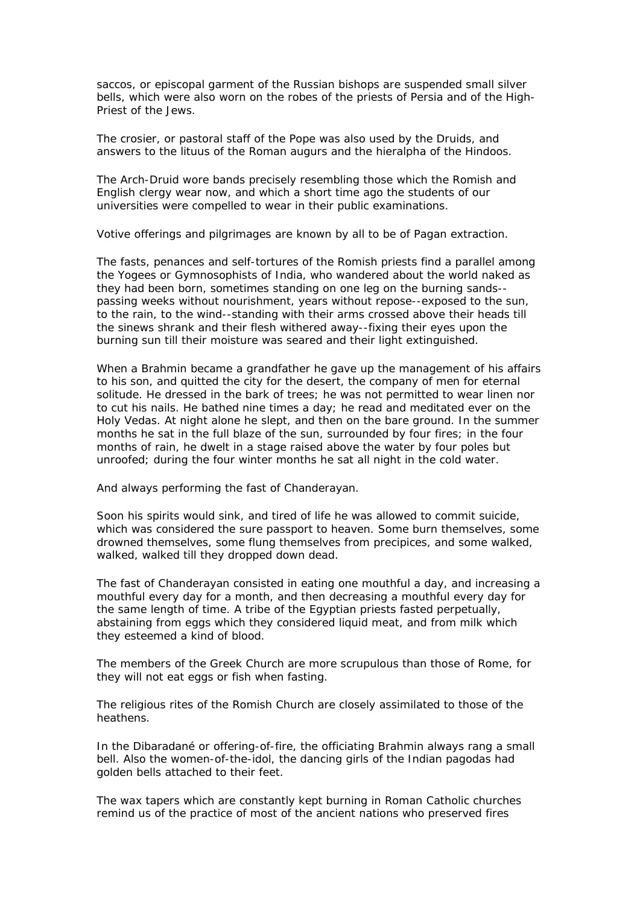saccos, or episcopal garment of the Russian bishops are suspended small silver bells, which were also worn on the robes of the priests of Persia and of the High-Priest of the Jews.

The crosier, or pastoral staff of the Pope was also used by the Druids, and answers to the lituus of the Roman augurs and the hieralpha of the Hindoos.

The Arch-Druid wore bands precisely resembling those which the Romish and English clergy wear now, and which a short time ago the students of our universities were compelled to wear in their public examinations.

Votive offerings and pilgrimages are known by all to be of Pagan extraction.

The fasts, penances and self-tortures of the Romish priests find a parallel among the Yogees or Gymnosophists of India, who wandered about the world naked as they had been born, sometimes standing on one leg on the burning sands- passing weeks without nourishment, years without repose--exposed to the sun, to the rain, to the wind--standing with their arms crossed above their heads till the sinews shrank and their flesh withered away--fixing their eyes upon the burning sun till their moisture was seared and their light extinguished.

When a Brahmin became a grandfather he gave up the management of his affairs to his son, and quitted the city for the desert, the company of men for eternal solitude. He dressed in the bark of trees; he was not permitted to wear linen nor to cut his nails. He bathed nine times a day; he read and meditated ever on the Holy Vedas. At night alone he slept, and then on the bare ground. In the summer months he sat in the full blaze of the sun, surrounded by four fires; in the four months of rain, he dwelt in a stage raised above the water by four poles but unroofed; during the four winter months he sat all night in the cold water.

And always performing the fast of Chanderayan.

Soon his spirits would sink, and tired of life he was allowed to commit suicide, which was considered the sure passport to heaven. Some burn themselves, some drowned themselves, some flung themselves from precipices, and some walked, walked, walked till they dropped down dead.

The fast of Chanderayan consisted in eating one mouthful a day, and increasing a mouthful every day for a month, and then decreasing a mouthful every day for the same length of time. A tribe of the Egyptian priests fasted perpetually, abstaining from eggs which they considered liquid meat, and from milk which they esteemed a kind of blood.

The members of the Greek Church are more scrupulous than those of Rome, for they will not eat eggs or fish when fasting.

The religious rites of the Romish Church are closely assimilated to those of the heathens.

In the Dibaradané or offering-of-fire, the officiating Brahmin always rang a small bell. Also the women-of-the-idol, the dancing girls of the Indian pagodas had golden bells attached to their feet.

The wax tapers which are constantly kept burning in Roman Catholic churches remind us of the practice of most of the ancient nations who preserved fires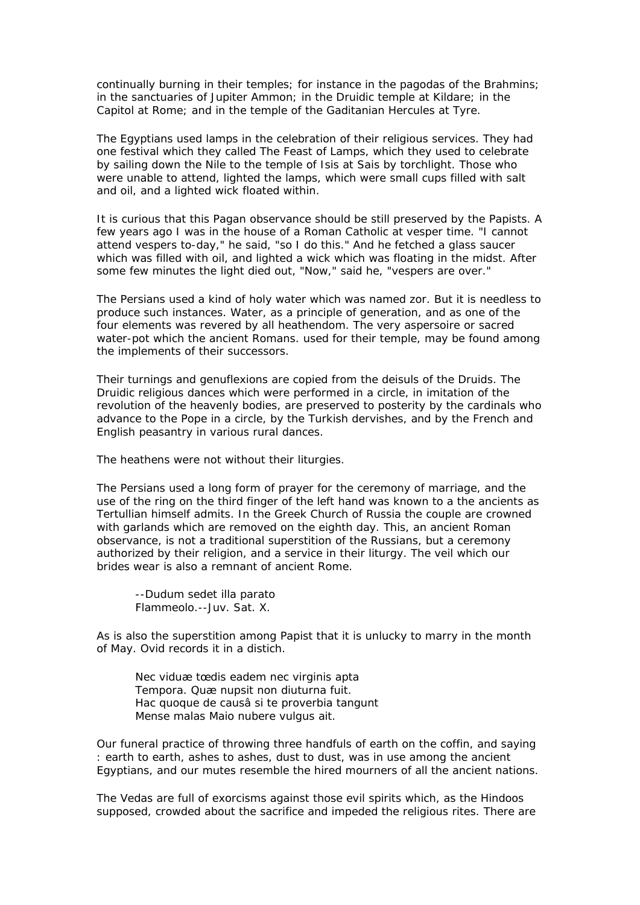continually burning in their temples; for instance in the pagodas of the Brahmins; in the sanctuaries of Jupiter Ammon; in the Druidic temple at Kildare; in the Capitol at Rome; and in the temple of the Gaditanian Hercules at Tyre.

The Egyptians used lamps in the celebration of their religious services. They had one festival which they called The Feast of Lamps, which they used to celebrate by sailing down the Nile to the temple of Isis at Sais by torchlight. Those who were unable to attend, lighted the lamps, which were small cups filled with salt and oil, and a lighted wick floated within.

It is curious that this Pagan observance should be still preserved by the Papists. A few years ago I was in the house of a Roman Catholic at vesper time. "I cannot attend vespers to-day," he said, "so I do this." And he fetched a glass saucer which was filled with oil, and lighted a wick which was floating in the midst. After some few minutes the light died out, "Now," said he, "vespers are over."

The Persians used a kind of holy water which was named zor. But it is needless to produce such instances. Water, as a principle of generation, and as one of the four elements was revered by all heathendom. The very aspersoire or sacred water-pot which the ancient Romans. used for their temple, may be found among the implements of their successors.

Their turnings and genuflexions are copied from the deisuls of the Druids. The Druidic religious dances which were performed in a circle, in imitation of the revolution of the heavenly bodies, are preserved to posterity by the cardinals who advance to the Pope in a circle, by the Turkish dervishes, and by the French and English peasantry in various rural dances.

The heathens were not without their liturgies.

The Persians used a long form of prayer for the ceremony of marriage, and the use of the ring on the third finger of the left hand was known to a the ancients as Tertullian himself admits. In the Greek Church of Russia the couple are crowned with garlands which are removed on the eighth day. This, an ancient Roman observance, is not a traditional superstition of the Russians, but a ceremony authorized by their religion, and a service in their liturgy. The veil which our brides wear is also a remnant of ancient Rome.

--Dudum sedet illa parato Flammeolo.--Juv. Sat. X.

As is also the superstition among Papist that it is unlucky to marry in the month of May. Ovid records it in a distich.

Nec viduæ tœdis eadem nec virginis apta Tempora. Quæ nupsit non diuturna fuit. Hac quoque de causâ si te proverbia tangunt Mense malas Maio nubere vulgus ait.

Our funeral practice of throwing three handfuls of earth on the coffin, and saying : earth to earth, ashes to ashes, dust to dust, was in use among the ancient Egyptians, and our mutes resemble the hired mourners of all the ancient nations.

The Vedas are full of exorcisms against those evil spirits which, as the Hindoos supposed, crowded about the sacrifice and impeded the religious rites. There are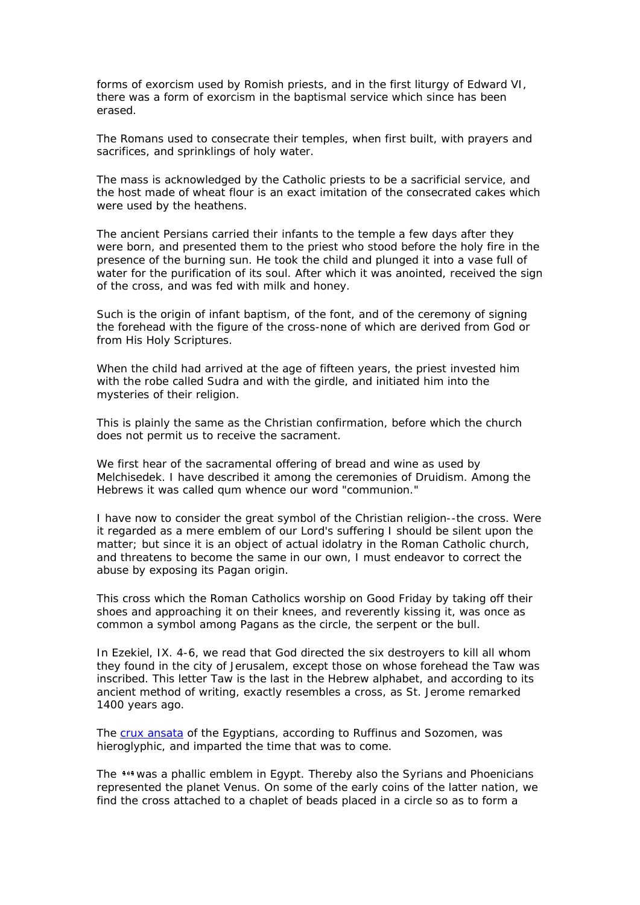forms of exorcism used by Romish priests, and in the first liturgy of Edward VI, there was a form of exorcism in the baptismal service which since has been erased.

The Romans used to consecrate their temples, when first built, with prayers and sacrifices, and sprinklings of holy water.

The mass is acknowledged by the Catholic priests to be a sacrificial service, and the host made of wheat flour is an exact imitation of the consecrated cakes which were used by the heathens.

The ancient Persians carried their infants to the temple a few days after they were born, and presented them to the priest who stood before the holy fire in the presence of the burning sun. He took the child and plunged it into a vase full of water for the purification of its soul. After which it was anointed, received the sign of the cross, and was fed with milk and honey.

Such is the origin of infant baptism, of the font, and of the ceremony of signing the forehead with the figure of the cross-none of which are derived from God or from His Holy Scriptures.

When the child had arrived at the age of fifteen years, the priest invested him with the robe called Sudra and with the girdle, and initiated him into the mysteries of their religion.

This is plainly the same as the Christian confirmation, before which the church does not permit us to receive the sacrament.

We first hear of the sacramental offering of bread and wine as used by Melchisedek. I have described it among the ceremonies of Druidism. Among the Hebrews it was called qum whence our word "communion."

I have now to consider the great symbol of the Christian religion--the cross. Were it regarded as a mere emblem of our Lord's suffering I should be silent upon the matter; but since it is an object of actual idolatry in the Roman Catholic church, and threatens to become the same in our own, I must endeavor to correct the abuse by exposing its Pagan origin.

This cross which the Roman Catholics worship on Good Friday by taking off their shoes and approaching it on their knees, and reverently kissing it, was once as common a symbol among Pagans as the circle, the serpent or the bull.

In Ezekiel, IX. 4-6, we read that God directed the six destroyers to kill all whom they found in the city of Jerusalem, except those on whose forehead the Taw was inscribed. This letter Taw is the last in the Hebrew alphabet, and according to its ancient method of writing, exactly resembles a cross, as St. Jerome remarked 1400 years ago.

The *[crux ansata](http://altreligion.about.com/library/glossary/symbols/bldefsankh.htm)* of the Egyptians, according to Ruffinus and Sozomen, was hieroglyphic, and imparted the time that was to come.

The  $404$  was a phallic emblem in Egypt. Thereby also the Syrians and Phoenicians represented the planet Venus. On some of the early coins of the latter nation, we find the cross attached to a chaplet of beads placed in a circle so as to form a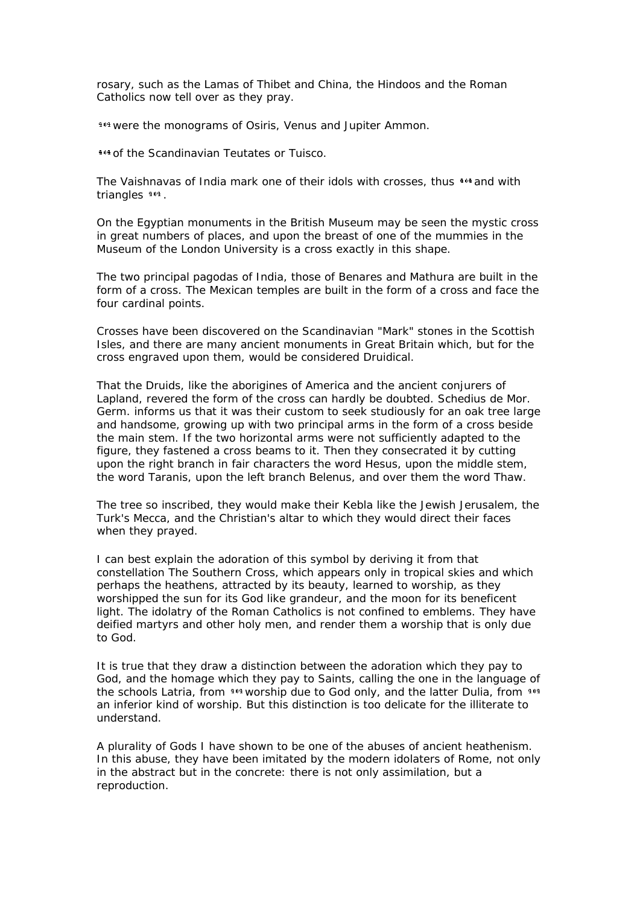rosary, such as the Lamas of Thibet and China, the Hindoos and the Roman Catholics now tell over as they pray.

**\*\*\*** were the monograms of Osiris, Venus and Jupiter Ammon.

**\***<sup>04</sup> of the Scandinavian Teutates or Tuisco.

The Vaishnavas of India mark one of their idols with crosses, thus \*<sup>04</sup> and with triangles  $404$ .

On the Egyptian monuments in the British Museum may be seen the mystic cross in great numbers of places, and upon the breast of one of the mummies in the Museum of the London University is a cross exactly in this shape.

The two principal pagodas of India, those of Benares and Mathura are built in the form of a cross. The Mexican temples are built in the form of a cross and face the four cardinal points.

Crosses have been discovered on the Scandinavian "Mark" stones in the Scottish Isles, and there are many ancient monuments in Great Britain which, but for the cross engraved upon them, would be considered Druidical.

That the Druids, like the aborigines of America and the ancient conjurers of Lapland, revered the form of the cross can hardly be doubted. Schedius de Mor. Germ. informs us that it was their custom to seek studiously for an oak tree large and handsome, growing up with two principal arms in the form of a cross beside the main stem. If the two horizontal arms were not sufficiently adapted to the figure, they fastened a cross beams to it. Then they consecrated it by cutting upon the right branch in fair characters the word Hesus, upon the middle stem, the word Taranis, upon the left branch Belenus, and over them the word Thaw.

The tree so inscribed, they would make their Kebla like the Jewish Jerusalem, the Turk's Mecca, and the Christian's altar to which they would direct their faces when they prayed.

I can best explain the adoration of this symbol by deriving it from that constellation The Southern Cross, which appears only in tropical skies and which perhaps the heathens, attracted by its beauty, learned to worship, as they worshipped the sun for its God like grandeur, and the moon for its beneficent light. The idolatry of the Roman Catholics is not confined to emblems. They have deified martyrs and other holy men, and render them a worship that is only due to God.

It is true that they draw a distinction between the adoration which they pay to God, and the homage which they pay to Saints, calling the one in the language of the schools Latria, from  $404$  worship due to God only, and the latter Dulia, from  $404$ an inferior kind of worship. But this distinction is too delicate for the illiterate to understand.

A plurality of Gods I have shown to be one of the abuses of ancient heathenism. In this abuse, they have been imitated by the modern idolaters of Rome, not only in the abstract but in the concrete: there is not only assimilation, but a reproduction.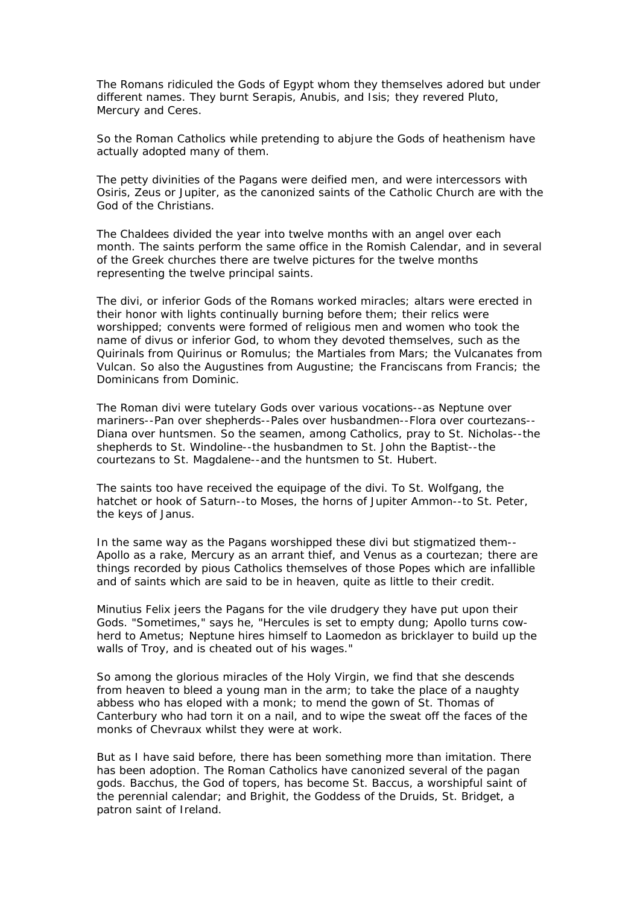The Romans ridiculed the Gods of Egypt whom they themselves adored but under different names. They burnt Serapis, Anubis, and Isis; they revered Pluto, Mercury and Ceres.

So the Roman Catholics while pretending to abjure the Gods of heathenism have actually adopted many of them.

The petty divinities of the Pagans were deified men, and were intercessors with Osiris, Zeus or Jupiter, as the canonized saints of the Catholic Church are with the God of the Christians.

The Chaldees divided the year into twelve months with an angel over each month. The saints perform the same office in the Romish Calendar, and in several of the Greek churches there are twelve pictures for the twelve months representing the twelve principal saints.

The divi, or inferior Gods of the Romans worked miracles; altars were erected in their honor with lights continually burning before them; their relics were worshipped; convents were formed of religious men and women who took the name of divus or inferior God, to whom they devoted themselves, such as the Quirinals from Quirinus or Romulus; the Martiales from Mars; the Vulcanates from Vulcan. So also the Augustines from Augustine; the Franciscans from Francis; the Dominicans from Dominic.

The Roman divi were tutelary Gods over various vocations--as Neptune over mariners--Pan over shepherds--Pales over husbandmen--Flora over courtezans-- Diana over huntsmen. So the seamen, among Catholics, pray to St. Nicholas--the shepherds to St. Windoline--the husbandmen to St. John the Baptist--the courtezans to St. Magdalene--and the huntsmen to St. Hubert.

The saints too have received the equipage of the divi. To St. Wolfgang, the hatchet or hook of Saturn--to Moses, the horns of Jupiter Ammon--to St. Peter, the keys of Janus.

In the same way as the Pagans worshipped these divi but stigmatized them-- Apollo as a rake, Mercury as an arrant thief, and Venus as a courtezan; there are things recorded by pious Catholics themselves of those Popes which are infallible and of saints which are said to be in heaven, quite as little to their credit.

Minutius Felix jeers the Pagans for the vile drudgery they have put upon their Gods. "Sometimes," says he, "Hercules is set to empty dung; Apollo turns cowherd to Ametus; Neptune hires himself to Laomedon as bricklayer to build up the walls of Troy, and is cheated out of his wages."

So among the glorious miracles of the Holy Virgin, we find that she descends from heaven to bleed a young man in the arm; to take the place of a naughty abbess who has eloped with a monk; to mend the gown of St. Thomas of Canterbury who had torn it on a nail, and to wipe the sweat off the faces of the monks of Chevraux whilst they were at work.

But as I have said before, there has been something more than imitation. There has been adoption. The Roman Catholics have canonized several of the pagan gods. Bacchus, the God of topers, has become St. Baccus, a worshipful saint of the perennial calendar; and Brighit, the Goddess of the Druids, St. Bridget, a patron saint of Ireland.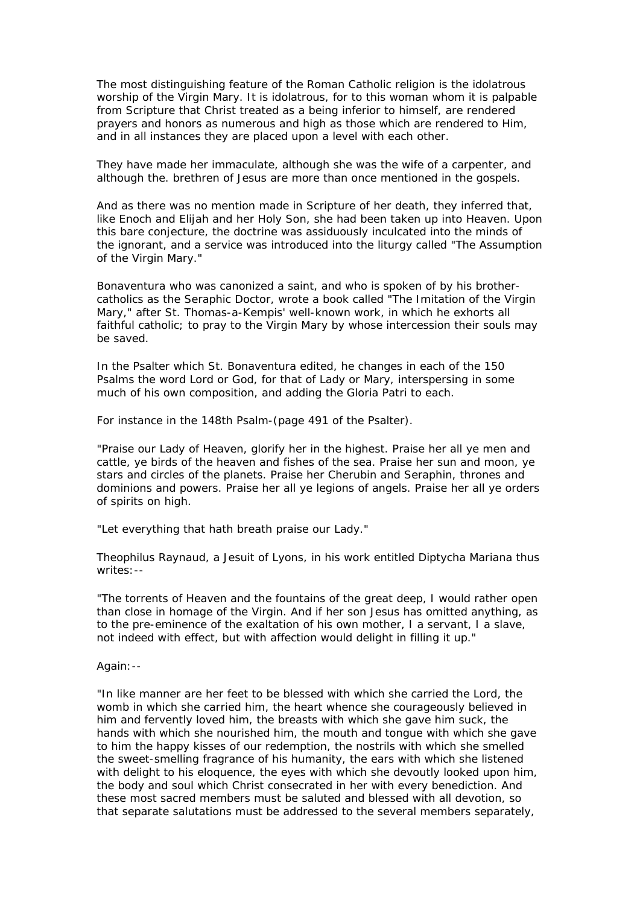The most distinguishing feature of the Roman Catholic religion is the idolatrous worship of the Virgin Mary. It is idolatrous, for to this woman whom it is palpable from Scripture that Christ treated as a being inferior to himself, are rendered prayers and honors as numerous and high as those which are rendered to Him, and in all instances they are placed upon a level with each other.

They have made her immaculate, although she was the wife of a carpenter, and although the. brethren of Jesus are more than once mentioned in the gospels.

And as there was no mention made in Scripture of her death, they inferred that, like Enoch and Elijah and her Holy Son, she had been taken up into Heaven. Upon this bare conjecture, the doctrine was assiduously inculcated into the minds of the ignorant, and a service was introduced into the liturgy called "The Assumption of the Virgin Mary."

Bonaventura who was canonized a saint, and who is spoken of by his brothercatholics as the Seraphic Doctor, wrote a book called "The Imitation of the Virgin Mary," after St. Thomas-a-Kempis' well-known work, in which he exhorts all faithful catholic; to pray to the Virgin Mary by whose intercession their souls may be saved.

In the Psalter which St. Bonaventura edited, he changes in each of the 150 Psalms the word Lord or God, for that of Lady or Mary, interspersing in some much of his own composition, and adding the Gloria Patri to each.

For instance in the 148th Psalm-(page 491 of the Psalter).

"Praise our Lady of Heaven, glorify her in the highest. Praise her all ye men and cattle, ye birds of the heaven and fishes of the sea. Praise her sun and moon, ye stars and circles of the planets. Praise her Cherubin and Seraphin, thrones and dominions and powers. Praise her all ye legions of angels. Praise her all ye orders of spirits on high.

"Let everything that hath breath praise our Lady."

Theophilus Raynaud, a Jesuit of Lyons, in his work entitled Diptycha Mariana thus writes:--

"The torrents of Heaven and the fountains of the great deep, I would rather open than close in homage of the Virgin. And if her son Jesus has omitted anything, as to the pre-eminence of the exaltation of his own mother, I a servant, I a slave, not indeed with effect, but with affection would delight in filling it up."

Again:--

"In like manner are her feet to be blessed with which she carried the Lord, the womb in which she carried him, the heart whence she courageously believed in him and fervently loved him, the breasts with which she gave him suck, the hands with which she nourished him, the mouth and tongue with which she gave to him the happy kisses of our redemption, the nostrils with which she smelled the sweet-smelling fragrance of his humanity, the ears with which she listened with delight to his eloquence, the eyes with which she devoutly looked upon him, the body and soul which Christ consecrated in her with every benediction. And these most sacred members must be saluted and blessed with all devotion, so that separate salutations must be addressed to the several members separately,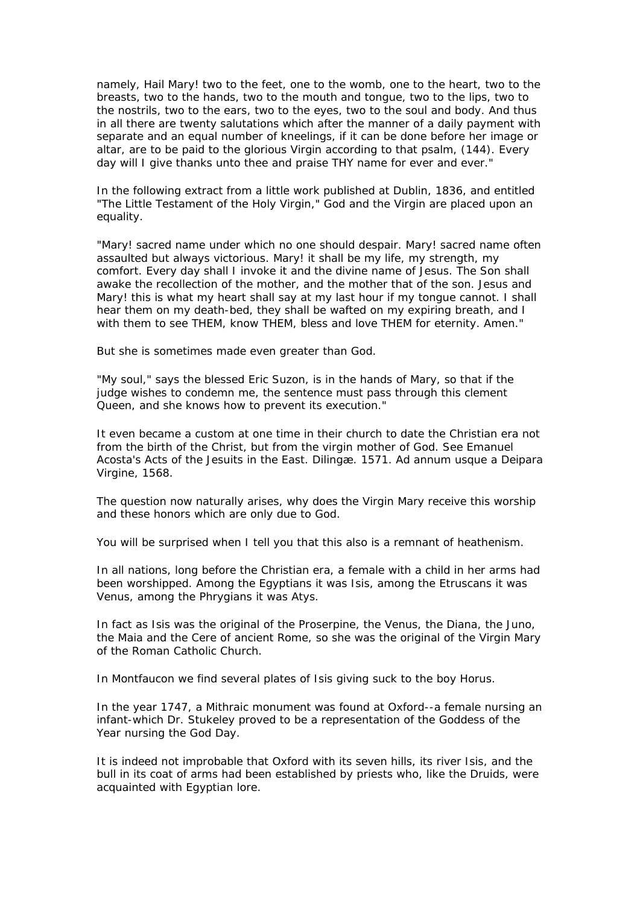namely, Hail Mary! two to the feet, one to the womb, one to the heart, two to the breasts, two to the hands, two to the mouth and tongue, two to the lips, two to the nostrils, two to the ears, two to the eyes, two to the soul and body. And thus in all there are twenty salutations which after the manner of a daily payment with separate and an equal number of kneelings, if it can be done before her image or altar, are to be paid to the glorious Virgin according to that psalm, (144). Every day will I give thanks unto thee and praise THY name for ever and ever."

In the following extract from a little work published at Dublin, 1836, and entitled "The Little Testament of the Holy Virgin," God and the Virgin are placed upon an equality.

"Mary! sacred name under which no one should despair. Mary! sacred name often assaulted but always victorious. Mary! it shall be my life, my strength, my comfort. Every day shall I invoke it and the divine name of Jesus. The Son shall awake the recollection of the mother, and the mother that of the son. Jesus and Mary! this is what my heart shall say at my last hour if my tongue cannot. I shall hear them on my death-bed, they shall be wafted on my expiring breath, and I with them to see THEM, know THEM, bless and love THEM for eternity. Amen."

But she is sometimes made even greater than God.

"My soul," says the blessed Eric Suzon, is in the hands of Mary, so that if the judge wishes to condemn me, the sentence must pass through this clement Queen, and she knows how to prevent its execution."

It even became a custom at one time in their church to date the Christian era not from the birth of the Christ, but from the virgin mother of God. See Emanuel Acosta's Acts of the Jesuits in the East. Dilingæ. 1571. Ad annum usque a Deipara Virgine, 1568.

The question now naturally arises, why does the Virgin Mary receive this worship and these honors which are only due to God.

You will be surprised when I tell you that this also is a remnant of heathenism.

In all nations, long before the Christian era, a female with a child in her arms had been worshipped. Among the Egyptians it was Isis, among the Etruscans it was Venus, among the Phrygians it was Atys.

In fact as Isis was the original of the Proserpine, the Venus, the Diana, the Juno, the Maia and the Cere of ancient Rome, so she was the original of the Virgin Mary of the Roman Catholic Church.

In Montfaucon we find several plates of Isis giving suck to the boy Horus.

In the year 1747, a Mithraic monument was found at Oxford--a female nursing an infant-which Dr. Stukeley proved to be a representation of the Goddess of the Year nursing the God Day.

It is indeed not improbable that Oxford with its seven hills, its river Isis, and the bull in its coat of arms had been established by priests who, like the Druids, were acquainted with Egyptian lore.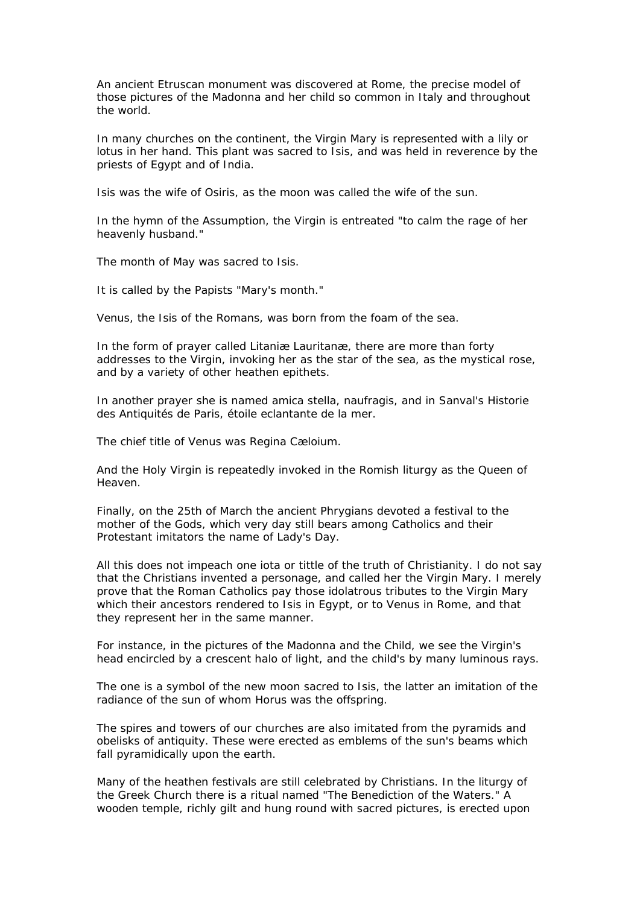An ancient Etruscan monument was discovered at Rome, the precise model of those pictures of the Madonna and her child so common in Italy and throughout the world.

In many churches on the continent, the Virgin Mary is represented with a lily or lotus in her hand. This plant was sacred to Isis, and was held in reverence by the priests of Egypt and of India.

Isis was the wife of Osiris, as the moon was called the wife of the sun.

In the hymn of the Assumption, the Virgin is entreated "to calm the rage of her heavenly husband."

The month of May was sacred to Isis.

It is called by the Papists "Mary's month."

Venus, the Isis of the Romans, was born from the foam of the sea.

In the form of prayer called Litaniæ Lauritanæ, there are more than forty addresses to the Virgin, invoking her as the star of the sea, as the mystical rose, and by a variety of other heathen epithets.

In another prayer she is named amica stella, naufragis, and in Sanval's Historie des Antiquités de Paris, étoile eclantante de la mer.

The chief title of Venus was Regina Cæloium.

And the Holy Virgin is repeatedly invoked in the Romish liturgy as the Queen of Heaven.

Finally, on the 25th of March the ancient Phrygians devoted a festival to the mother of the Gods, which very day still bears among Catholics and their Protestant imitators the name of Lady's Day.

All this does not impeach one iota or tittle of the truth of Christianity. I do not say that the Christians invented a personage, and called her the Virgin Mary. I merely prove that the Roman Catholics pay those idolatrous tributes to the Virgin Mary which their ancestors rendered to Isis in Egypt, or to Venus in Rome, and that they represent her in the same manner.

For instance, in the pictures of the Madonna and the Child, we see the Virgin's head encircled by a crescent halo of light, and the child's by many luminous rays.

The one is a symbol of the new moon sacred to Isis, the latter an imitation of the radiance of the sun of whom Horus was the offspring.

The spires and towers of our churches are also imitated from the pyramids and obelisks of antiquity. These were erected as emblems of the sun's beams which fall pyramidically upon the earth.

Many of the heathen festivals are still celebrated by Christians. In the liturgy of the Greek Church there is a ritual named "The Benediction of the Waters." A wooden temple, richly gilt and hung round with sacred pictures, is erected upon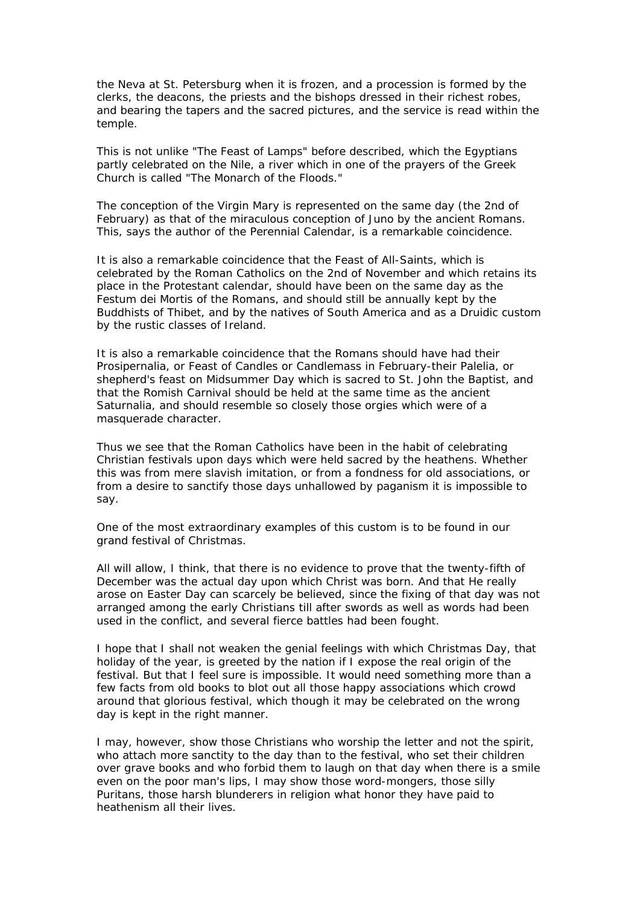the Neva at St. Petersburg when it is frozen, and a procession is formed by the clerks, the deacons, the priests and the bishops dressed in their richest robes, and bearing the tapers and the sacred pictures, and the service is read within the temple.

This is not unlike "The Feast of Lamps" before described, which the Egyptians partly celebrated on the Nile, a river which in one of the prayers of the Greek Church is called "The Monarch of the Floods."

The conception of the Virgin Mary is represented on the same day (the 2nd of February) as that of the miraculous conception of Juno by the ancient Romans. This, says the author of the Perennial Calendar, is a remarkable coincidence.

It is also a remarkable coincidence that the Feast of All-Saints, which is celebrated by the Roman Catholics on the 2nd of November and which retains its place in the Protestant calendar, should have been on the same day as the Festum dei Mortis of the Romans, and should still be annually kept by the Buddhists of Thibet, and by the natives of South America and as a Druidic custom by the rustic classes of Ireland.

It is also a remarkable coincidence that the Romans should have had their Prosipernalia, or Feast of Candles or Candlemass in February-their Palelia, or shepherd's feast on Midsummer Day which is sacred to St. John the Baptist, and that the Romish Carnival should be held at the same time as the ancient Saturnalia, and should resemble so closely those orgies which were of a masquerade character.

Thus we see that the Roman Catholics have been in the habit of celebrating Christian festivals upon days which were held sacred by the heathens. Whether this was from mere slavish imitation, or from a fondness for old associations, or from a desire to sanctify those days unhallowed by paganism it is impossible to say.

One of the most extraordinary examples of this custom is to be found in our grand festival of Christmas.

All will allow, I think, that there is no evidence to prove that the twenty-fifth of December was the actual day upon which Christ was born. And that He really arose on Easter Day can scarcely be believed, since the fixing of that day was not arranged among the early Christians till after swords as well as words had been used in the conflict, and several fierce battles had been fought.

I hope that I shall not weaken the genial feelings with which Christmas Day, that holiday of the year, is greeted by the nation if I expose the real origin of the festival. But that I feel sure is impossible. It would need something more than a few facts from old books to blot out all those happy associations which crowd around that glorious festival, which though it may be celebrated on the wrong day is kept in the right manner.

I may, however, show those Christians who worship the letter and not the spirit, who attach more sanctity to the day than to the festival, who set their children over grave books and who forbid them to laugh on that day when there is a smile even on the poor man's lips, I may show those word-mongers, those silly Puritans, those harsh blunderers in religion what honor they have paid to heathenism all their lives.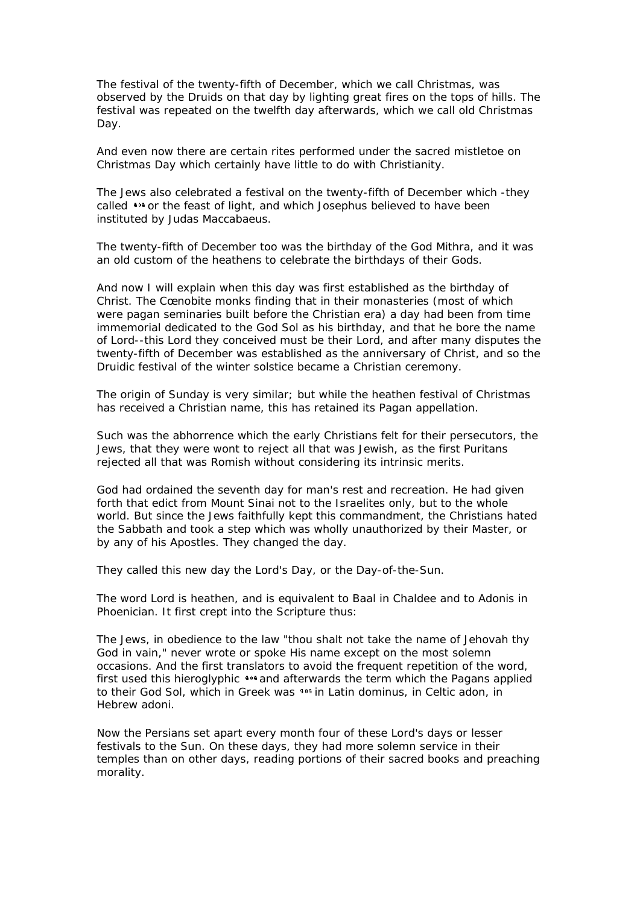The festival of the twenty-fifth of December, which we call Christmas, was observed by the Druids on that day by lighting great fires on the tops of hills. The festival was repeated on the twelfth day afterwards, which we call old Christmas Day.

And even now there are certain rites performed under the sacred mistletoe on Christmas Day which certainly have little to do with Christianity.

The Jews also celebrated a festival on the twenty-fifth of December which -they called \*\*\* or the feast of light, and which Josephus believed to have been instituted by Judas Maccabaeus.

The twenty-fifth of December too was the birthday of the God Mithra, and it was an old custom of the heathens to celebrate the birthdays of their Gods.

And now I will explain when this day was first established as the birthday of Christ. The Cœnobite monks finding that in their monasteries (most of which were pagan seminaries built before the Christian era) a day had been from time immemorial dedicated to the God Sol as his birthday, and that he bore the name of Lord--this Lord they conceived must be their Lord, and after many disputes the twenty-fifth of December was established as the anniversary of Christ, and so the Druidic festival of the winter solstice became a Christian ceremony.

The origin of Sunday is very similar; but while the heathen festival of Christmas has received a Christian name, this has retained its Pagan appellation.

Such was the abhorrence which the early Christians felt for their persecutors, the Jews, that they were wont to reject all that was Jewish, as the first Puritans rejected all that was Romish without considering its intrinsic merits.

God had ordained the seventh day for man's rest and recreation. He had given forth that edict from Mount Sinai not to the Israelites only, but to the whole world. But since the Jews faithfully kept this commandment, the Christians hated the Sabbath and took a step which was wholly unauthorized by their Master, or by any of his Apostles. They changed the day.

They called this new day the Lord's Day, or the Day-of-the-Sun.

The word Lord is heathen, and is equivalent to Baal in Chaldee and to Adonis in Phoenician. It first crept into the Scripture thus:

The Jews, in obedience to the law "thou shalt not take the name of Jehovah thy God in vain," never wrote or spoke His name except on the most solemn occasions. And the first translators to avoid the frequent repetition of the word, first used this hieroglyphic  $**$  and afterwards the term which the Pagans applied to their God Sol, which in Greek was  $2^{04}$ in Latin dominus, in Celtic adon, in Hebrew adoni.

Now the Persians set apart every month four of these Lord's days or lesser festivals to the Sun. On these days, they had more solemn service in their temples than on other days, reading portions of their sacred books and preaching morality.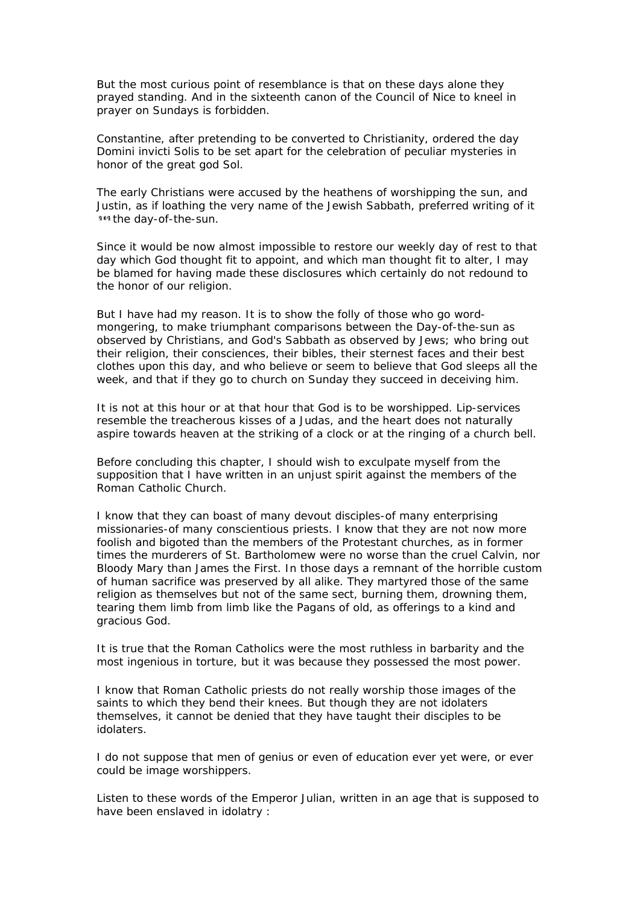But the most curious point of resemblance is that on these days alone they prayed standing. And in the sixteenth canon of the Council of Nice to kneel in prayer on Sundays is forbidden.

Constantine, after pretending to be converted to Christianity, ordered the day Domini invicti Solis to be set apart for the celebration of peculiar mysteries in honor of the great god Sol.

The early Christians were accused by the heathens of worshipping the sun, and Justin, as if loathing the very name of the Jewish Sabbath, preferred writing of it the day-of-the-sun.

Since it would be now almost impossible to restore our weekly day of rest to that day which God thought fit to appoint, and which man thought fit to alter, I may be blamed for having made these disclosures which certainly do not redound to the honor of our religion.

But I have had my reason. It is to show the folly of those who go wordmongering, to make triumphant comparisons between the Day-of-the-sun as observed by Christians, and God's Sabbath as observed by Jews; who bring out their religion, their consciences, their bibles, their sternest faces and their best clothes upon this day, and who believe or seem to believe that God sleeps all the week, and that if they go to church on Sunday they succeed in deceiving him.

It is not at this hour or at that hour that God is to be worshipped. Lip-services resemble the treacherous kisses of a Judas, and the heart does not naturally aspire towards heaven at the striking of a clock or at the ringing of a church bell.

Before concluding this chapter, I should wish to exculpate myself from the supposition that I have written in an unjust spirit against the members of the Roman Catholic Church.

I know that they can boast of many devout disciples-of many enterprising missionaries-of many conscientious priests. I know that they are not now more foolish and bigoted than the members of the Protestant churches, as in former times the murderers of St. Bartholomew were no worse than the cruel Calvin, nor Bloody Mary than James the First. In those days a remnant of the horrible custom of human sacrifice was preserved by all alike. They martyred those of the same religion as themselves but not of the same sect, burning them, drowning them, tearing them limb from limb like the Pagans of old, as offerings to a kind and gracious God.

It is true that the Roman Catholics were the most ruthless in barbarity and the most ingenious in torture, but it was because they possessed the most power.

I know that Roman Catholic priests do not really worship those images of the saints to which they bend their knees. But though they are not idolaters themselves, it cannot be denied that they have taught their disciples to be idolaters.

I do not suppose that men of genius or even of education ever yet were, or ever could be image worshippers.

Listen to these words of the Emperor Julian, written in an age that is supposed to have been enslaved in idolatry :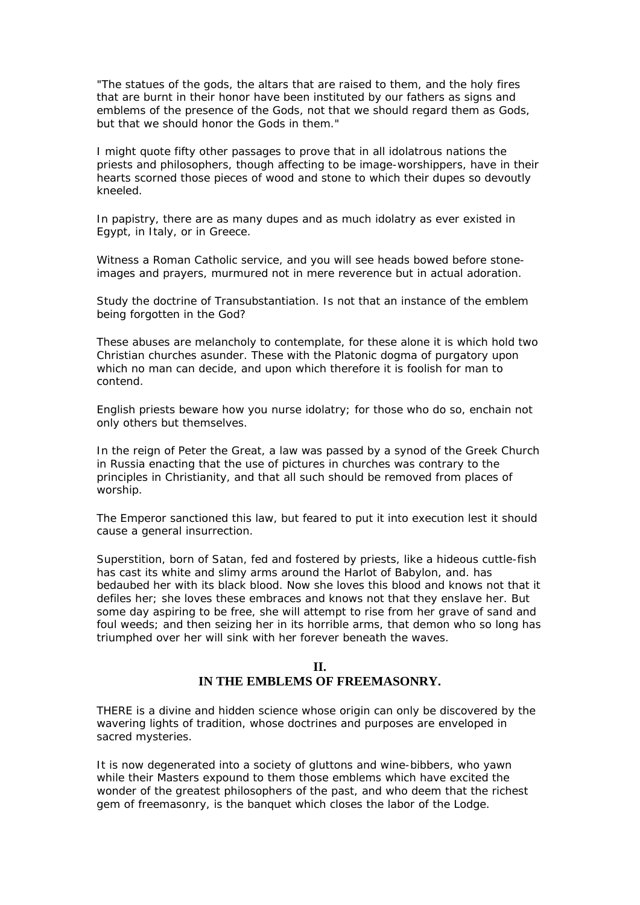"The statues of the gods, the altars that are raised to them, and the holy fires that are burnt in their honor have been instituted by our fathers as signs and emblems of the presence of the Gods, not that we should regard them as Gods, but that we should honor the Gods in them."

I might quote fifty other passages to prove that in all idolatrous nations the priests and philosophers, though affecting to be image-worshippers, have in their hearts scorned those pieces of wood and stone to which their dupes so devoutly kneeled.

In papistry, there are as many dupes and as much idolatry as ever existed in Egypt, in Italy, or in Greece.

Witness a Roman Catholic service, and you will see heads bowed before stoneimages and prayers, murmured not in mere reverence but in actual adoration.

Study the doctrine of Transubstantiation. Is not that an instance of the emblem being forgotten in the God?

These abuses are melancholy to contemplate, for these alone it is which hold two Christian churches asunder. These with the Platonic dogma of purgatory upon which no man can decide, and upon which therefore it is foolish for man to contend.

English priests beware how you nurse idolatry; for those who do so, enchain not only others but themselves.

In the reign of Peter the Great, a law was passed by a synod of the Greek Church in Russia enacting that the use of pictures in churches was contrary to the principles in Christianity, and that all such should be removed from places of worship.

The Emperor sanctioned this law, but feared to put it into execution lest it should cause a general insurrection.

Superstition, born of Satan, fed and fostered by priests, like a hideous cuttle-fish has cast its white and slimy arms around the Harlot of Babylon, and. has bedaubed her with its black blood. Now she loves this blood and knows not that it defiles her; she loves these embraces and knows not that they enslave her. But some day aspiring to be free, she will attempt to rise from her grave of sand and foul weeds; and then seizing her in its horrible arms, that demon who so long has triumphed over her will sink with her forever beneath the waves.

# **II. IN THE EMBLEMS OF FREEMASONRY.**

THERE is a divine and hidden science whose origin can only be discovered by the wavering lights of tradition, whose doctrines and purposes are enveloped in sacred mysteries.

It is now degenerated into a society of gluttons and wine-bibbers, who yawn while their Masters expound to them those emblems which have excited the wonder of the greatest philosophers of the past, and who deem that the richest gem of freemasonry, is the banquet which closes the labor of the Lodge.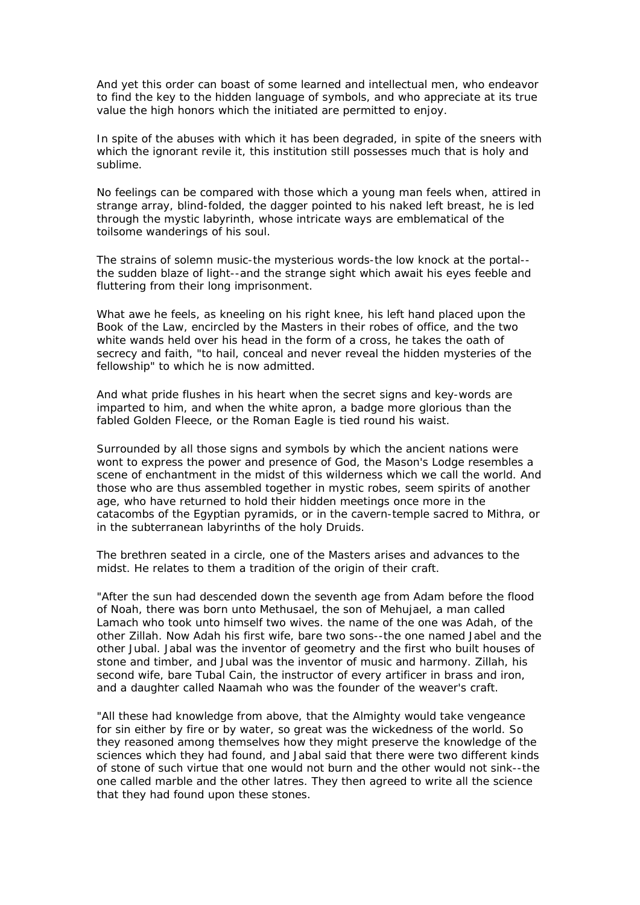And yet this order can boast of some learned and intellectual men, who endeavor to find the key to the hidden language of symbols, and who appreciate at its true value the high honors which the initiated are permitted to enjoy.

In spite of the abuses with which it has been degraded, in spite of the sneers with which the ignorant revile it, this institution still possesses much that is holy and sublime.

No feelings can be compared with those which a young man feels when, attired in strange array, blind-folded, the dagger pointed to his naked left breast, he is led through the mystic labyrinth, whose intricate ways are emblematical of the toilsome wanderings of his soul.

The strains of solemn music-the mysterious words-the low knock at the portal- the sudden blaze of light--and the strange sight which await his eyes feeble and fluttering from their long imprisonment.

What awe he feels, as kneeling on his right knee, his left hand placed upon the Book of the Law, encircled by the Masters in their robes of office, and the two white wands held over his head in the form of a cross, he takes the oath of secrecy and faith, "to hail, conceal and never reveal the hidden mysteries of the fellowship" to which he is now admitted.

And what pride flushes in his heart when the secret signs and key-words are imparted to him, and when the white apron, a badge more glorious than the fabled Golden Fleece, or the Roman Eagle is tied round his waist.

Surrounded by all those signs and symbols by which the ancient nations were wont to express the power and presence of God, the Mason's Lodge resembles a scene of enchantment in the midst of this wilderness which we call the world. And those who are thus assembled together in mystic robes, seem spirits of another age, who have returned to hold their hidden meetings once more in the catacombs of the Egyptian pyramids, or in the cavern-temple sacred to Mithra, or in the subterranean labyrinths of the holy Druids.

The brethren seated in a circle, one of the Masters arises and advances to the midst. He relates to them a tradition of the origin of their craft.

"After the sun had descended down the seventh age from Adam before the flood of Noah, there was born unto Methusael, the son of Mehujael, a man called Lamach who took unto himself two wives. the name of the one was Adah, of the other Zillah. Now Adah his first wife, bare two sons--the one named Jabel and the other Jubal. Jabal was the inventor of geometry and the first who built houses of stone and timber, and Jubal was the inventor of music and harmony. Zillah, his second wife, bare Tubal Cain, the instructor of every artificer in brass and iron, and a daughter called Naamah who was the founder of the weaver's craft.

"All these had knowledge from above, that the Almighty would take vengeance for sin either by fire or by water, so great was the wickedness of the world. So they reasoned among themselves how they might preserve the knowledge of the sciences which they had found, and Jabal said that there were two different kinds of stone of such virtue that one would not burn and the other would not sink--the one called marble and the other latres. They then agreed to write all the science that they had found upon these stones.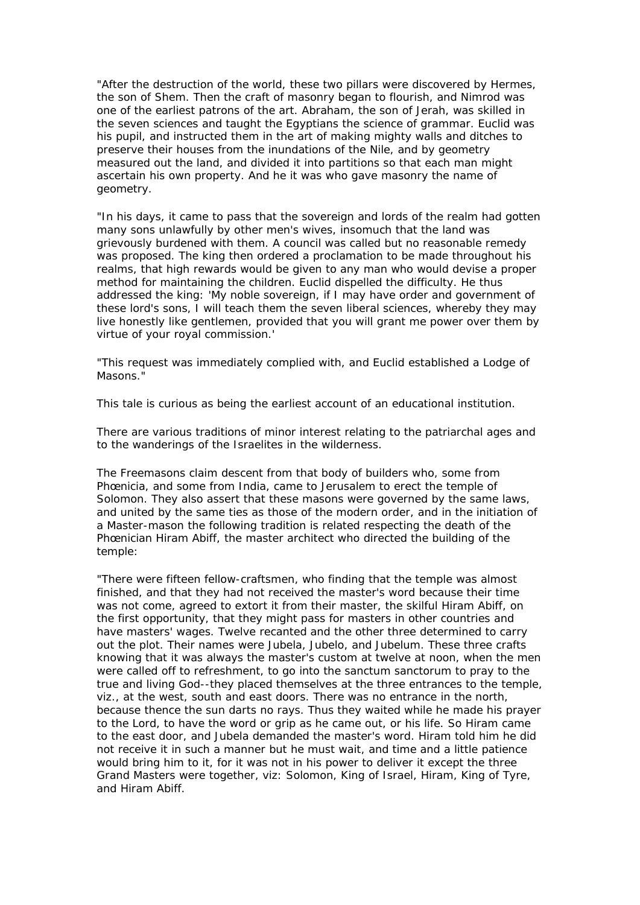"After the destruction of the world, these two pillars were discovered by Hermes, the son of Shem. Then the craft of masonry began to flourish, and Nimrod was one of the earliest patrons of the art. Abraham, the son of Jerah, was skilled in the seven sciences and taught the Egyptians the science of grammar. Euclid was his pupil, and instructed them in the art of making mighty walls and ditches to preserve their houses from the inundations of the Nile, and by geometry measured out the land, and divided it into partitions so that each man might ascertain his own property. And he it was who gave masonry the name of geometry.

"In his days, it came to pass that the sovereign and lords of the realm had gotten many sons unlawfully by other men's wives, insomuch that the land was grievously burdened with them. A council was called but no reasonable remedy was proposed. The king then ordered a proclamation to be made throughout his realms, that high rewards would be given to any man who would devise a proper method for maintaining the children. Euclid dispelled the difficulty. He thus addressed the king: 'My noble sovereign, if I may have order and government of these lord's sons, I will teach them the seven liberal sciences, whereby they may live honestly like gentlemen, provided that you will grant me power over them by virtue of your royal commission.'

"This request was immediately complied with, and Euclid established a Lodge of Masons."

This tale is curious as being the earliest account of an educational institution.

There are various traditions of minor interest relating to the patriarchal ages and to the wanderings of the Israelites in the wilderness.

The Freemasons claim descent from that body of builders who, some from Phœnicia, and some from India, came to Jerusalem to erect the temple of Solomon. They also assert that these masons were governed by the same laws, and united by the same ties as those of the modern order, and in the initiation of a Master-mason the following tradition is related respecting the death of the Phœnician Hiram Abiff, the master architect who directed the building of the temple:

"There were fifteen fellow-craftsmen, who finding that the temple was almost finished, and that they had not received the master's word because their time was not come, agreed to extort it from their master, the skilful Hiram Abiff, on the first opportunity, that they might pass for masters in other countries and have masters' wages. Twelve recanted and the other three determined to carry out the plot. Their names were Jubela, Jubelo, and Jubelum. These three crafts knowing that it was always the master's custom at twelve at noon, when the men were called off to refreshment, to go into the sanctum sanctorum to pray to the true and living God--they placed themselves at the three entrances to the temple, viz., at the west, south and east doors. There was no entrance in the north, because thence the sun darts no rays. Thus they waited while he made his prayer to the Lord, to have the word or grip as he came out, or his life. So Hiram came to the east door, and Jubela demanded the master's word. Hiram told him he did not receive it in such a manner but he must wait, and time and a little patience would bring him to it, for it was not in his power to deliver it except the three Grand Masters were together, viz: Solomon, King of Israel, Hiram, King of Tyre, and Hiram Abiff.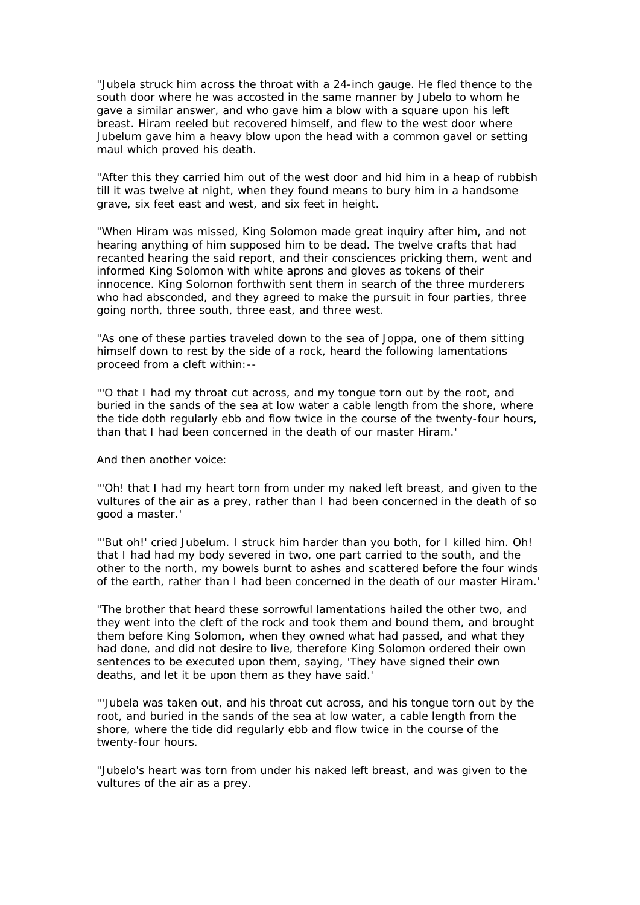"Jubela struck him across the throat with a 24-inch gauge. He fled thence to the south door where he was accosted in the same manner by Jubelo to whom he gave a similar answer, and who gave him a blow with a square upon his left breast. Hiram reeled but recovered himself, and flew to the west door where Jubelum gave him a heavy blow upon the head with a common gavel or setting maul which proved his death.

"After this they carried him out of the west door and hid him in a heap of rubbish till it was twelve at night, when they found means to bury him in a handsome grave, six feet east and west, and six feet in height.

"When Hiram was missed, King Solomon made great inquiry after him, and not hearing anything of him supposed him to be dead. The twelve crafts that had recanted hearing the said report, and their consciences pricking them, went and informed King Solomon with white aprons and gloves as tokens of their innocence. King Solomon forthwith sent them in search of the three murderers who had absconded, and they agreed to make the pursuit in four parties, three going north, three south, three east, and three west.

"As one of these parties traveled down to the sea of Joppa, one of them sitting himself down to rest by the side of a rock, heard the following lamentations proceed from a cleft within:--

"'O that I had my throat cut across, and my tongue torn out by the root, and buried in the sands of the sea at low water a cable length from the shore, where the tide doth regularly ebb and flow twice in the course of the twenty-four hours, than that I had been concerned in the death of our master Hiram.'

And then another voice:

"'Oh! that I had my heart torn from under my naked left breast, and given to the vultures of the air as a prey, rather than I had been concerned in the death of so good a master.'

"'But oh!' cried Jubelum. I struck him harder than you both, for I killed him. Oh! that I had had my body severed in two, one part carried to the south, and the other to the north, my bowels burnt to ashes and scattered before the four winds of the earth, rather than I had been concerned in the death of our master Hiram.'

"The brother that heard these sorrowful lamentations hailed the other two, and they went into the cleft of the rock and took them and bound them, and brought them before King Solomon, when they owned what had passed, and what they had done, and did not desire to live, therefore King Solomon ordered their own sentences to be executed upon them, saying, 'They have signed their own deaths, and let it be upon them as they have said.'

"'Jubela was taken out, and his throat cut across, and his tongue torn out by the root, and buried in the sands of the sea at low water, a cable length from the shore, where the tide did regularly ebb and flow twice in the course of the twenty-four hours.

"Jubelo's heart was torn from under his naked left breast, and was given to the vultures of the air as a prey.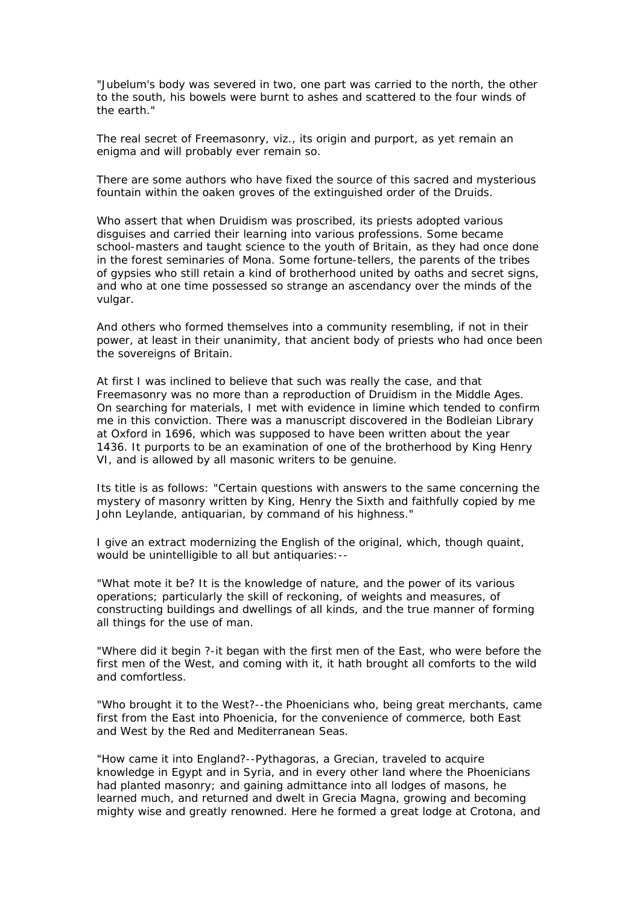"Jubelum's body was severed in two, one part was carried to the north, the other to the south, his bowels were burnt to ashes and scattered to the four winds of the earth."

The real secret of Freemasonry, viz., its origin and purport, as yet remain an enigma and will probably ever remain so.

There are some authors who have fixed the source of this sacred and mysterious fountain within the oaken groves of the extinguished order of the Druids.

Who assert that when Druidism was proscribed, its priests adopted various disguises and carried their learning into various professions. Some became school-masters and taught science to the youth of Britain, as they had once done in the forest seminaries of Mona. Some fortune-tellers, the parents of the tribes of gypsies who still retain a kind of brotherhood united by oaths and secret signs, and who at one time possessed so strange an ascendancy over the minds of the vulgar.

And others who formed themselves into a community resembling, if not in their power, at least in their unanimity, that ancient body of priests who had once been the sovereigns of Britain.

At first I was inclined to believe that such was really the case, and that Freemasonry was no more than a reproduction of Druidism in the Middle Ages. On searching for materials, I met with evidence in limine which tended to confirm me in this conviction. There was a manuscript discovered in the Bodleian Library at Oxford in 1696, which was supposed to have been written about the year 1436. It purports to be an examination of one of the brotherhood by King Henry VI, and is allowed by all masonic writers to be genuine.

Its title is as follows: "Certain questions with answers to the same concerning the mystery of masonry written by King, Henry the Sixth and faithfully copied by me John Leylande, antiquarian, by command of his highness."

I give an extract modernizing the English of the original, which, though quaint, would be unintelligible to all but antiquaries:--

"What mote it be? It is the knowledge of nature, and the power of its various operations; particularly the skill of reckoning, of weights and measures, of constructing buildings and dwellings of all kinds, and the true manner of forming all things for the use of man.

"Where did it begin ?-it began with the first men of the East, who were before the first men of the West, and coming with it, it hath brought all comforts to the wild and comfortless.

"Who brought it to the West?--the Phoenicians who, being great merchants, came first from the East into Phoenicia, for the convenience of commerce, both East and West by the Red and Mediterranean Seas.

"How came it into England?--Pythagoras, a Grecian, traveled to acquire knowledge in Egypt and in Syria, and in every other land where the Phoenicians had planted masonry; and gaining admittance into all lodges of masons, he learned much, and returned and dwelt in Grecia Magna, growing and becoming mighty wise and greatly renowned. Here he formed a great lodge at Crotona, and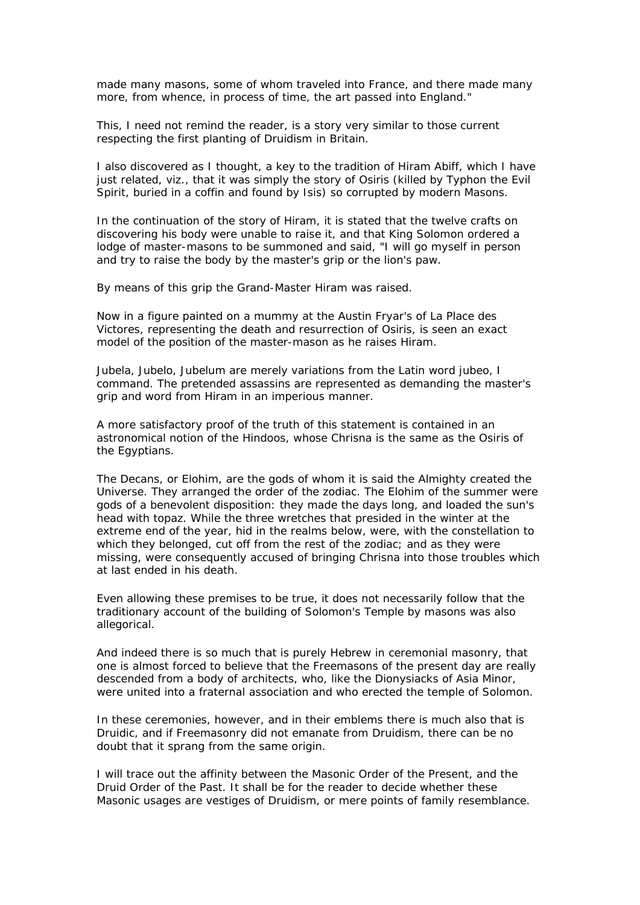made many masons, some of whom traveled into France, and there made many more, from whence, in process of time, the art passed into England."

This, I need not remind the reader, is a story very similar to those current respecting the first planting of Druidism in Britain.

I also discovered as I thought, a key to the tradition of Hiram Abiff, which I have just related, viz., that it was simply the story of Osiris (killed by Typhon the Evil Spirit, buried in a coffin and found by Isis) so corrupted by modern Masons.

In the continuation of the story of Hiram, it is stated that the twelve crafts on discovering his body were unable to raise it, and that King Solomon ordered a lodge of master-masons to be summoned and said, "I will go myself in person and try to raise the body by the master's grip or the lion's paw.

By means of this grip the Grand-Master Hiram was raised.

Now in a figure painted on a mummy at the Austin Fryar's of La Place des Victores, representing the death and resurrection of Osiris, is seen an exact model of the position of the master-mason as he raises Hiram.

Jubela, Jubelo, Jubelum are merely variations from the Latin word jubeo, I command. The pretended assassins are represented as demanding the master's grip and word from Hiram in an imperious manner.

A more satisfactory proof of the truth of this statement is contained in an astronomical notion of the Hindoos, whose Chrisna is the same as the Osiris of the Egyptians.

The Decans, or Elohim, are the gods of whom it is said the Almighty created the Universe. They arranged the order of the zodiac. The Elohim of the summer were gods of a benevolent disposition: they made the days long, and loaded the sun's head with topaz. While the three wretches that presided in the winter at the extreme end of the year, hid in the realms below, were, with the constellation to which they belonged, cut off from the rest of the zodiac; and as they were missing, were consequently accused of bringing Chrisna into those troubles which at last ended in his death.

Even allowing these premises to be true, it does not necessarily follow that the traditionary account of the building of Solomon's Temple by masons was also allegorical.

And indeed there is so much that is purely Hebrew in ceremonial masonry, that one is almost forced to believe that the Freemasons of the present day are really descended from a body of architects, who, like the Dionysiacks of Asia Minor, were united into a fraternal association and who erected the temple of Solomon.

In these ceremonies, however, and in their emblems there is much also that is Druidic, and if Freemasonry did not emanate from Druidism, there can be no doubt that it sprang from the same origin.

I will trace out the affinity between the Masonic Order of the Present, and the Druid Order of the Past. It shall be for the reader to decide whether these Masonic usages are vestiges of Druidism, or mere points of family resemblance.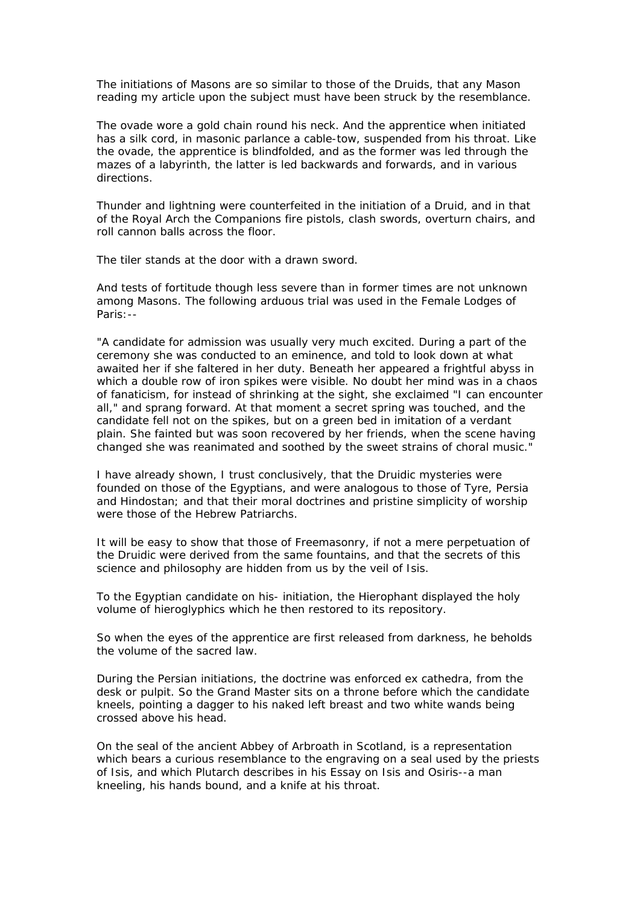The initiations of Masons are so similar to those of the Druids, that any Mason reading my article upon the subject must have been struck by the resemblance.

The ovade wore a gold chain round his neck. And the apprentice when initiated has a silk cord, in masonic parlance a cable-tow, suspended from his throat. Like the ovade, the apprentice is blindfolded, and as the former was led through the mazes of a labyrinth, the latter is led backwards and forwards, and in various directions.

Thunder and lightning were counterfeited in the initiation of a Druid, and in that of the Royal Arch the Companions fire pistols, clash swords, overturn chairs, and roll cannon balls across the floor.

The tiler stands at the door with a drawn sword.

And tests of fortitude though less severe than in former times are not unknown among Masons. The following arduous trial was used in the Female Lodges of Paris:--

"A candidate for admission was usually very much excited. During a part of the ceremony she was conducted to an eminence, and told to look down at what awaited her if she faltered in her duty. Beneath her appeared a frightful abyss in which a double row of iron spikes were visible. No doubt her mind was in a chaos of fanaticism, for instead of shrinking at the sight, she exclaimed "I can encounter all," and sprang forward. At that moment a secret spring was touched, and the candidate fell not on the spikes, but on a green bed in imitation of a verdant plain. She fainted but was soon recovered by her friends, when the scene having changed she was reanimated and soothed by the sweet strains of choral music."

I have already shown, I trust conclusively, that the Druidic mysteries were founded on those of the Egyptians, and were analogous to those of Tyre, Persia and Hindostan; and that their moral doctrines and pristine simplicity of worship were those of the Hebrew Patriarchs.

It will be easy to show that those of Freemasonry, if not a mere perpetuation of the Druidic were derived from the same fountains, and that the secrets of this science and philosophy are hidden from us by the veil of Isis.

To the Egyptian candidate on his- initiation, the Hierophant displayed the holy volume of hieroglyphics which he then restored to its repository.

So when the eyes of the apprentice are first released from darkness, he beholds the volume of the sacred law.

During the Persian initiations, the doctrine was enforced ex cathedra, from the desk or pulpit. So the Grand Master sits on a throne before which the candidate kneels, pointing a dagger to his naked left breast and two white wands being crossed above his head.

On the seal of the ancient Abbey of Arbroath in Scotland, is a representation which bears a curious resemblance to the engraving on a seal used by the priests of Isis, and which Plutarch describes in his Essay on Isis and Osiris--a man kneeling, his hands bound, and a knife at his throat.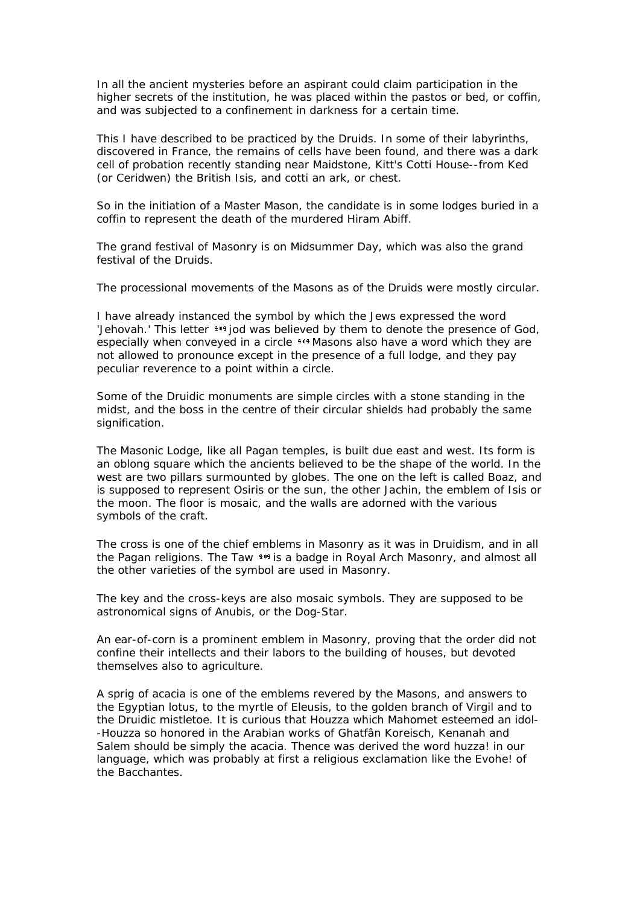In all the ancient mysteries before an aspirant could claim participation in the higher secrets of the institution, he was placed within the pastos or bed, or coffin, and was subjected to a confinement in darkness for a certain time.

This I have described to be practiced by the Druids. In some of their labyrinths, discovered in France, the remains of cells have been found, and there was a dark cell of probation recently standing near Maidstone, Kitt's Cotti House--from Ked (or Ceridwen) the British Isis, and cotti an ark, or chest.

So in the initiation of a Master Mason, the candidate is in some lodges buried in a coffin to represent the death of the murdered Hiram Abiff.

The grand festival of Masonry is on Midsummer Day, which was also the grand festival of the Druids.

The processional movements of the Masons as of the Druids were mostly circular.

I have already instanced the symbol by which the Jews expressed the word 'Jehovah.' This letter  $404$  jod was believed by them to denote the presence of God, especially when conveyed in a circle \*\*Masons also have a word which they are not allowed to pronounce except in the presence of a full lodge, and they pay peculiar reverence to a point within a circle.

Some of the Druidic monuments are simple circles with a stone standing in the midst, and the boss in the centre of their circular shields had probably the same signification.

The Masonic Lodge, like all Pagan temples, is built due east and west. Its form is an oblong square which the ancients believed to be the shape of the world. In the west are two pillars surmounted by globes. The one on the left is called Boaz, and is supposed to represent Osiris or the sun, the other Jachin, the emblem of Isis or the moon. The floor is mosaic, and the walls are adorned with the various symbols of the craft.

The cross is one of the chief emblems in Masonry as it was in Druidism, and in all the Pagan religions. The Taw  $\ast$ <sup>0</sup> is a badge in Royal Arch Masonry, and almost all the other varieties of the symbol are used in Masonry.

The key and the cross-keys are also mosaic symbols. They are supposed to be astronomical signs of Anubis, or the Dog-Star.

An ear-of-corn is a prominent emblem in Masonry, proving that the order did not confine their intellects and their labors to the building of houses, but devoted themselves also to agriculture.

A sprig of acacia is one of the emblems revered by the Masons, and answers to the Egyptian lotus, to the myrtle of Eleusis, to the golden branch of Virgil and to the Druidic mistletoe. It is curious that Houzza which Mahomet esteemed an idol- -Houzza so honored in the Arabian works of Ghatfân Koreisch, Kenanah and Salem should be simply the acacia. Thence was derived the word huzza! in our language, which was probably at first a religious exclamation like the Evohe! of the Bacchantes.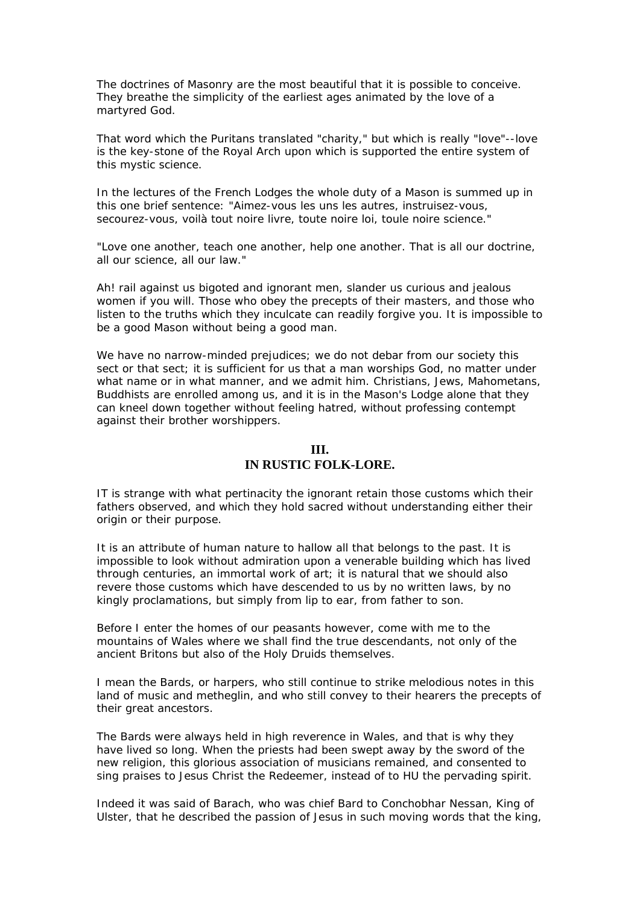The doctrines of Masonry are the most beautiful that it is possible to conceive. They breathe the simplicity of the earliest ages animated by the love of a martyred God.

That word which the Puritans translated "charity," but which is really "love"--love is the key-stone of the Royal Arch upon which is supported the entire system of this mystic science.

In the lectures of the French Lodges the whole duty of a Mason is summed up in this one brief sentence: "Aimez-vous les uns les autres, instruisez-vous, secourez-vous, voilà tout noire livre, toute noire loi, toule noire science."

"Love one another, teach one another, help one another. That is all our doctrine, all our science, all our law."

Ah! rail against us bigoted and ignorant men, slander us curious and jealous women if you will. Those who obey the precepts of their masters, and those who listen to the truths which they inculcate can readily forgive you. It is impossible to be a good Mason without being a good man.

We have no narrow-minded prejudices; we do not debar from our society this sect or that sect; it is sufficient for us that a man worships God, no matter under what name or in what manner, and we admit him. Christians, Jews, Mahometans, Buddhists are enrolled among us, and it is in the Mason's Lodge alone that they can kneel down together without feeling hatred, without professing contempt against their brother worshippers.

**III. IN RUSTIC FOLK-LORE.**

IT is strange with what pertinacity the ignorant retain those customs which their fathers observed, and which they hold sacred without understanding either their origin or their purpose.

It is an attribute of human nature to hallow all that belongs to the past. It is impossible to look without admiration upon a venerable building which has lived through centuries, an immortal work of art; it is natural that we should also revere those customs which have descended to us by no written laws, by no kingly proclamations, but simply from lip to ear, from father to son.

Before I enter the homes of our peasants however, come with me to the mountains of Wales where we shall find the true descendants, not only of the ancient Britons but also of the Holy Druids themselves.

I mean the Bards, or harpers, who still continue to strike melodious notes in this land of music and metheglin, and who still convey to their hearers the precepts of their great ancestors.

The Bards were always held in high reverence in Wales, and that is why they have lived so long. When the priests had been swept away by the sword of the new religion, this glorious association of musicians remained, and consented to sing praises to Jesus Christ the Redeemer, instead of to HU the pervading spirit.

Indeed it was said of Barach, who was chief Bard to Conchobhar Nessan, King of Ulster, that he described the passion of Jesus in such moving words that the king,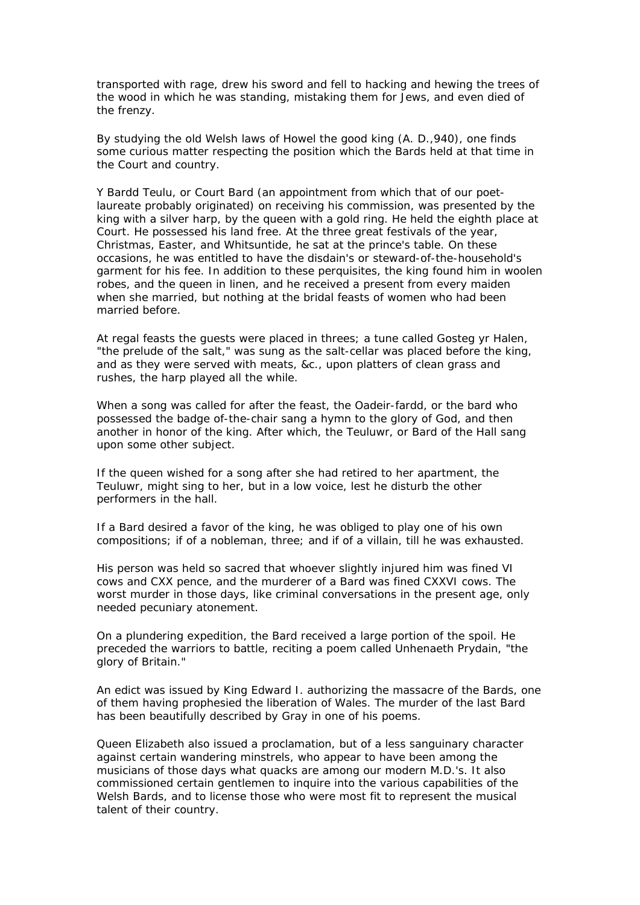transported with rage, drew his sword and fell to hacking and hewing the trees of the wood in which he was standing, mistaking them for Jews, and even died of the frenzy.

By studying the old Welsh laws of Howel the good king (A. D.,940), one finds some curious matter respecting the position which the Bards held at that time in the Court and country.

Y Bardd Teulu, or Court Bard (an appointment from which that of our poetlaureate probably originated) on receiving his commission, was presented by the king with a silver harp, by the queen with a gold ring. He held the eighth place at Court. He possessed his land free. At the three great festivals of the year, Christmas, Easter, and Whitsuntide, he sat at the prince's table. On these occasions, he was entitled to have the disdain's or steward-of-the-household's garment for his fee. In addition to these perquisites, the king found him in woolen robes, and the queen in linen, and he received a present from every maiden when she married, but nothing at the bridal feasts of women who had been married before.

At regal feasts the guests were placed in threes; a tune called Gosteg yr Halen, "the prelude of the salt," was sung as the salt-cellar was placed before the king, and as they were served with meats, &c., upon platters of clean grass and rushes, the harp played all the while.

When a song was called for after the feast, the Oadeir-fardd, or the bard who possessed the badge of-the-chair sang a hymn to the glory of God, and then another in honor of the king. After which, the Teuluwr, or Bard of the Hall sang upon some other subject.

If the queen wished for a song after she had retired to her apartment, the Teuluwr, might sing to her, but in a low voice, lest he disturb the other performers in the hall.

If a Bard desired a favor of the king, he was obliged to play one of his own compositions; if of a nobleman, three; and if of a villain, till he was exhausted.

His person was held so sacred that whoever slightly injured him was fined VI cows and CXX pence, and the murderer of a Bard was fined CXXVI cows. The worst murder in those days, like criminal conversations in the present age, only needed pecuniary atonement.

On a plundering expedition, the Bard received a large portion of the spoil. He preceded the warriors to battle, reciting a poem called Unhenaeth Prydain, "the glory of Britain."

An edict was issued by King Edward I. authorizing the massacre of the Bards, one of them having prophesied the liberation of Wales. The murder of the last Bard has been beautifully described by Gray in one of his poems.

Queen Elizabeth also issued a proclamation, but of a less sanguinary character against certain wandering minstrels, who appear to have been among the musicians of those days what quacks are among our modern M.D.'s. It also commissioned certain gentlemen to inquire into the various capabilities of the Welsh Bards, and to license those who were most fit to represent the musical talent of their country.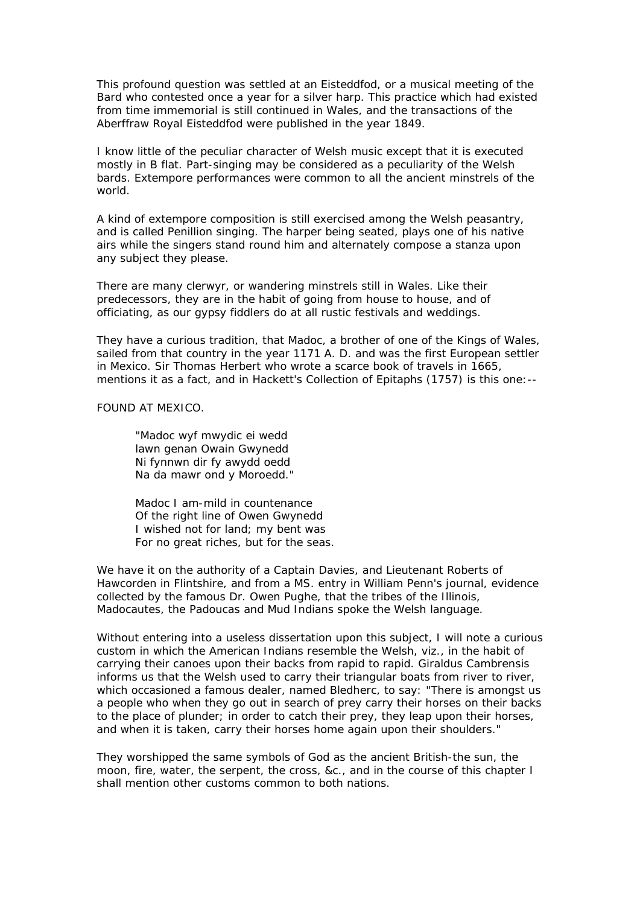This profound question was settled at an Eisteddfod, or a musical meeting of the Bard who contested once a year for a silver harp. This practice which had existed from time immemorial is still continued in Wales, and the transactions of the Aberffraw Royal Eisteddfod were published in the year 1849.

I know little of the peculiar character of Welsh music except that it is executed mostly in B flat. Part-singing may be considered as a peculiarity of the Welsh bards. Extempore performances were common to all the ancient minstrels of the world.

A kind of extempore composition is still exercised among the Welsh peasantry, and is called Penillion singing. The harper being seated, plays one of his native airs while the singers stand round him and alternately compose a stanza upon any subject they please.

There are many clerwyr, or wandering minstrels still in Wales. Like their predecessors, they are in the habit of going from house to house, and of officiating, as our gypsy fiddlers do at all rustic festivals and weddings.

They have a curious tradition, that Madoc, a brother of one of the Kings of Wales, sailed from that country in the year 1171 A. D. and was the first European settler in Mexico. Sir Thomas Herbert who wrote a scarce book of travels in 1665, mentions it as a fact, and in Hackett's Collection of Epitaphs (1757) is this one:--

### FOUND AT MEXICO.

"Madoc wyf mwydic ei wedd lawn genan Owain Gwynedd Ni fynnwn dir fy awydd oedd Na da mawr ond y Moroedd."

Madoc I am-mild in countenance Of the right line of Owen Gwynedd I wished not for land; my bent was For no great riches, but for the seas.

We have it on the authority of a Captain Davies, and Lieutenant Roberts of Hawcorden in Flintshire, and from a MS. entry in William Penn's journal, evidence collected by the famous Dr. Owen Pughe, that the tribes of the Illinois, Madocautes, the Padoucas and Mud Indians spoke the Welsh language.

Without entering into a useless dissertation upon this subject, I will note a curious custom in which the American Indians resemble the Welsh, viz., in the habit of carrying their canoes upon their backs from rapid to rapid. Giraldus Cambrensis informs us that the Welsh used to carry their triangular boats from river to river, which occasioned a famous dealer, named Bledherc, to say: "There is amongst us a people who when they go out in search of prey carry their horses on their backs to the place of plunder; in order to catch their prey, they leap upon their horses, and when it is taken, carry their horses home again upon their shoulders."

They worshipped the same symbols of God as the ancient British-the sun, the moon, fire, water, the serpent, the cross, &c., and in the course of this chapter I shall mention other customs common to both nations.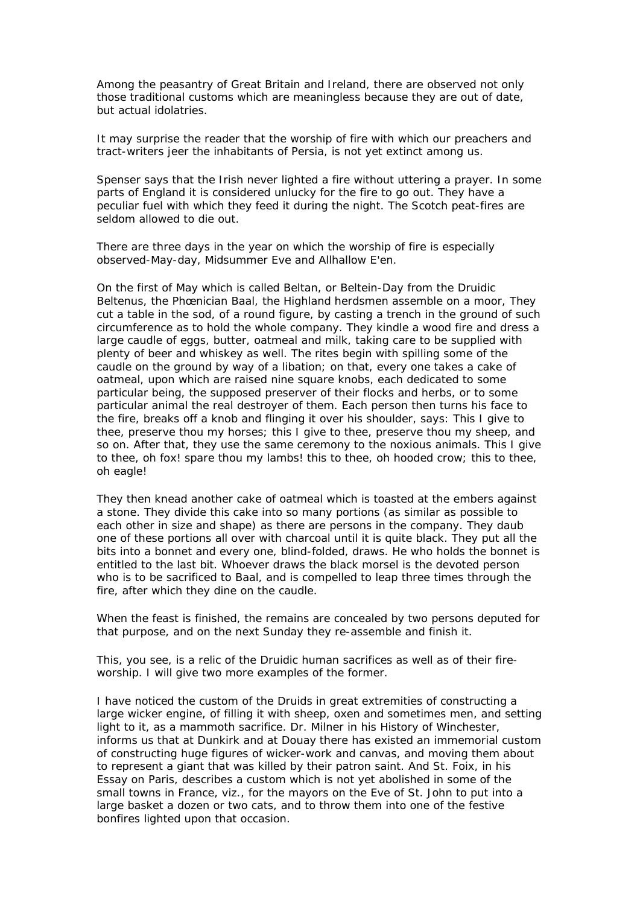Among the peasantry of Great Britain and Ireland, there are observed not only those traditional customs which are meaningless because they are out of date, but actual idolatries.

It may surprise the reader that the worship of fire with which our preachers and tract-writers jeer the inhabitants of Persia, is not yet extinct among us.

Spenser says that the Irish never lighted a fire without uttering a prayer. In some parts of England it is considered unlucky for the fire to go out. They have a peculiar fuel with which they feed it during the night. The Scotch peat-fires are seldom allowed to die out.

There are three days in the year on which the worship of fire is especially observed-May-day, Midsummer Eve and Allhallow E'en.

On the first of May which is called Beltan, or Beltein-Day from the Druidic Beltenus, the Phœnician Baal, the Highland herdsmen assemble on a moor, They cut a table in the sod, of a round figure, by casting a trench in the ground of such circumference as to hold the whole company. They kindle a wood fire and dress a large caudle of eggs, butter, oatmeal and milk, taking care to be supplied with plenty of beer and whiskey as well. The rites begin with spilling some of the caudle on the ground by way of a libation; on that, every one takes a cake of oatmeal, upon which are raised nine square knobs, each dedicated to some particular being, the supposed preserver of their flocks and herbs, or to some particular animal the real destroyer of them. Each person then turns his face to the fire, breaks off a knob and flinging it over his shoulder, says: This I give to thee, preserve thou my horses; this I give to thee, preserve thou my sheep, and so on. After that, they use the same ceremony to the noxious animals. This I give to thee, oh fox! spare thou my lambs! this to thee, oh hooded crow; this to thee, oh eagle!

They then knead another cake of oatmeal which is toasted at the embers against a stone. They divide this cake into so many portions (as similar as possible to each other in size and shape) as there are persons in the company. They daub one of these portions all over with charcoal until it is quite black. They put all the bits into a bonnet and every one, blind-folded, draws. He who holds the bonnet is entitled to the last bit. Whoever draws the black morsel is the devoted person who is to be sacrificed to Baal, and is compelled to leap three times through the fire, after which they dine on the caudle.

When the feast is finished, the remains are concealed by two persons deputed for that purpose, and on the next Sunday they re-assemble and finish it.

This, you see, is a relic of the Druidic human sacrifices as well as of their fireworship. I will give two more examples of the former.

I have noticed the custom of the Druids in great extremities of constructing a large wicker engine, of filling it with sheep, oxen and sometimes men, and setting light to it, as a mammoth sacrifice. Dr. Milner in his History of Winchester, informs us that at Dunkirk and at Douay there has existed an immemorial custom of constructing huge figures of wicker-work and canvas, and moving them about to represent a giant that was killed by their patron saint. And St. Foix, in his Essay on Paris, describes a custom which is not yet abolished in some of the small towns in France, viz., for the mayors on the Eve of St. John to put into a large basket a dozen or two cats, and to throw them into one of the festive bonfires lighted upon that occasion.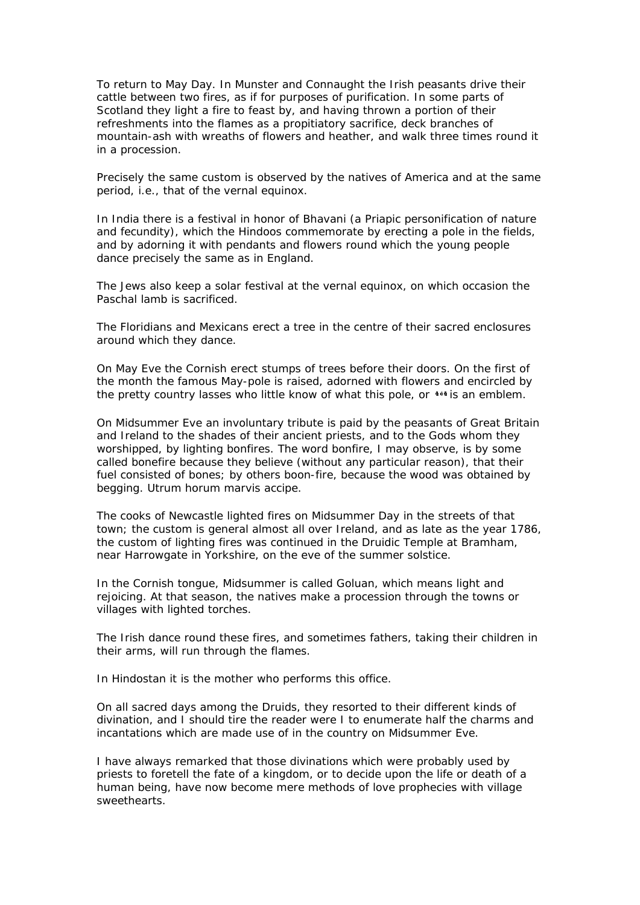To return to May Day. In Munster and Connaught the Irish peasants drive their cattle between two fires, as if for purposes of purification. In some parts of Scotland they light a fire to feast by, and having thrown a portion of their refreshments into the flames as a propitiatory sacrifice, deck branches of mountain-ash with wreaths of flowers and heather, and walk three times round it in a procession.

Precisely the same custom is observed by the natives of America and at the same period, i.e., that of the vernal equinox.

In India there is a festival in honor of Bhavani (a Priapic personification of nature and fecundity), which the Hindoos commemorate by erecting a pole in the fields, and by adorning it with pendants and flowers round which the young people dance precisely the same as in England.

The Jews also keep a solar festival at the vernal equinox, on which occasion the Paschal lamb is sacrificed.

The Floridians and Mexicans erect a tree in the centre of their sacred enclosures around which they dance.

On May Eve the Cornish erect stumps of trees before their doors. On the first of the month the famous May-pole is raised, adorned with flowers and encircled by the pretty country lasses who little know of what this pole, or  $\frac{404}{5}$  is an emblem.

On Midsummer Eve an involuntary tribute is paid by the peasants of Great Britain and Ireland to the shades of their ancient priests, and to the Gods whom they worshipped, by lighting bonfires. The word bonfire, I may observe, is by some called bonefire because they believe (without any particular reason), that their fuel consisted of bones; by others boon-fire, because the wood was obtained by begging. Utrum horum marvis accipe.

The cooks of Newcastle lighted fires on Midsummer Day in the streets of that town; the custom is general almost all over Ireland, and as late as the year 1786, the custom of lighting fires was continued in the Druidic Temple at Bramham, near Harrowgate in Yorkshire, on the eve of the summer solstice.

In the Cornish tongue, Midsummer is called Goluan, which means light and rejoicing. At that season, the natives make a procession through the towns or villages with lighted torches.

The Irish dance round these fires, and sometimes fathers, taking their children in their arms, will run through the flames.

In Hindostan it is the mother who performs this office.

On all sacred days among the Druids, they resorted to their different kinds of divination, and I should tire the reader were I to enumerate half the charms and incantations which are made use of in the country on Midsummer Eve.

I have always remarked that those divinations which were probably used by priests to foretell the fate of a kingdom, or to decide upon the life or death of a human being, have now become mere methods of love prophecies with village sweethearts.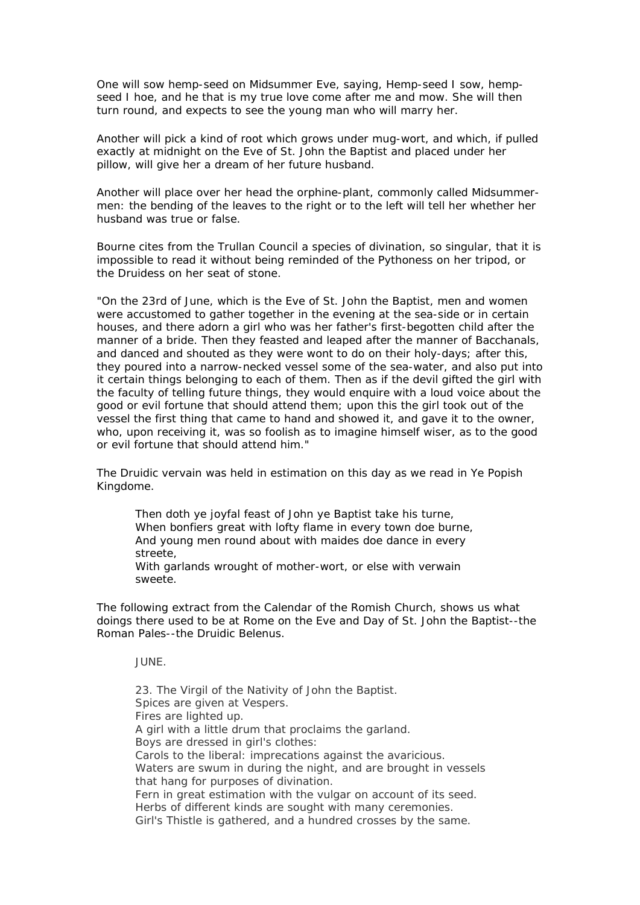One will sow hemp-seed on Midsummer Eve, saying, Hemp-seed I sow, hempseed I hoe, and he that is my true love come after me and mow. She will then turn round, and expects to see the young man who will marry her.

Another will pick a kind of root which grows under mug-wort, and which, if pulled exactly at midnight on the Eve of St. John the Baptist and placed under her pillow, will give her a dream of her future husband.

Another will place over her head the orphine-plant, commonly called Midsummermen: the bending of the leaves to the right or to the left will tell her whether her husband was true or false.

Bourne cites from the Trullan Council a species of divination, so singular, that it is impossible to read it without being reminded of the Pythoness on her tripod, or the Druidess on her seat of stone.

"On the 23rd of June, which is the Eve of St. John the Baptist, men and women were accustomed to gather together in the evening at the sea-side or in certain houses, and there adorn a girl who was her father's first-begotten child after the manner of a bride. Then they feasted and leaped after the manner of Bacchanals, and danced and shouted as they were wont to do on their holy-days; after this, they poured into a narrow-necked vessel some of the sea-water, and also put into it certain things belonging to each of them. Then as if the devil gifted the girl with the faculty of telling future things, they would enquire with a loud voice about the good or evil fortune that should attend them; upon this the girl took out of the vessel the first thing that came to hand and showed it, and gave it to the owner, who, upon receiving it, was so foolish as to imagine himself wiser, as to the good or evil fortune that should attend him."

The Druidic vervain was held in estimation on this day as we read in Ye Popish Kingdome.

Then doth ye joyfal feast of John ye Baptist take his turne, When bonfiers great with lofty flame in every town doe burne, And young men round about with maides doe dance in every streete, With garlands wrought of mother-wort, or else with verwain

sweete.

The following extract from the Calendar of the Romish Church, shows us what doings there used to be at Rome on the Eve and Day of St. John the Baptist--the Roman Pales--the Druidic Belenus.

JUNE.

23. The Virgil of the Nativity of John the Baptist. Spices are given at Vespers. Fires are lighted up. A girl with a little drum that proclaims the garland. Boys are dressed in girl's clothes: Carols to the liberal: imprecations against the avaricious. Waters are swum in during the night, and are brought in vessels that hang for purposes of divination. Fern in great estimation with the vulgar on account of its seed. Herbs of different kinds are sought with many ceremonies. Girl's Thistle is gathered, and a hundred crosses by the same.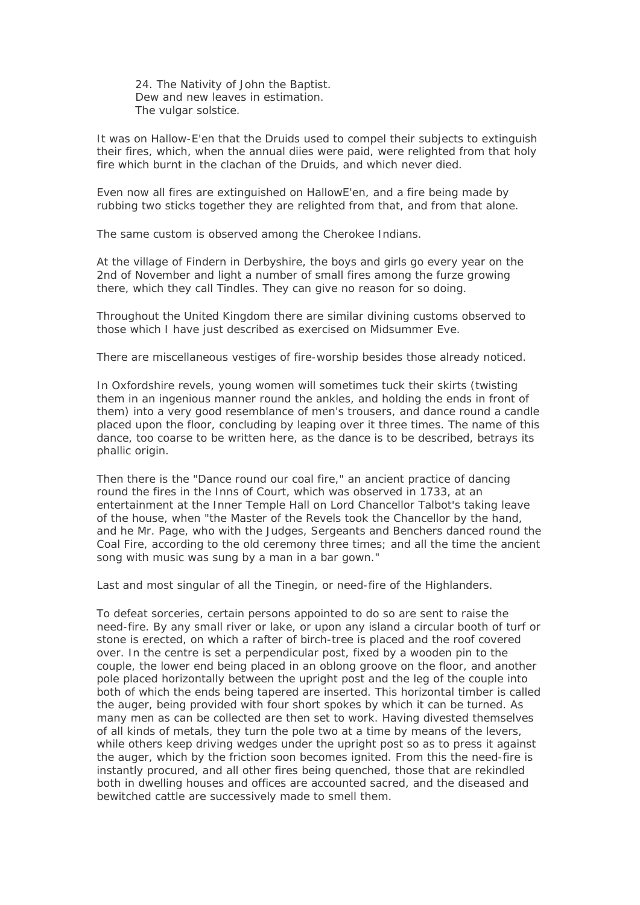24. The Nativity of John the Baptist. Dew and new leaves in estimation. The vulgar solstice.

It was on Hallow-E'en that the Druids used to compel their subjects to extinguish their fires, which, when the annual diies were paid, were relighted from that holy fire which burnt in the clachan of the Druids, and which never died.

Even now all fires are extinguished on HallowE'en, and a fire being made by rubbing two sticks together they are relighted from that, and from that alone.

The same custom is observed among the Cherokee Indians.

At the village of Findern in Derbyshire, the boys and girls go every year on the 2nd of November and light a number of small fires among the furze growing there, which they call Tindles. They can give no reason for so doing.

Throughout the United Kingdom there are similar divining customs observed to those which I have just described as exercised on Midsummer Eve.

There are miscellaneous vestiges of fire-worship besides those already noticed.

In Oxfordshire revels, young women will sometimes tuck their skirts (twisting them in an ingenious manner round the ankles, and holding the ends in front of them) into a very good resemblance of men's trousers, and dance round a candle placed upon the floor, concluding by leaping over it three times. The name of this dance, too coarse to be written here, as the dance is to be described, betrays its phallic origin.

Then there is the "Dance round our coal fire," an ancient practice of dancing round the fires in the Inns of Court, which was observed in 1733, at an entertainment at the Inner Temple Hall on Lord Chancellor Talbot's taking leave of the house, when "the Master of the Revels took the Chancellor by the hand, and he Mr. Page, who with the Judges, Sergeants and Benchers danced round the Coal Fire, according to the old ceremony three times; and all the time the ancient song with music was sung by a man in a bar gown."

Last and most singular of all the Tinegin, or need-fire of the Highlanders.

To defeat sorceries, certain persons appointed to do so are sent to raise the need-fire. By any small river or lake, or upon any island a circular booth of turf or stone is erected, on which a rafter of birch-tree is placed and the roof covered over. In the centre is set a perpendicular post, fixed by a wooden pin to the couple, the lower end being placed in an oblong groove on the floor, and another pole placed horizontally between the upright post and the leg of the couple into both of which the ends being tapered are inserted. This horizontal timber is called the auger, being provided with four short spokes by which it can be turned. As many men as can be collected are then set to work. Having divested themselves of all kinds of metals, they turn the pole two at a time by means of the levers, while others keep driving wedges under the upright post so as to press it against the auger, which by the friction soon becomes ignited. From this the need-fire is instantly procured, and all other fires being quenched, those that are rekindled both in dwelling houses and offices are accounted sacred, and the diseased and bewitched cattle are successively made to smell them.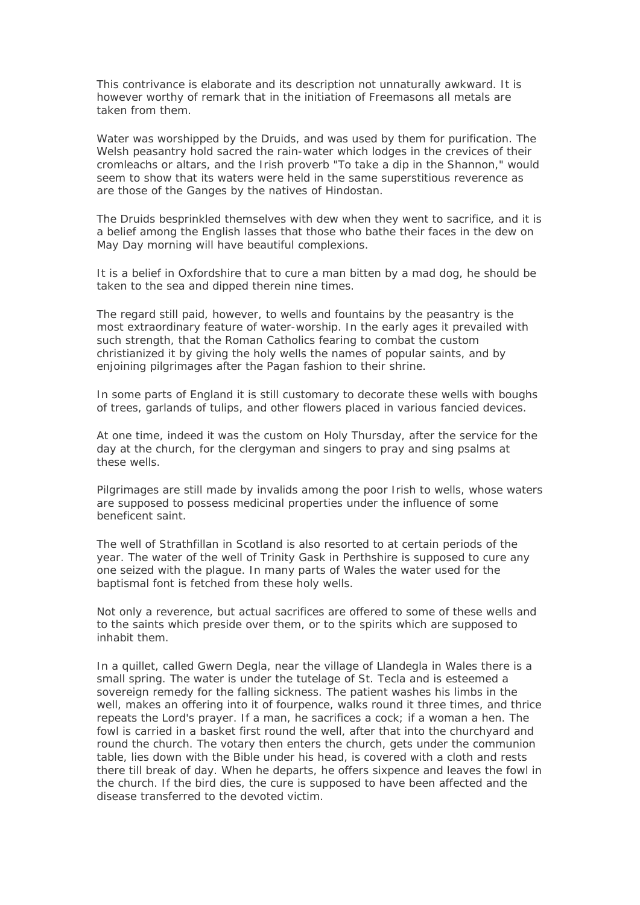This contrivance is elaborate and its description not unnaturally awkward. It is however worthy of remark that in the initiation of Freemasons all metals are taken from them.

Water was worshipped by the Druids, and was used by them for purification. The Welsh peasantry hold sacred the rain-water which lodges in the crevices of their cromleachs or altars, and the Irish proverb "To take a dip in the Shannon," would seem to show that its waters were held in the same superstitious reverence as are those of the Ganges by the natives of Hindostan.

The Druids besprinkled themselves with dew when they went to sacrifice, and it is a belief among the English lasses that those who bathe their faces in the dew on May Day morning will have beautiful complexions.

It is a belief in Oxfordshire that to cure a man bitten by a mad dog, he should be taken to the sea and dipped therein nine times.

The regard still paid, however, to wells and fountains by the peasantry is the most extraordinary feature of water-worship. In the early ages it prevailed with such strength, that the Roman Catholics fearing to combat the custom christianized it by giving the holy wells the names of popular saints, and by enjoining pilgrimages after the Pagan fashion to their shrine.

In some parts of England it is still customary to decorate these wells with boughs of trees, garlands of tulips, and other flowers placed in various fancied devices.

At one time, indeed it was the custom on Holy Thursday, after the service for the day at the church, for the clergyman and singers to pray and sing psalms at these wells.

Pilgrimages are still made by invalids among the poor Irish to wells, whose waters are supposed to possess medicinal properties under the influence of some beneficent saint.

The well of Strathfillan in Scotland is also resorted to at certain periods of the year. The water of the well of Trinity Gask in Perthshire is supposed to cure any one seized with the plague. In many parts of Wales the water used for the baptismal font is fetched from these holy wells.

Not only a reverence, but actual sacrifices are offered to some of these wells and to the saints which preside over them, or to the spirits which are supposed to inhabit them.

In a quillet, called Gwern Degla, near the village of Llandegla in Wales there is a small spring. The water is under the tutelage of St. Tecla and is esteemed a sovereign remedy for the falling sickness. The patient washes his limbs in the well, makes an offering into it of fourpence, walks round it three times, and thrice repeats the Lord's prayer. If a man, he sacrifices a cock; if a woman a hen. The fowl is carried in a basket first round the well, after that into the churchyard and round the church. The votary then enters the church, gets under the communion table, lies down with the Bible under his head, is covered with a cloth and rests there till break of day. When he departs, he offers sixpence and leaves the fowl in the church. If the bird dies, the cure is supposed to have been affected and the disease transferred to the devoted victim.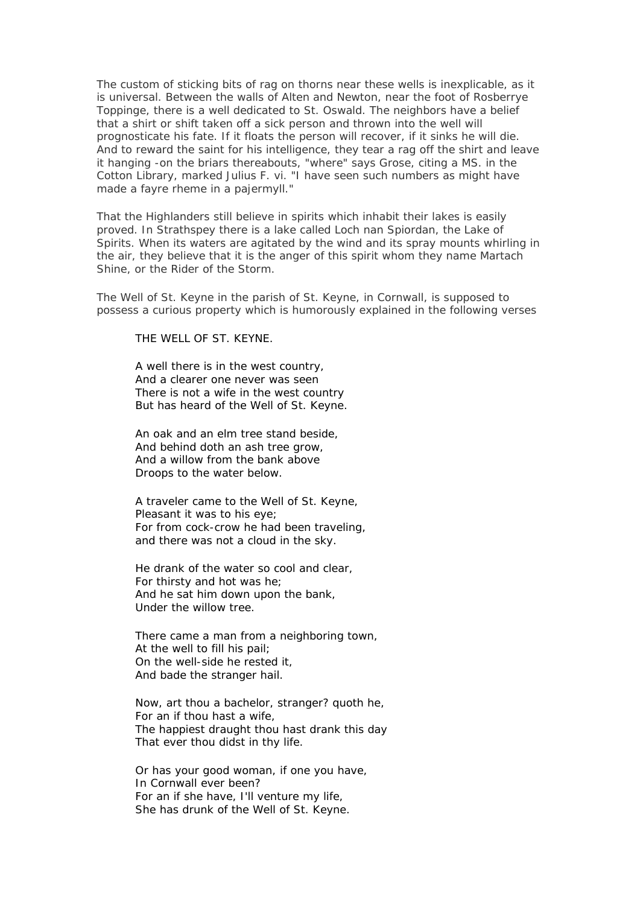The custom of sticking bits of rag on thorns near these wells is inexplicable, as it is universal. Between the walls of Alten and Newton, near the foot of Rosberrye Toppinge, there is a well dedicated to St. Oswald. The neighbors have a belief that a shirt or shift taken off a sick person and thrown into the well will prognosticate his fate. If it floats the person will recover, if it sinks he will die. And to reward the saint for his intelligence, they tear a rag off the shirt and leave it hanging -on the briars thereabouts, "where" says Grose, citing a MS. in the Cotton Library, marked Julius F. vi. "I have seen such numbers as might have made a fayre rheme in a pajermyll."

That the Highlanders still believe in spirits which inhabit their lakes is easily proved. In Strathspey there is a lake called Loch nan Spiordan, the Lake of Spirits. When its waters are agitated by the wind and its spray mounts whirling in the air, they believe that it is the anger of this spirit whom they name Martach Shine, or the Rider of the Storm.

The Well of St. Keyne in the parish of St. Keyne, in Cornwall, is supposed to possess a curious property which is humorously explained in the following verses

THE WELL OF ST. KEYNE.

A well there is in the west country, And a clearer one never was seen There is not a wife in the west country But has heard of the Well of St. Keyne.

An oak and an elm tree stand beside, And behind doth an ash tree grow, And a willow from the bank above Droops to the water below.

A traveler came to the Well of St. Keyne, Pleasant it was to his eye; For from cock-crow he had been traveling, and there was not a cloud in the sky.

He drank of the water so cool and clear, For thirsty and hot was he; And he sat him down upon the bank, Under the willow tree.

There came a man from a neighboring town, At the well to fill his pail; On the well-side he rested it, And bade the stranger hail.

Now, art thou a bachelor, stranger? quoth he, For an if thou hast a wife, The happiest draught thou hast drank this day That ever thou didst in thy life.

Or has your good woman, if one you have, In Cornwall ever been? For an if she have, I'll venture my life, She has drunk of the Well of St. Keyne.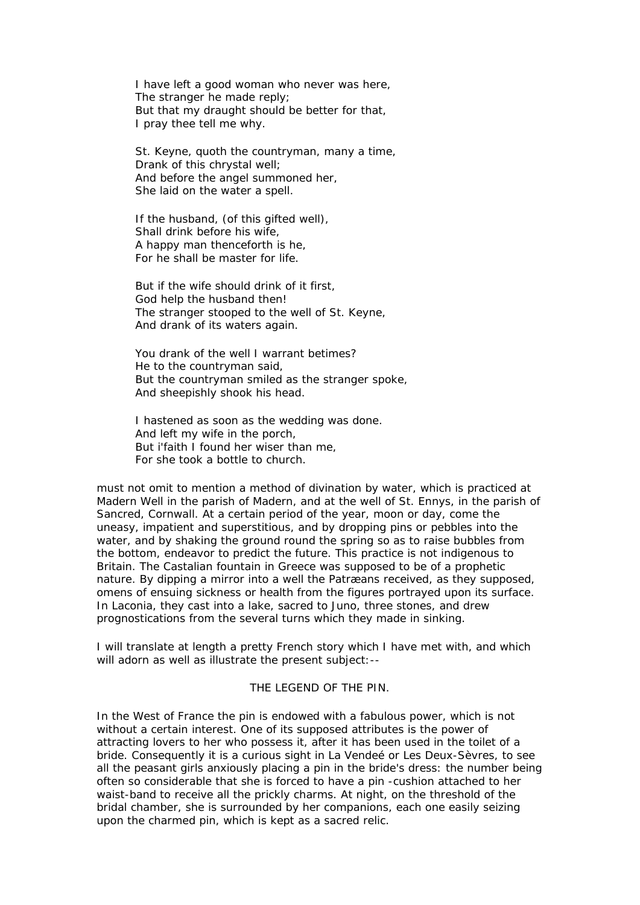I have left a good woman who never was here, The stranger he made reply; But that my draught should be better for that, I pray thee tell me why.

St. Keyne, quoth the countryman, many a time, Drank of this chrystal well; And before the angel summoned her, She laid on the water a spell.

If the husband, (of this gifted well), Shall drink before his wife, A happy man thenceforth is he, For he shall be master for life.

But if the wife should drink of it first, God help the husband then! The stranger stooped to the well of St. Keyne, And drank of its waters again.

You drank of the well I warrant betimes? He to the countryman said, But the countryman smiled as the stranger spoke, And sheepishly shook his head.

I hastened as soon as the wedding was done. And left my wife in the porch, But i'faith I found her wiser than me, For she took a bottle to church.

must not omit to mention a method of divination by water, which is practiced at Madern Well in the parish of Madern, and at the well of St. Ennys, in the parish of Sancred, Cornwall. At a certain period of the year, moon or day, come the uneasy, impatient and superstitious, and by dropping pins or pebbles into the water, and by shaking the ground round the spring so as to raise bubbles from the bottom, endeavor to predict the future. This practice is not indigenous to Britain. The Castalian fountain in Greece was supposed to be of a prophetic nature. By dipping a mirror into a well the Patræans received, as they supposed, omens of ensuing sickness or health from the figures portrayed upon its surface. In Laconia, they cast into a lake, sacred to Juno, three stones, and drew prognostications from the several turns which they made in sinking.

I will translate at length a pretty French story which I have met with, and which will adorn as well as illustrate the present subject:--

## THE LEGEND OF THE PIN.

In the West of France the pin is endowed with a fabulous power, which is not without a certain interest. One of its supposed attributes is the power of attracting lovers to her who possess it, after it has been used in the toilet of a bride. Consequently it is a curious sight in La Vendeé or Les Deux-Sèvres, to see all the peasant girls anxiously placing a pin in the bride's dress: the number being often so considerable that she is forced to have a pin -cushion attached to her waist-band to receive all the prickly charms. At night, on the threshold of the bridal chamber, she is surrounded by her companions, each one easily seizing upon the charmed pin, which is kept as a sacred relic.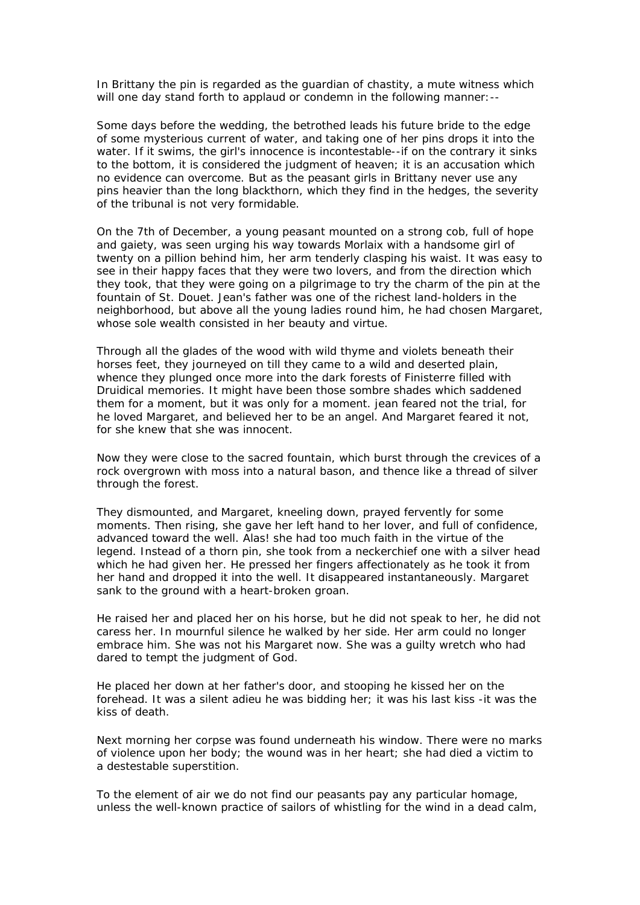In Brittany the pin is regarded as the guardian of chastity, a mute witness which will one day stand forth to applaud or condemn in the following manner:--

Some days before the wedding, the betrothed leads his future bride to the edge of some mysterious current of water, and taking one of her pins drops it into the water. If it swims, the girl's innocence is incontestable--if on the contrary it sinks to the bottom, it is considered the judgment of heaven; it is an accusation which no evidence can overcome. But as the peasant girls in Brittany never use any pins heavier than the long blackthorn, which they find in the hedges, the severity of the tribunal is not very formidable.

On the 7th of December, a young peasant mounted on a strong cob, full of hope and gaiety, was seen urging his way towards Morlaix with a handsome girl of twenty on a pillion behind him, her arm tenderly clasping his waist. It was easy to see in their happy faces that they were two lovers, and from the direction which they took, that they were going on a pilgrimage to try the charm of the pin at the fountain of St. Douet. Jean's father was one of the richest land-holders in the neighborhood, but above all the young ladies round him, he had chosen Margaret, whose sole wealth consisted in her beauty and virtue.

Through all the glades of the wood with wild thyme and violets beneath their horses feet, they journeyed on till they came to a wild and deserted plain, whence they plunged once more into the dark forests of Finisterre filled with Druidical memories. It might have been those sombre shades which saddened them for a moment, but it was only for a moment. jean feared not the trial, for he loved Margaret, and believed her to be an angel. And Margaret feared it not, for she knew that she was innocent.

Now they were close to the sacred fountain, which burst through the crevices of a rock overgrown with moss into a natural bason, and thence like a thread of silver through the forest.

They dismounted, and Margaret, kneeling down, prayed fervently for some moments. Then rising, she gave her left hand to her lover, and full of confidence, advanced toward the well. Alas! she had too much faith in the virtue of the legend. Instead of a thorn pin, she took from a neckerchief one with a silver head which he had given her. He pressed her fingers affectionately as he took it from her hand and dropped it into the well. It disappeared instantaneously. Margaret sank to the ground with a heart-broken groan.

He raised her and placed her on his horse, but he did not speak to her, he did not caress her. In mournful silence he walked by her side. Her arm could no longer embrace him. She was not his Margaret now. She was a guilty wretch who had dared to tempt the judgment of God.

He placed her down at her father's door, and stooping he kissed her on the forehead. It was a silent adieu he was bidding her; it was his last kiss -it was the kiss of death.

Next morning her corpse was found underneath his window. There were no marks of violence upon her body; the wound was in her heart; she had died a victim to a destestable superstition.

To the element of air we do not find our peasants pay any particular homage, unless the well-known practice of sailors of whistling for the wind in a dead calm,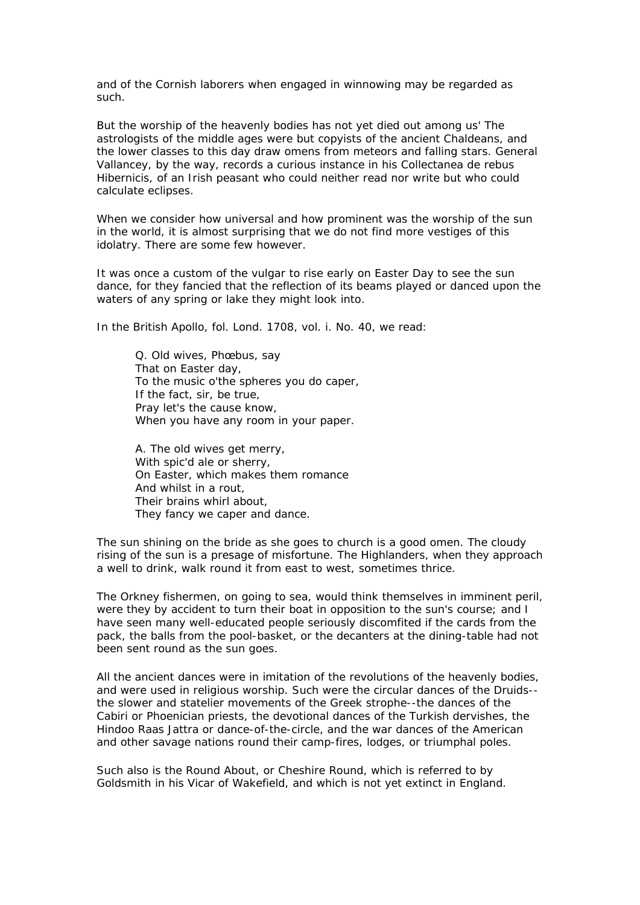and of the Cornish laborers when engaged in winnowing may be regarded as such.

But the worship of the heavenly bodies has not yet died out among us' The astrologists of the middle ages were but copyists of the ancient Chaldeans, and the lower classes to this day draw omens from meteors and falling stars. General Vallancey, by the way, records a curious instance in his Collectanea de rebus Hibernicis, of an Irish peasant who could neither read nor write but who could calculate eclipses.

When we consider how universal and how prominent was the worship of the sun in the world, it is almost surprising that we do not find more vestiges of this idolatry. There are some few however.

It was once a custom of the vulgar to rise early on Easter Day to see the sun dance, for they fancied that the reflection of its beams played or danced upon the waters of any spring or lake they might look into.

In the British Apollo, fol. Lond. 1708, vol. i. No. 40, we read:

Q. Old wives, Phœbus, say That on Easter day, To the music o'the spheres you do caper, If the fact, sir, be true, Pray let's the cause know, When you have any room in your paper.

A. The old wives get merry, With spic'd ale or sherry, On Easter, which makes them romance And whilst in a rout, Their brains whirl about, They fancy we caper and dance.

The sun shining on the bride as she goes to church is a good omen. The cloudy rising of the sun is a presage of misfortune. The Highlanders, when they approach a well to drink, walk round it from east to west, sometimes thrice.

The Orkney fishermen, on going to sea, would think themselves in imminent peril, were they by accident to turn their boat in opposition to the sun's course; and I have seen many well-educated people seriously discomfited if the cards from the pack, the balls from the pool-basket, or the decanters at the dining-table had not been sent round as the sun goes.

All the ancient dances were in imitation of the revolutions of the heavenly bodies, and were used in religious worship. Such were the circular dances of the Druids- the slower and statelier movements of the Greek strophe--the dances of the Cabiri or Phoenician priests, the devotional dances of the Turkish dervishes, the Hindoo Raas Jattra or dance-of-the-circle, and the war dances of the American and other savage nations round their camp-fires, lodges, or triumphal poles.

Such also is the Round About, or Cheshire Round, which is referred to by Goldsmith in his Vicar of Wakefield, and which is not yet extinct in England.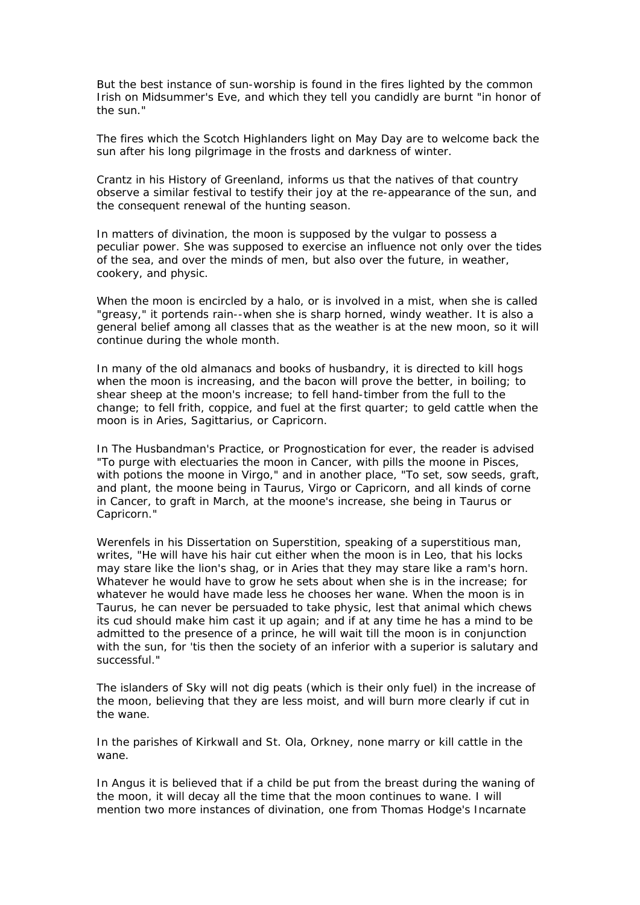But the best instance of sun-worship is found in the fires lighted by the common Irish on Midsummer's Eve, and which they tell you candidly are burnt "in honor of the sun."

The fires which the Scotch Highlanders light on May Day are to welcome back the sun after his long pilgrimage in the frosts and darkness of winter.

Crantz in his History of Greenland, informs us that the natives of that country observe a similar festival to testify their joy at the re-appearance of the sun, and the consequent renewal of the hunting season.

In matters of divination, the moon is supposed by the vulgar to possess a peculiar power. She was supposed to exercise an influence not only over the tides of the sea, and over the minds of men, but also over the future, in weather, cookery, and physic.

When the moon is encircled by a halo, or is involved in a mist, when she is called "greasy," it portends rain--when she is sharp horned, windy weather. It is also a general belief among all classes that as the weather is at the new moon, so it will continue during the whole month.

In many of the old almanacs and books of husbandry, it is directed to kill hogs when the moon is increasing, and the bacon will prove the better, in boiling; to shear sheep at the moon's increase; to fell hand-timber from the full to the change; to fell frith, coppice, and fuel at the first quarter; to geld cattle when the moon is in Aries, Sagittarius, or Capricorn.

In The Husbandman's Practice, or Prognostication for ever, the reader is advised "To purge with electuaries the moon in Cancer, with pills the moone in Pisces, with potions the moone in Virgo," and in another place, "To set, sow seeds, graft, and plant, the moone being in Taurus, Virgo or Capricorn, and all kinds of corne in Cancer, to graft in March, at the moone's increase, she being in Taurus or Capricorn."

Werenfels in his Dissertation on Superstition, speaking of a superstitious man, writes, "He will have his hair cut either when the moon is in Leo, that his locks may stare like the lion's shag, or in Aries that they may stare like a ram's horn. Whatever he would have to grow he sets about when she is in the increase; for whatever he would have made less he chooses her wane. When the moon is in Taurus, he can never be persuaded to take physic, lest that animal which chews its cud should make him cast it up again; and if at any time he has a mind to be admitted to the presence of a prince, he will wait till the moon is in conjunction with the sun, for 'tis then the society of an inferior with a superior is salutary and successful."

The islanders of Sky will not dig peats (which is their only fuel) in the increase of the moon, believing that they are less moist, and will burn more clearly if cut in the wane.

In the parishes of Kirkwall and St. Ola, Orkney, none marry or kill cattle in the wane.

In Angus it is believed that if a child be put from the breast during the waning of the moon, it will decay all the time that the moon continues to wane. I will mention two more instances of divination, one from Thomas Hodge's Incarnate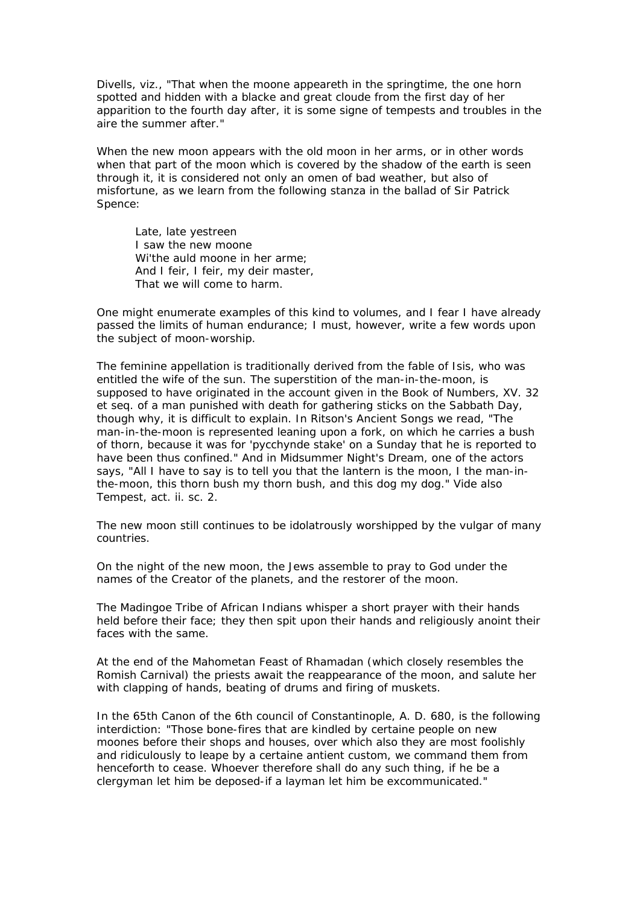Divells, viz., "That when the moone appeareth in the springtime, the one horn spotted and hidden with a blacke and great cloude from the first day of her apparition to the fourth day after, it is some signe of tempests and troubles in the aire the summer after."

When the new moon appears with the old moon in her arms, or in other words when that part of the moon which is covered by the shadow of the earth is seen through it, it is considered not only an omen of bad weather, but also of misfortune, as we learn from the following stanza in the ballad of Sir Patrick Spence:

Late, late yestreen I saw the new moone Wi'the auld moone in her arme; And I feir, I feir, my deir master, That we will come to harm.

One might enumerate examples of this kind to volumes, and I fear I have already passed the limits of human endurance; I must, however, write a few words upon the subject of moon-worship.

The feminine appellation is traditionally derived from the fable of Isis, who was entitled the wife of the sun. The superstition of the man-in-the-moon, is supposed to have originated in the account given in the Book of Numbers, XV. 32 et seq. of a man punished with death for gathering sticks on the Sabbath Day, though why, it is difficult to explain. In Ritson's Ancient Songs we read, "The man-in-the-moon is represented leaning upon a fork, on which he carries a bush of thorn, because it was for 'pycchynde stake' on a Sunday that he is reported to have been thus confined." And in Midsummer Night's Dream, one of the actors says, "All I have to say is to tell you that the lantern is the moon, I the man-inthe-moon, this thorn bush my thorn bush, and this dog my dog." Vide also Tempest, act. ii. sc. 2.

The new moon still continues to be idolatrously worshipped by the vulgar of many countries.

On the night of the new moon, the Jews assemble to pray to God under the names of the Creator of the planets, and the restorer of the moon.

The Madingoe Tribe of African Indians whisper a short prayer with their hands held before their face; they then spit upon their hands and religiously anoint their faces with the same.

At the end of the Mahometan Feast of Rhamadan (which closely resembles the Romish Carnival) the priests await the reappearance of the moon, and salute her with clapping of hands, beating of drums and firing of muskets.

In the 65th Canon of the 6th council of Constantinople, A. D. 680, is the following interdiction: "Those bone-fires that are kindled by certaine people on new moones before their shops and houses, over which also they are most foolishly and ridiculously to leape by a certaine antient custom, we command them from henceforth to cease. Whoever therefore shall do any such thing, if he be a clergyman let him be deposed-if a layman let him be excommunicated."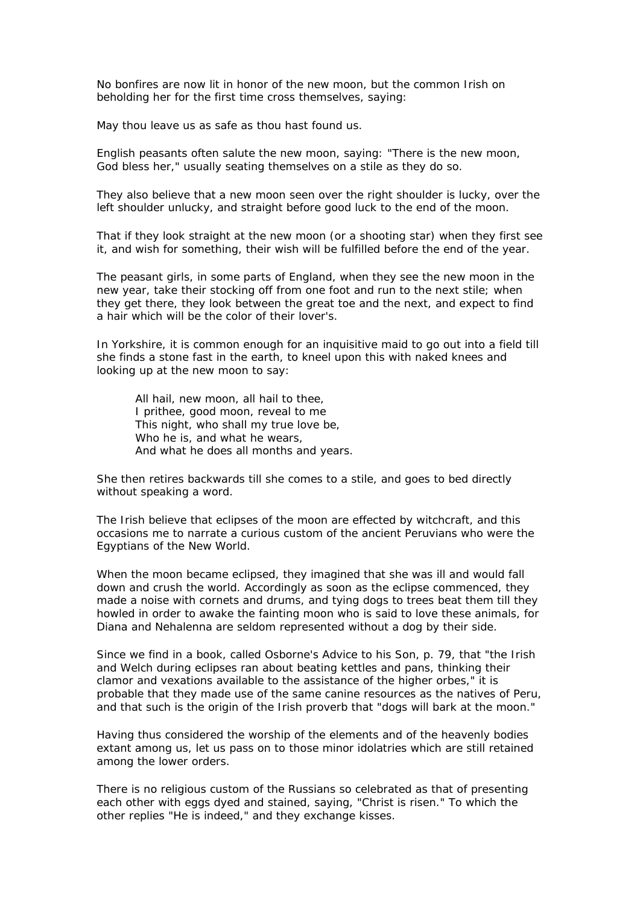No bonfires are now lit in honor of the new moon, but the common Irish on beholding her for the first time cross themselves, saying:

May thou leave us as safe as thou hast found us.

English peasants often salute the new moon, saying: "There is the new moon, God bless her," usually seating themselves on a stile as they do so.

They also believe that a new moon seen over the right shoulder is lucky, over the left shoulder unlucky, and straight before good luck to the end of the moon.

That if they look straight at the new moon (or a shooting star) when they first see it, and wish for something, their wish will be fulfilled before the end of the year.

The peasant girls, in some parts of England, when they see the new moon in the new year, take their stocking off from one foot and run to the next stile; when they get there, they look between the great toe and the next, and expect to find a hair which will be the color of their lover's.

In Yorkshire, it is common enough for an inquisitive maid to go out into a field till she finds a stone fast in the earth, to kneel upon this with naked knees and looking up at the new moon to say:

All hail, new moon, all hail to thee, I prithee, good moon, reveal to me This night, who shall my true love be, Who he is, and what he wears, And what he does all months and years.

She then retires backwards till she comes to a stile, and goes to bed directly without speaking a word.

The Irish believe that eclipses of the moon are effected by witchcraft, and this occasions me to narrate a curious custom of the ancient Peruvians who were the Egyptians of the New World.

When the moon became eclipsed, they imagined that she was ill and would fall down and crush the world. Accordingly as soon as the eclipse commenced, they made a noise with cornets and drums, and tying dogs to trees beat them till they howled in order to awake the fainting moon who is said to love these animals, for Diana and Nehalenna are seldom represented without a dog by their side.

Since we find in a book, called Osborne's Advice to his Son, p. 79, that "the Irish and Welch during eclipses ran about beating kettles and pans, thinking their clamor and vexations available to the assistance of the higher orbes," it is probable that they made use of the same canine resources as the natives of Peru, and that such is the origin of the Irish proverb that "dogs will bark at the moon."

Having thus considered the worship of the elements and of the heavenly bodies extant among us, let us pass on to those minor idolatries which are still retained among the lower orders.

There is no religious custom of the Russians so celebrated as that of presenting each other with eggs dyed and stained, saying, "Christ is risen." To which the other replies "He is indeed," and they exchange kisses.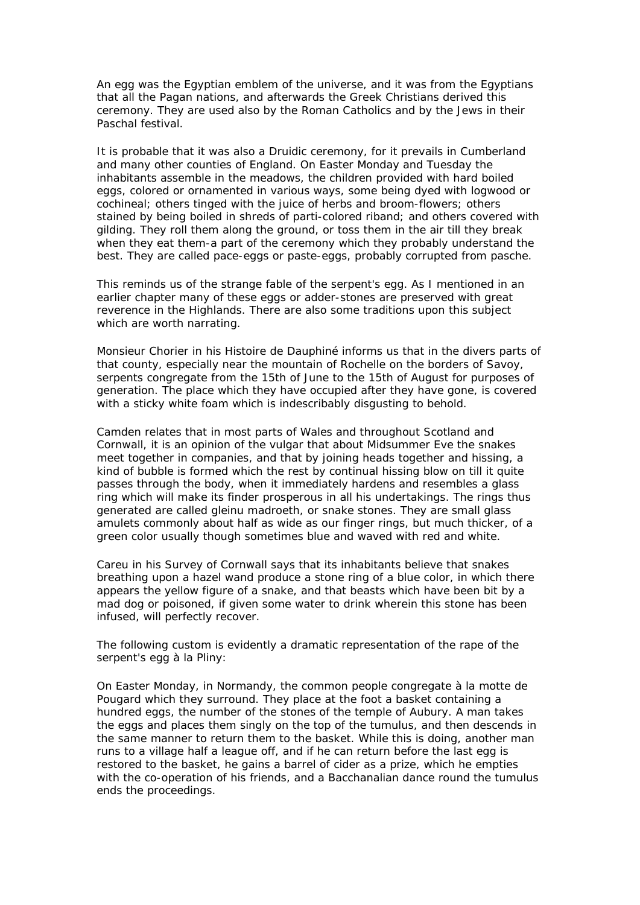An egg was the Egyptian emblem of the universe, and it was from the Egyptians that all the Pagan nations, and afterwards the Greek Christians derived this ceremony. They are used also by the Roman Catholics and by the Jews in their Paschal festival.

It is probable that it was also a Druidic ceremony, for it prevails in Cumberland and many other counties of England. On Easter Monday and Tuesday the inhabitants assemble in the meadows, the children provided with hard boiled eggs, colored or ornamented in various ways, some being dyed with logwood or cochineal; others tinged with the juice of herbs and broom-flowers; others stained by being boiled in shreds of parti-colored riband; and others covered with gilding. They roll them along the ground, or toss them in the air till they break when they eat them-a part of the ceremony which they probably understand the best. They are called pace-eggs or paste-eggs, probably corrupted from pasche.

This reminds us of the strange fable of the serpent's egg. As I mentioned in an earlier chapter many of these eggs or adder-stones are preserved with great reverence in the Highlands. There are also some traditions upon this subject which are worth narrating.

Monsieur Chorier in his Histoire de Dauphiné informs us that in the divers parts of that county, especially near the mountain of Rochelle on the borders of Savoy, serpents congregate from the 15th of June to the 15th of August for purposes of generation. The place which they have occupied after they have gone, is covered with a sticky white foam which is indescribably disgusting to behold.

Camden relates that in most parts of Wales and throughout Scotland and Cornwall, it is an opinion of the vulgar that about Midsummer Eve the snakes meet together in companies, and that by joining heads together and hissing, a kind of bubble is formed which the rest by continual hissing blow on till it quite passes through the body, when it immediately hardens and resembles a glass ring which will make its finder prosperous in all his undertakings. The rings thus generated are called gleinu madroeth, or snake stones. They are small glass amulets commonly about half as wide as our finger rings, but much thicker, of a green color usually though sometimes blue and waved with red and white.

Careu in his Survey of Cornwall says that its inhabitants believe that snakes breathing upon a hazel wand produce a stone ring of a blue color, in which there appears the yellow figure of a snake, and that beasts which have been bit by a mad dog or poisoned, if given some water to drink wherein this stone has been infused, will perfectly recover.

The following custom is evidently a dramatic representation of the rape of the serpent's egg à la Pliny:

On Easter Monday, in Normandy, the common people congregate à la motte de Pougard which they surround. They place at the foot a basket containing a hundred eggs, the number of the stones of the temple of Aubury. A man takes the eggs and places them singly on the top of the tumulus, and then descends in the same manner to return them to the basket. While this is doing, another man runs to a village half a league off, and if he can return before the last egg is restored to the basket, he gains a barrel of cider as a prize, which he empties with the co-operation of his friends, and a Bacchanalian dance round the tumulus ends the proceedings.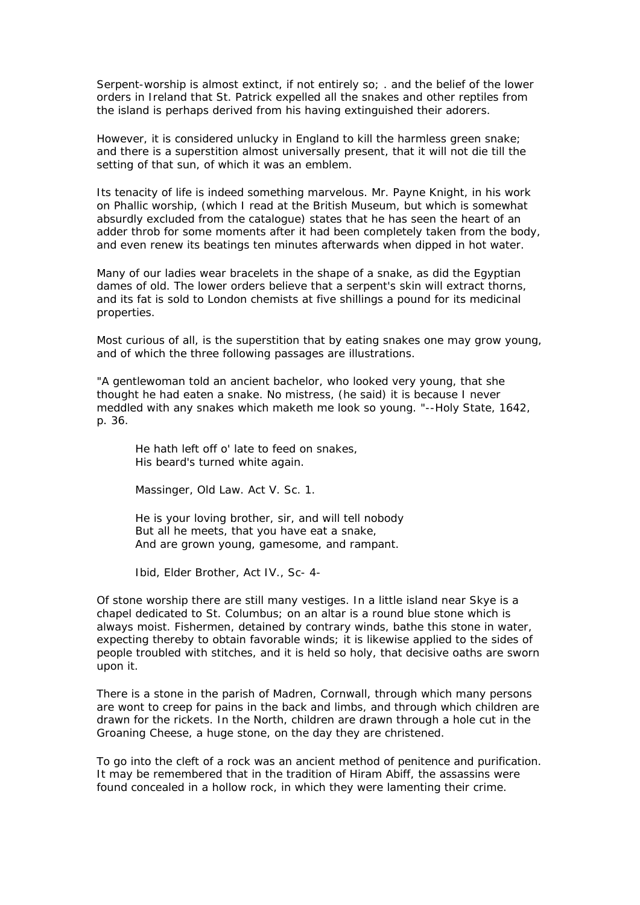Serpent-worship is almost extinct, if not entirely so; . and the belief of the lower orders in Ireland that St. Patrick expelled all the snakes and other reptiles from the island is perhaps derived from his having extinguished their adorers.

However, it is considered unlucky in England to kill the harmless green snake; and there is a superstition almost universally present, that it will not die till the setting of that sun, of which it was an emblem.

Its tenacity of life is indeed something marvelous. Mr. Payne Knight, in his work on Phallic worship, (which I read at the British Museum, but which is somewhat absurdly excluded from the catalogue) states that he has seen the heart of an adder throb for some moments after it had been completely taken from the body, and even renew its beatings ten minutes afterwards when dipped in hot water.

Many of our ladies wear bracelets in the shape of a snake, as did the Egyptian dames of old. The lower orders believe that a serpent's skin will extract thorns, and its fat is sold to London chemists at five shillings a pound for its medicinal properties.

Most curious of all, is the superstition that by eating snakes one may grow young, and of which the three following passages are illustrations.

"A gentlewoman told an ancient bachelor, who looked very young, that she thought he had eaten a snake. No mistress, (he said) it is because I never meddled with any snakes which maketh me look so young. "--Holy State, 1642, p. 36.

He hath left off o' late to feed on snakes, His beard's turned white again.

*Massinger*, Old Law. Act V. Sc. 1.

He is your loving brother, sir, and will tell nobody But all he meets, that you have eat a snake, And are grown young, gamesome, and rampant.

*Ibid*, Elder Brother, Act IV., Sc- 4-

Of stone worship there are still many vestiges. In a little island near Skye is a chapel dedicated to St. Columbus; on an altar is a round blue stone which is always moist. Fishermen, detained by contrary winds, bathe this stone in water, expecting thereby to obtain favorable winds; it is likewise applied to the sides of people troubled with stitches, and it is held so holy, that decisive oaths are sworn upon it.

There is a stone in the parish of Madren, Cornwall, through which many persons are wont to creep for pains in the back and limbs, and through which children are drawn for the rickets. In the North, children are drawn through a hole cut in the Groaning Cheese, a huge stone, on the day they are christened.

To go into the cleft of a rock was an ancient method of penitence and purification. It may be remembered that in the tradition of Hiram Abiff, the assassins were found concealed in a hollow rock, in which they were lamenting their crime.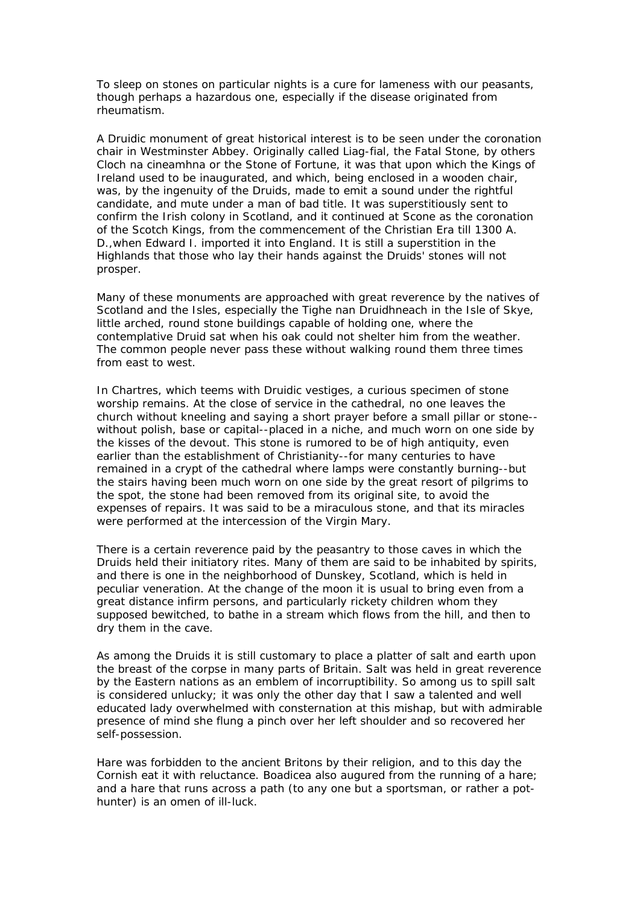To sleep on stones on particular nights is a cure for lameness with our peasants, though perhaps a hazardous one, especially if the disease originated from rheumatism.

A Druidic monument of great historical interest is to be seen under the coronation chair in Westminster Abbey. Originally called Liag-fial, the Fatal Stone, by others Cloch na cineamhna or the Stone of Fortune, it was that upon which the Kings of Ireland used to be inaugurated, and which, being enclosed in a wooden chair, was, by the ingenuity of the Druids, made to emit a sound under the rightful candidate, and mute under a man of bad title. It was superstitiously sent to confirm the Irish colony in Scotland, and it continued at Scone as the coronation of the Scotch Kings, from the commencement of the Christian Era till 1300 A. D.,when Edward I. imported it into England. It is still a superstition in the Highlands that those who lay their hands against the Druids' stones will not prosper.

Many of these monuments are approached with great reverence by the natives of Scotland and the Isles, especially the Tighe nan Druidhneach in the Isle of Skye, little arched, round stone buildings capable of holding one, where the contemplative Druid sat when his oak could not shelter him from the weather. The common people never pass these without walking round them three times from east to west.

In Chartres, which teems with Druidic vestiges, a curious specimen of stone worship remains. At the close of service in the cathedral, no one leaves the church without kneeling and saying a short prayer before a small pillar or stone- without polish, base or capital--placed in a niche, and much worn on one side by the kisses of the devout. This stone is rumored to be of high antiquity, even earlier than the establishment of Christianity--for many centuries to have remained in a crypt of the cathedral where lamps were constantly burning--but the stairs having been much worn on one side by the great resort of pilgrims to the spot, the stone had been removed from its original site, to avoid the expenses of repairs. It was said to be a miraculous stone, and that its miracles were performed at the intercession of the Virgin Mary.

There is a certain reverence paid by the peasantry to those caves in which the Druids held their initiatory rites. Many of them are said to be inhabited by spirits, and there is one in the neighborhood of Dunskey, Scotland, which is held in peculiar veneration. At the change of the moon it is usual to bring even from a great distance infirm persons, and particularly rickety children whom they supposed bewitched, to bathe in a stream which flows from the hill, and then to dry them in the cave.

As among the Druids it is still customary to place a platter of salt and earth upon the breast of the corpse in many parts of Britain. Salt was held in great reverence by the Eastern nations as an emblem of incorruptibility. So among us to spill salt is considered unlucky; it was only the other day that I saw a talented and well educated lady overwhelmed with consternation at this mishap, but with admirable presence of mind she flung a pinch over her left shoulder and so recovered her self-possession.

Hare was forbidden to the ancient Britons by their religion, and to this day the Cornish eat it with reluctance. Boadicea also augured from the running of a hare; and a hare that runs across a path (to any one but a sportsman, or rather a pothunter) is an omen of ill-luck.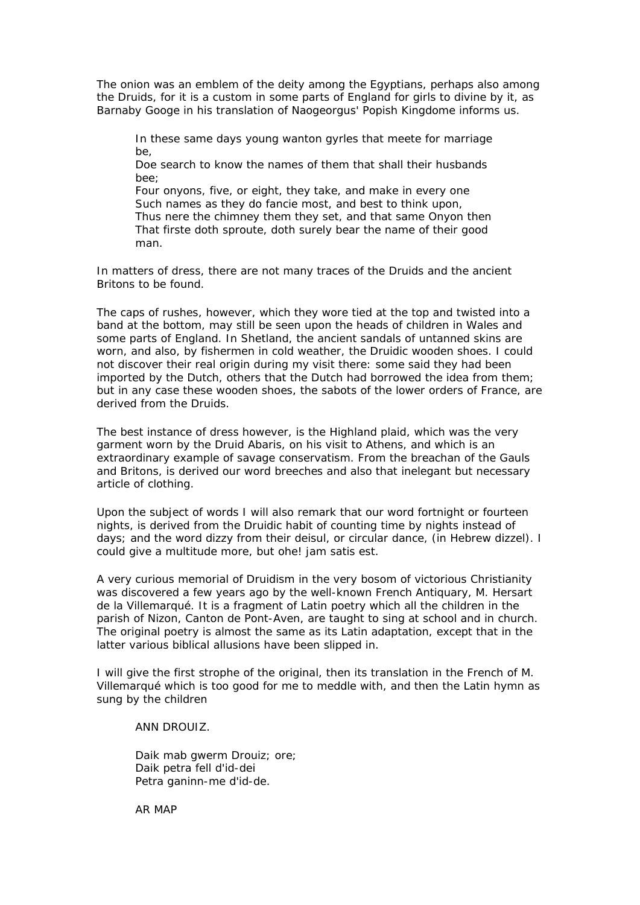The onion was an emblem of the deity among the Egyptians, perhaps also among the Druids, for it is a custom in some parts of England for girls to divine by it, as Barnaby Googe in his translation of Naogeorgus' Popish Kingdome informs us.

In these same days young wanton gyrles that meete for marriage be,

Doe search to know the names of them that shall their husbands hee<sup>.</sup>

Four onyons, five, or eight, they take, and make in every one Such names as they do fancie most, and best to think upon, Thus nere the chimney them they set, and that same Onyon then That firste doth sproute, doth surely bear the name of their good man.

In matters of dress, there are not many traces of the Druids and the ancient Britons to be found.

The caps of rushes, however, which they wore tied at the top and twisted into a band at the bottom, may still be seen upon the heads of children in Wales and some parts of England. In Shetland, the ancient sandals of untanned skins are worn, and also, by fishermen in cold weather, the Druidic wooden shoes. I could not discover their real origin during my visit there: some said they had been imported by the Dutch, others that the Dutch had borrowed the idea from them; but in any case these wooden shoes, the sabots of the lower orders of France, are derived from the Druids.

The best instance of dress however, is the Highland plaid, which was the very garment worn by the Druid Abaris, on his visit to Athens, and which is an extraordinary example of savage conservatism. From the breachan of the Gauls and Britons, is derived our word breeches and also that inelegant but necessary article of clothing.

Upon the subject of words I will also remark that our word fortnight or fourteen nights, is derived from the Druidic habit of counting time by nights instead of days; and the word dizzy from their deisul, or circular dance, (in Hebrew dizzel). I could give a multitude more, but ohe! jam satis est.

A very curious memorial of Druidism in the very bosom of victorious Christianity was discovered a few years ago by the well-known French Antiquary, M. Hersart de la Villemarqué. It is a fragment of Latin poetry which all the children in the parish of Nizon, Canton de Pont-Aven, are taught to sing at school and in church. The original poetry is almost the same as its Latin adaptation, except that in the latter various biblical allusions have been slipped in.

I will give the first strophe of the original, then its translation in the French of M. Villemarqué which is too good for me to meddle with, and then the Latin hymn as sung by the children

ANN DROUIZ.

Daik mab gwerm Drouiz; ore; Daik petra fell d'id-dei Petra ganinn-me d'id-de.

AR MAP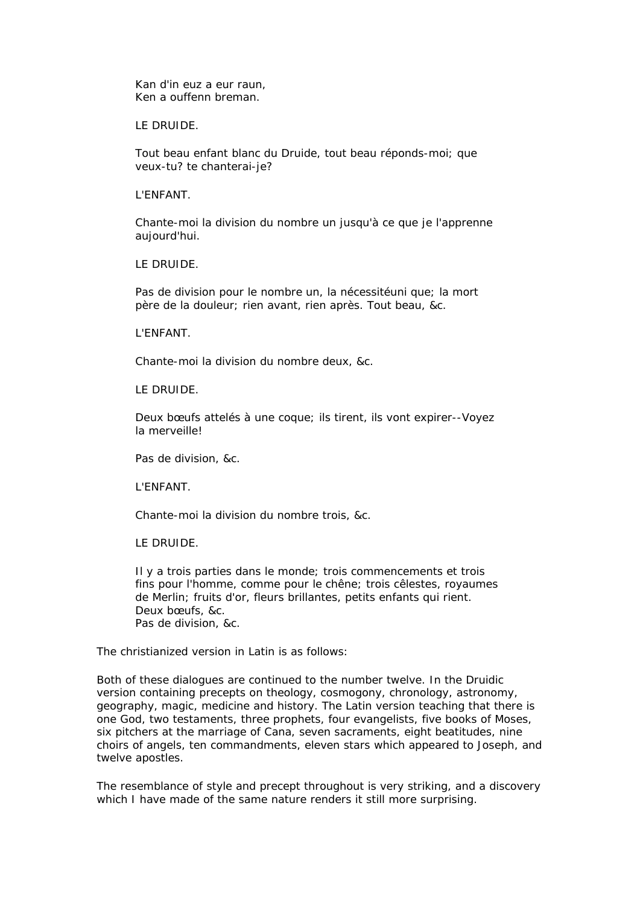Kan d'in euz a eur raun, Ken a ouffenn breman.

LE DRUIDE.

Tout beau enfant blanc du Druide, tout beau réponds-moi; que veux-tu? te chanterai-je?

L'ENFANT.

Chante-moi la division du nombre un jusqu'à ce que je l'apprenne aujourd'hui.

LE DRUIDE.

Pas de division pour le nombre un, la nécessitéuni que; la mort père de la douleur; rien avant, rien après. Tout beau, &c.

L'ENFANT.

Chante-moi la division du nombre deux, &c.

LE DRUIDE.

Deux bœufs attelés à une coque; ils tirent, ils vont expirer--Voyez la merveille!

Pas de division, &c.

L'ENFANT.

Chante-moi la division du nombre trois, &c.

LE DRUIDE.

Il y a trois parties dans le monde; trois commencements et trois fins pour l'homme, comme pour le chêne; trois cêlestes, royaumes de Merlin; fruits d'or, fleurs brillantes, petits enfants qui rient. Deux bœufs, &c. Pas de division, &c.

The christianized version in Latin is as follows:

Both of these dialogues are continued to the number twelve. In the Druidic version containing precepts on theology, cosmogony, chronology, astronomy, geography, magic, medicine and history. The Latin version teaching that there is one God, two testaments, three prophets, four evangelists, five books of Moses, six pitchers at the marriage of Cana, seven sacraments, eight beatitudes, nine choirs of angels, ten commandments, eleven stars which appeared to Joseph, and twelve apostles.

The resemblance of style and precept throughout is very striking, and a discovery which I have made of the same nature renders it still more surprising.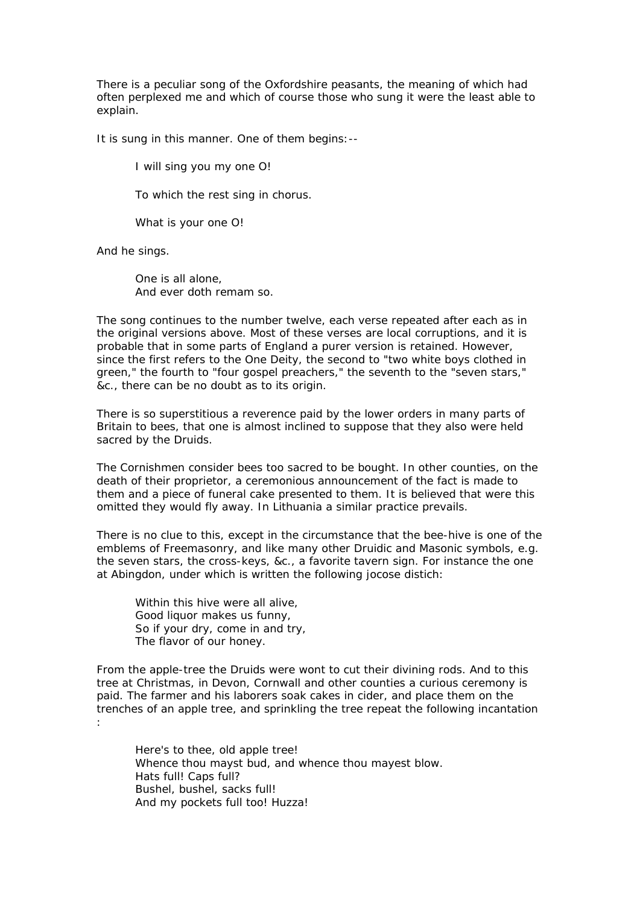There is a peculiar song of the Oxfordshire peasants, the meaning of which had often perplexed me and which of course those who sung it were the least able to explain.

It is sung in this manner. One of them begins:--

I will sing you my one O!

To which the rest sing in chorus.

What is your one O!

And he sings.

One is all alone, And ever doth remam so.

The song continues to the number twelve, each verse repeated after each as in the original versions above. Most of these verses are local corruptions, and it is probable that in some parts of England a purer version is retained. However, since the first refers to the One Deity, the second to "two white boys clothed in green," the fourth to "four gospel preachers," the seventh to the "seven stars," &c., there can be no doubt as to its origin.

There is so superstitious a reverence paid by the lower orders in many parts of Britain to bees, that one is almost inclined to suppose that they also were held sacred by the Druids.

The Cornishmen consider bees too sacred to be bought. In other counties, on the death of their proprietor, a ceremonious announcement of the fact is made to them and a piece of funeral cake presented to them. It is believed that were this omitted they would fly away. In Lithuania a similar practice prevails.

There is no clue to this, except in the circumstance that the bee-hive is one of the emblems of Freemasonry, and like many other Druidic and Masonic symbols, e.g. the seven stars, the cross-keys, &c., a favorite tavern sign. For instance the one at Abingdon, under which is written the following jocose distich:

Within this hive were all alive, Good liquor makes us funny, So if your dry, come in and try, The flavor of our honey.

From the apple-tree the Druids were wont to cut their divining rods. And to this tree at Christmas, in Devon, Cornwall and other counties a curious ceremony is paid. The farmer and his laborers soak cakes in cider, and place them on the trenches of an apple tree, and sprinkling the tree repeat the following incantation :

Here's to thee, old apple tree! Whence thou mayst bud, and whence thou mayest blow. Hats full! Caps full? Bushel, bushel, sacks full! And my pockets full too! Huzza!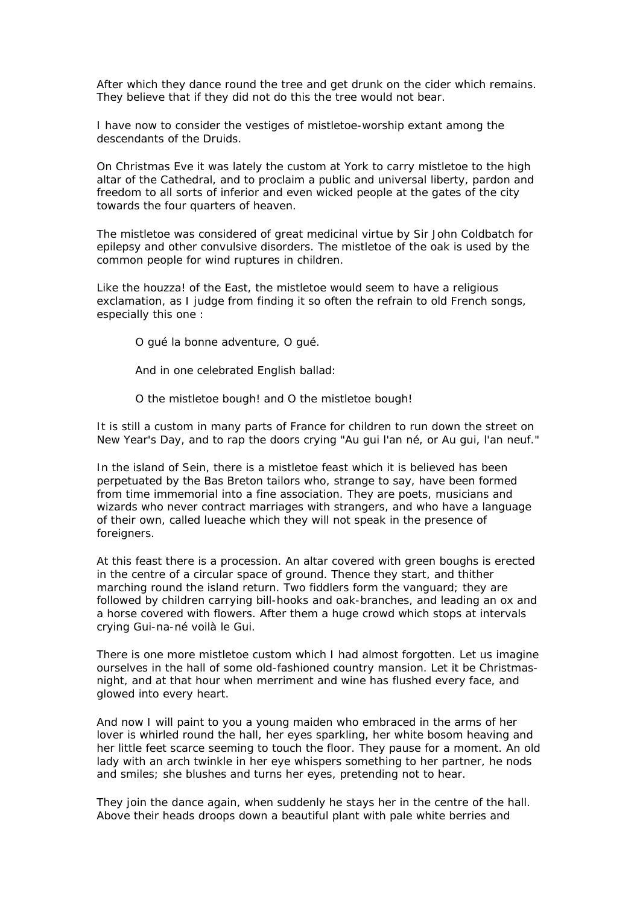After which they dance round the tree and get drunk on the cider which remains. They believe that if they did not do this the tree would not bear.

I have now to consider the vestiges of mistletoe-worship extant among the descendants of the Druids.

On Christmas Eve it was lately the custom at York to carry mistletoe to the high altar of the Cathedral, and to proclaim a public and universal liberty, pardon and freedom to all sorts of inferior and even wicked people at the gates of the city towards the four quarters of heaven.

The mistletoe was considered of great medicinal virtue by Sir John Coldbatch for epilepsy and other convulsive disorders. The mistletoe of the oak is used by the common people for wind ruptures in children.

Like the houzza! of the East, the mistletoe would seem to have a religious exclamation, as I judge from finding it so often the refrain to old French songs, especially this one :

O gué la bonne adventure, O gué.

And in one celebrated English ballad:

O the mistletoe bough! and O the mistletoe bough!

It is still a custom in many parts of France for children to run down the street on New Year's Day, and to rap the doors crying "Au gui l'an né, or Au gui, l'an neuf."

In the island of Sein, there is a mistletoe feast which it is believed has been perpetuated by the Bas Breton tailors who, strange to say, have been formed from time immemorial into a fine association. They are poets, musicians and wizards who never contract marriages with strangers, and who have a language of their own, called lueache which they will not speak in the presence of foreigners.

At this feast there is a procession. An altar covered with green boughs is erected in the centre of a circular space of ground. Thence they start, and thither marching round the island return. Two fiddlers form the vanguard; they are followed by children carrying bill-hooks and oak-branches, and leading an ox and a horse covered with flowers. After them a huge crowd which stops at intervals crying Gui-na-né voilà le Gui.

There is one more mistletoe custom which I had almost forgotten. Let us imagine ourselves in the hall of some old-fashioned country mansion. Let it be Christmasnight, and at that hour when merriment and wine has flushed every face, and glowed into every heart.

And now I will paint to you a young maiden who embraced in the arms of her lover is whirled round the hall, her eyes sparkling, her white bosom heaving and her little feet scarce seeming to touch the floor. They pause for a moment. An old lady with an arch twinkle in her eye whispers something to her partner, he nods and smiles; she blushes and turns her eyes, pretending not to hear.

They join the dance again, when suddenly he stays her in the centre of the hall. Above their heads droops down a beautiful plant with pale white berries and